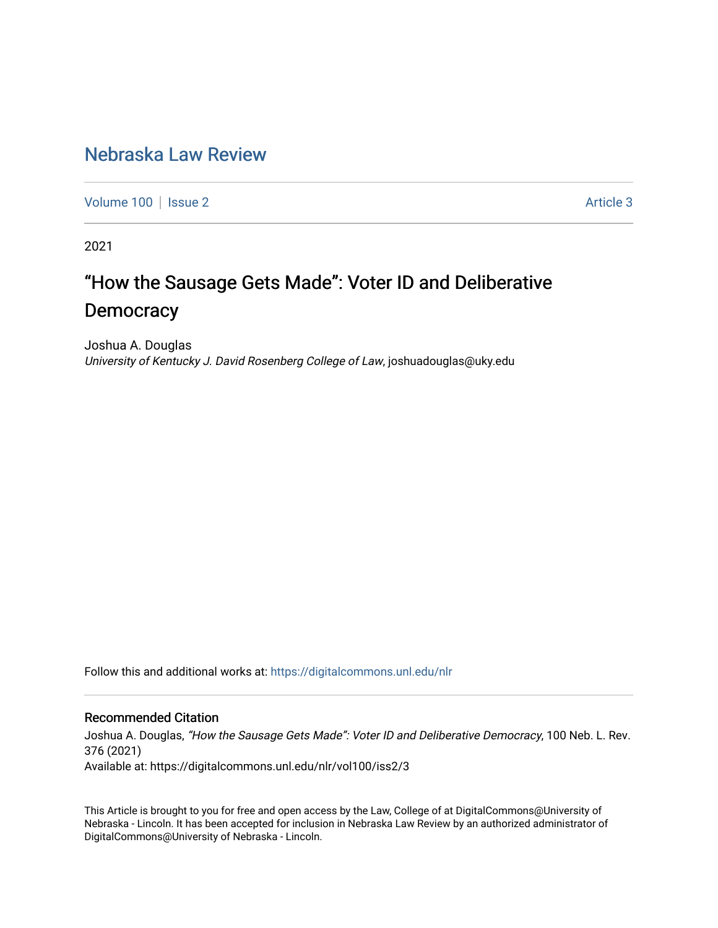## [Nebraska Law Review](https://digitalcommons.unl.edu/nlr)

[Volume 100](https://digitalcommons.unl.edu/nlr/vol100) | [Issue 2](https://digitalcommons.unl.edu/nlr/vol100/iss2) Article 3

2021

# "How the Sausage Gets Made": Voter ID and Deliberative **Democracy**

Joshua A. Douglas University of Kentucky J. David Rosenberg College of Law, joshuadouglas@uky.edu

Follow this and additional works at: [https://digitalcommons.unl.edu/nlr](https://digitalcommons.unl.edu/nlr?utm_source=digitalcommons.unl.edu%2Fnlr%2Fvol100%2Fiss2%2F3&utm_medium=PDF&utm_campaign=PDFCoverPages) 

### Recommended Citation

Joshua A. Douglas, "How the Sausage Gets Made": Voter ID and Deliberative Democracy, 100 Neb. L. Rev. 376 (2021)

Available at: https://digitalcommons.unl.edu/nlr/vol100/iss2/3

This Article is brought to you for free and open access by the Law, College of at DigitalCommons@University of Nebraska - Lincoln. It has been accepted for inclusion in Nebraska Law Review by an authorized administrator of DigitalCommons@University of Nebraska - Lincoln.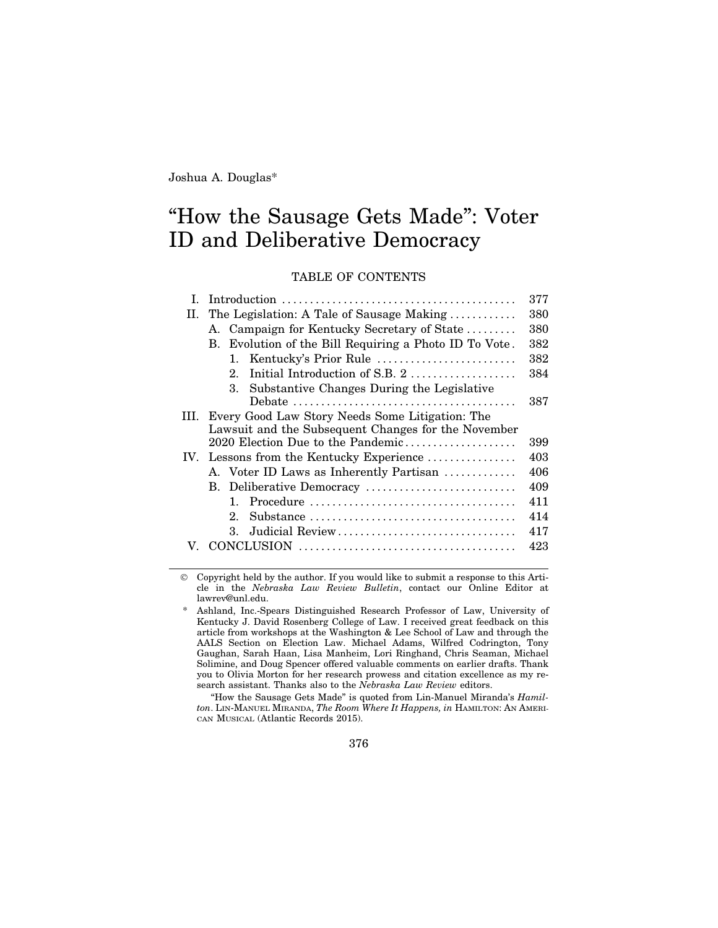Joshua A. Douglas\*

## "How the Sausage Gets Made": Voter ID and Deliberative Democracy

TABLE OF CONTENTS

|      |                                                                       | 377 |
|------|-----------------------------------------------------------------------|-----|
| II.  | The Legislation: A Tale of Sausage Making                             | 380 |
|      | A. Campaign for Kentucky Secretary of State                           | 380 |
|      | Evolution of the Bill Requiring a Photo ID To Vote.<br>$\mathbf{B}$ . | 382 |
|      | 1. Kentucky's Prior Rule                                              | 382 |
|      | Initial Introduction of S.B. 2<br>$2_{-}$                             | 384 |
|      | Substantive Changes During the Legislative<br>3.                      |     |
|      |                                                                       | 387 |
| III. | Every Good Law Story Needs Some Litigation: The                       |     |
|      | Lawsuit and the Subsequent Changes for the November                   |     |
|      | 2020 Election Due to the Pandemic                                     | 399 |
|      | IV. Lessons from the Kentucky Experience                              | 403 |
|      | A. Voter ID Laws as Inherently Partisan                               | 406 |
|      | B. Deliberative Democracy                                             | 409 |
|      |                                                                       | 411 |
|      | $2_{-}$                                                               | 414 |
|      | Judicial Review<br>$3_{-}$                                            | 417 |
|      |                                                                       | 423 |
|      |                                                                       |     |

© Copyright held by the author. If you would like to submit a response to this Article in the *Nebraska Law Review Bulletin*, contact our Online Editor at lawrev@unl.edu.

"How the Sausage Gets Made" is quoted from Lin-Manuel Miranda's *Hamilton*. LIN-MANUEL MIRANDA, *The Room Where It Happens, in* HAMILTON: AN AMERI-CAN MUSICAL (Atlantic Records 2015).

376

Ashland, Inc.-Spears Distinguished Research Professor of Law, University of Kentucky J. David Rosenberg College of Law. I received great feedback on this article from workshops at the Washington & Lee School of Law and through the AALS Section on Election Law. Michael Adams, Wilfred Codrington, Tony Gaughan, Sarah Haan, Lisa Manheim, Lori Ringhand, Chris Seaman, Michael Solimine, and Doug Spencer offered valuable comments on earlier drafts. Thank you to Olivia Morton for her research prowess and citation excellence as my research assistant. Thanks also to the *Nebraska Law Review* editors.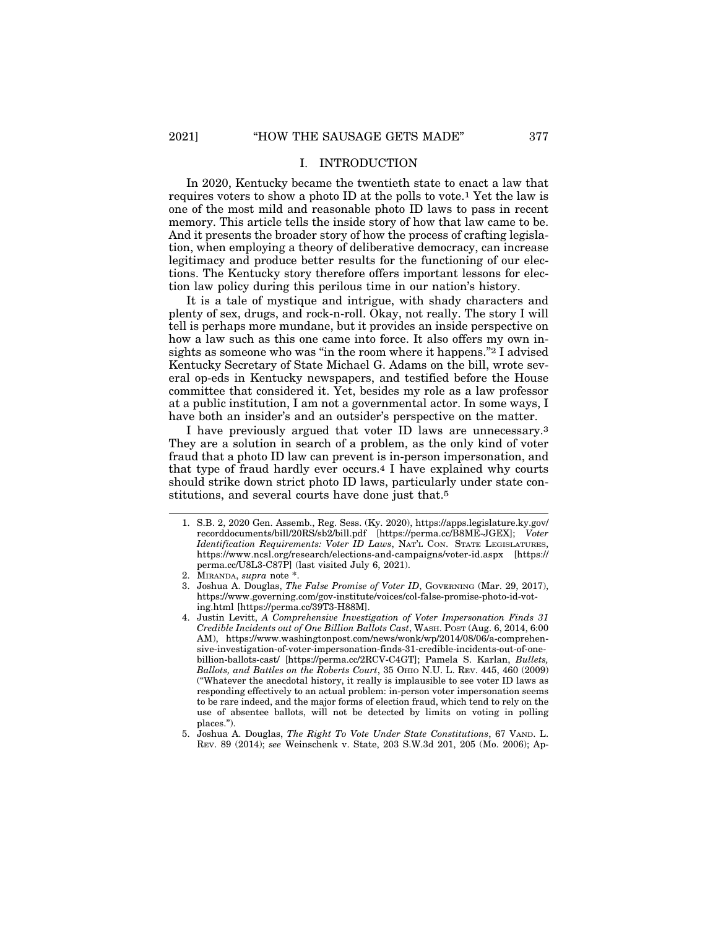#### I. INTRODUCTION

In 2020, Kentucky became the twentieth state to enact a law that requires voters to show a photo ID at the polls to vote.1 Yet the law is one of the most mild and reasonable photo ID laws to pass in recent memory. This article tells the inside story of how that law came to be. And it presents the broader story of how the process of crafting legislation, when employing a theory of deliberative democracy, can increase legitimacy and produce better results for the functioning of our elections. The Kentucky story therefore offers important lessons for election law policy during this perilous time in our nation's history.

It is a tale of mystique and intrigue, with shady characters and plenty of sex, drugs, and rock-n-roll. Okay, not really. The story I will tell is perhaps more mundane, but it provides an inside perspective on how a law such as this one came into force. It also offers my own insights as someone who was "in the room where it happens."2 I advised Kentucky Secretary of State Michael G. Adams on the bill, wrote several op-eds in Kentucky newspapers, and testified before the House committee that considered it. Yet, besides my role as a law professor at a public institution, I am not a governmental actor. In some ways, I have both an insider's and an outsider's perspective on the matter.

I have previously argued that voter ID laws are unnecessary.3 They are a solution in search of a problem, as the only kind of voter fraud that a photo ID law can prevent is in-person impersonation, and that type of fraud hardly ever occurs.4 I have explained why courts should strike down strict photo ID laws, particularly under state constitutions, and several courts have done just that.5

<sup>1.</sup> S.B. 2, 2020 Gen. Assemb., Reg. Sess. (Ky. 2020), https://apps.legislature.ky.gov/ recorddocuments/bill/20RS/sb2/bill.pdf [https://perma.cc/B8ME-JGEX]; *Voter Identification Requirements: Voter ID Laws*, NAT'L CON. STATE LEGISLATURES, https://www.ncsl.org/research/elections-and-campaigns/voter-id.aspx [https:// perma.cc/U8L3-C87P] (last visited July 6, 2021).

<sup>2.</sup> MIRANDA, *supra* note \*.

<sup>3.</sup> Joshua A. Douglas, *The False Promise of Voter ID*, GOVERNING (Mar. 29, 2017), https://www.governing.com/gov-institute/voices/col-false-promise-photo-id-voting.html [https://perma.cc/39T3-H88M].

<sup>4.</sup> Justin Levitt, *A Comprehensive Investigation of Voter Impersonation Finds 31 Credible Incidents out of One Billion Ballots Cast*, WASH. POST (Aug. 6, 2014, 6:00 AM), https://www.washingtonpost.com/news/wonk/wp/2014/08/06/a-comprehensive-investigation-of-voter-impersonation-finds-31-credible-incidents-out-of-onebillion-ballots-cast/ [https://perma.cc/2RCV-C4GT]; Pamela S. Karlan, *Bullets, Ballots, and Battles on the Roberts Court*, 35 OHIO N.U. L. REV. 445, 460 (2009) ("Whatever the anecdotal history, it really is implausible to see voter ID laws as responding effectively to an actual problem: in-person voter impersonation seems to be rare indeed, and the major forms of election fraud, which tend to rely on the use of absentee ballots, will not be detected by limits on voting in polling places.").

<sup>5.</sup> Joshua A. Douglas, *The Right To Vote Under State Constitutions*, 67 VAND. L. REV. 89 (2014); *see* Weinschenk v. State, 203 S.W.3d 201, 205 (Mo. 2006); Ap-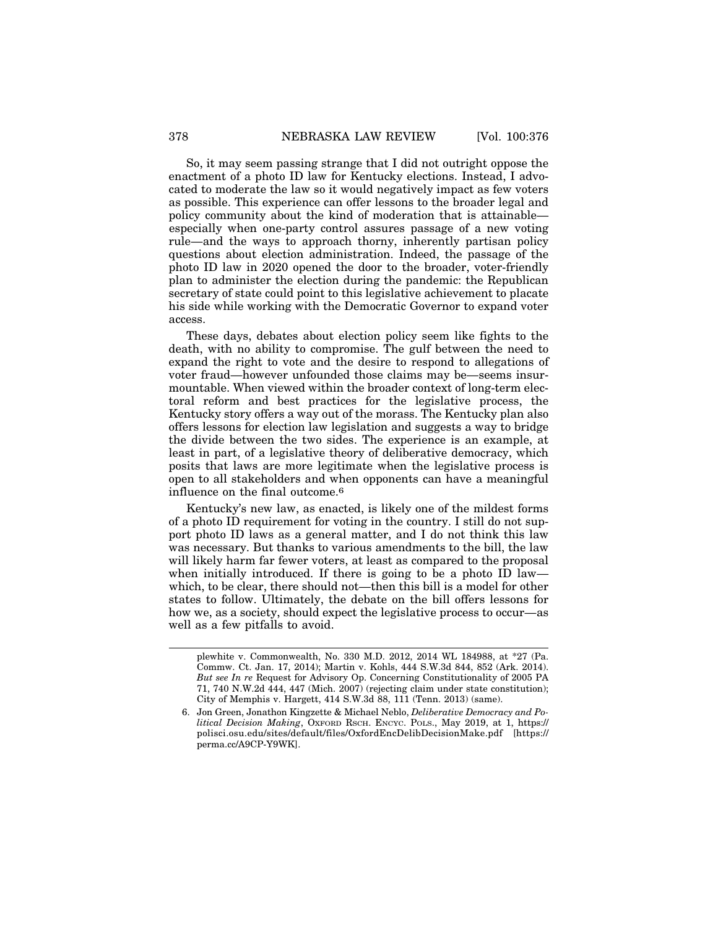So, it may seem passing strange that I did not outright oppose the enactment of a photo ID law for Kentucky elections. Instead, I advocated to moderate the law so it would negatively impact as few voters as possible. This experience can offer lessons to the broader legal and policy community about the kind of moderation that is attainable especially when one-party control assures passage of a new voting rule—and the ways to approach thorny, inherently partisan policy questions about election administration. Indeed, the passage of the photo ID law in 2020 opened the door to the broader, voter-friendly plan to administer the election during the pandemic: the Republican secretary of state could point to this legislative achievement to placate his side while working with the Democratic Governor to expand voter access.

These days, debates about election policy seem like fights to the death, with no ability to compromise. The gulf between the need to expand the right to vote and the desire to respond to allegations of voter fraud—however unfounded those claims may be—seems insurmountable. When viewed within the broader context of long-term electoral reform and best practices for the legislative process, the Kentucky story offers a way out of the morass. The Kentucky plan also offers lessons for election law legislation and suggests a way to bridge the divide between the two sides. The experience is an example, at least in part, of a legislative theory of deliberative democracy, which posits that laws are more legitimate when the legislative process is open to all stakeholders and when opponents can have a meaningful influence on the final outcome.6

Kentucky's new law, as enacted, is likely one of the mildest forms of a photo ID requirement for voting in the country. I still do not support photo ID laws as a general matter, and I do not think this law was necessary. But thanks to various amendments to the bill, the law will likely harm far fewer voters, at least as compared to the proposal when initially introduced. If there is going to be a photo ID law which, to be clear, there should not—then this bill is a model for other states to follow. Ultimately, the debate on the bill offers lessons for how we, as a society, should expect the legislative process to occur—as well as a few pitfalls to avoid.

plewhite v. Commonwealth, No. 330 M.D. 2012, 2014 WL 184988, at \*27 (Pa. Commw. Ct. Jan. 17, 2014); Martin v. Kohls, 444 S.W.3d 844, 852 (Ark. 2014). *But see In re* Request for Advisory Op. Concerning Constitutionality of 2005 PA 71, 740 N.W.2d 444, 447 (Mich. 2007) (rejecting claim under state constitution); City of Memphis v. Hargett, 414 S.W.3d 88, 111 (Tenn. 2013) (same).

<sup>6.</sup> Jon Green, Jonathon Kingzette & Michael Neblo, *Deliberative Democracy and Political Decision Making*, OXFORD RSCH. ENCYC. POLS., May 2019, at 1, https:// polisci.osu.edu/sites/default/files/OxfordEncDelibDecisionMake.pdf [https:// perma.cc/A9CP-Y9WK].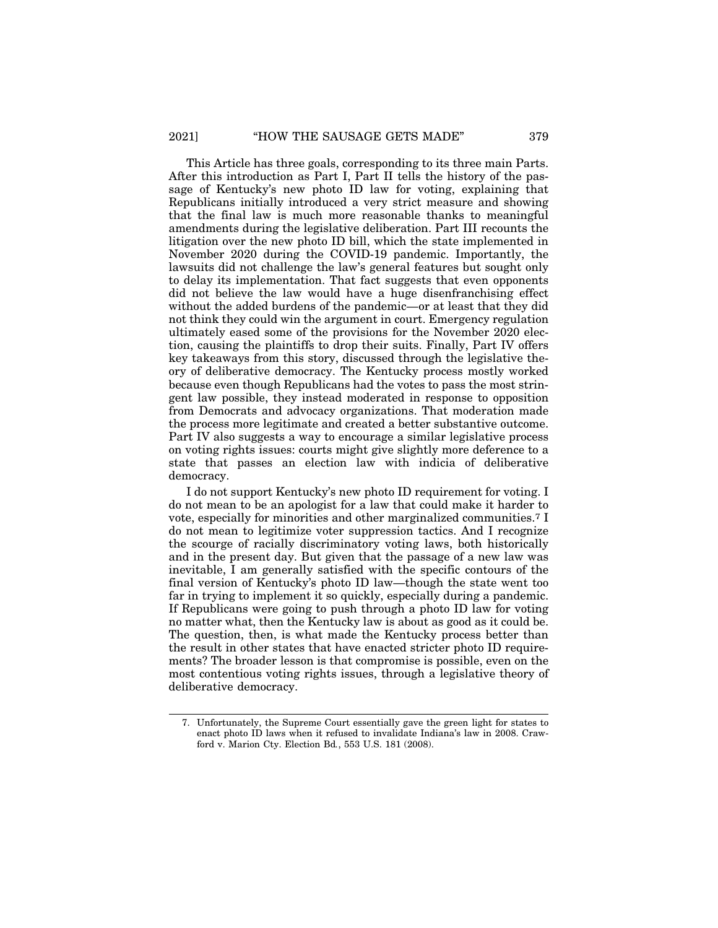This Article has three goals, corresponding to its three main Parts. After this introduction as Part I, Part II tells the history of the passage of Kentucky's new photo ID law for voting, explaining that Republicans initially introduced a very strict measure and showing that the final law is much more reasonable thanks to meaningful amendments during the legislative deliberation. Part III recounts the litigation over the new photo ID bill, which the state implemented in November 2020 during the COVID-19 pandemic. Importantly, the lawsuits did not challenge the law's general features but sought only to delay its implementation. That fact suggests that even opponents did not believe the law would have a huge disenfranchising effect without the added burdens of the pandemic—or at least that they did not think they could win the argument in court. Emergency regulation ultimately eased some of the provisions for the November 2020 election, causing the plaintiffs to drop their suits. Finally, Part IV offers key takeaways from this story, discussed through the legislative theory of deliberative democracy. The Kentucky process mostly worked because even though Republicans had the votes to pass the most stringent law possible, they instead moderated in response to opposition from Democrats and advocacy organizations. That moderation made the process more legitimate and created a better substantive outcome. Part IV also suggests a way to encourage a similar legislative process on voting rights issues: courts might give slightly more deference to a state that passes an election law with indicia of deliberative democracy.

I do not support Kentucky's new photo ID requirement for voting. I do not mean to be an apologist for a law that could make it harder to vote, especially for minorities and other marginalized communities.7 I do not mean to legitimize voter suppression tactics. And I recognize the scourge of racially discriminatory voting laws, both historically and in the present day. But given that the passage of a new law was inevitable, I am generally satisfied with the specific contours of the final version of Kentucky's photo ID law—though the state went too far in trying to implement it so quickly, especially during a pandemic. If Republicans were going to push through a photo ID law for voting no matter what, then the Kentucky law is about as good as it could be. The question, then, is what made the Kentucky process better than the result in other states that have enacted stricter photo ID requirements? The broader lesson is that compromise is possible, even on the most contentious voting rights issues, through a legislative theory of deliberative democracy.

<sup>7.</sup> Unfortunately, the Supreme Court essentially gave the green light for states to enact photo ID laws when it refused to invalidate Indiana's law in 2008. Crawford v. Marion Cty. Election Bd*.*, 553 U.S. 181 (2008).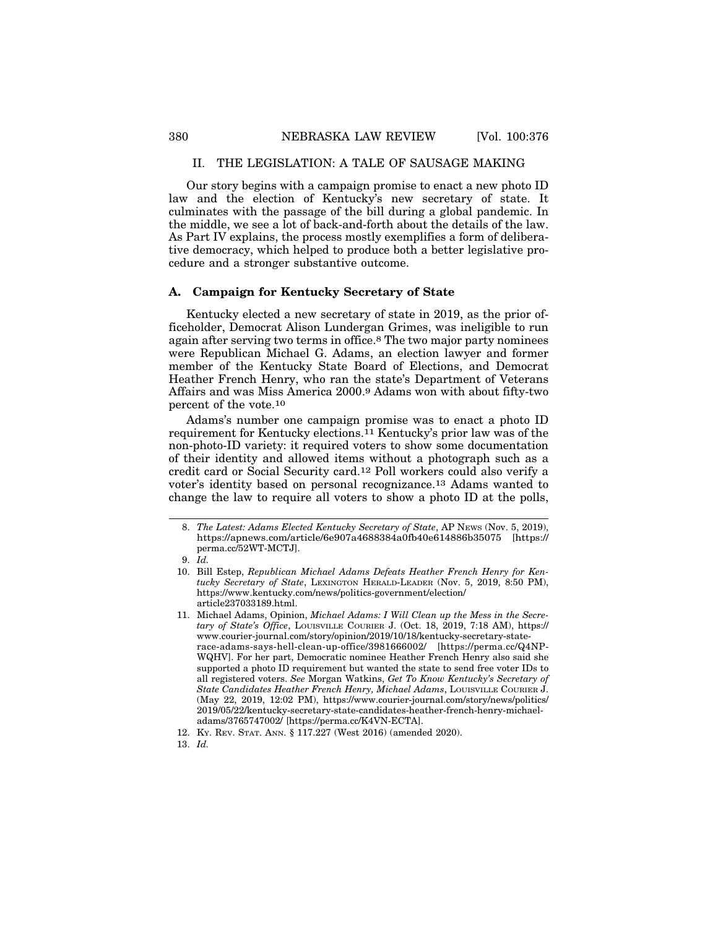#### II. THE LEGISLATION: A TALE OF SAUSAGE MAKING

Our story begins with a campaign promise to enact a new photo ID law and the election of Kentucky's new secretary of state. It culminates with the passage of the bill during a global pandemic. In the middle, we see a lot of back-and-forth about the details of the law. As Part IV explains, the process mostly exemplifies a form of deliberative democracy, which helped to produce both a better legislative procedure and a stronger substantive outcome.

#### **A. Campaign for Kentucky Secretary of State**

Kentucky elected a new secretary of state in 2019, as the prior officeholder, Democrat Alison Lundergan Grimes, was ineligible to run again after serving two terms in office.8 The two major party nominees were Republican Michael G. Adams, an election lawyer and former member of the Kentucky State Board of Elections, and Democrat Heather French Henry, who ran the state's Department of Veterans Affairs and was Miss America 2000.9 Adams won with about fifty-two percent of the vote.10

Adams's number one campaign promise was to enact a photo ID requirement for Kentucky elections.11 Kentucky's prior law was of the non-photo-ID variety: it required voters to show some documentation of their identity and allowed items without a photograph such as a credit card or Social Security card.12 Poll workers could also verify a voter's identity based on personal recognizance.13 Adams wanted to change the law to require all voters to show a photo ID at the polls,

<sup>8.</sup> *The Latest: Adams Elected Kentucky Secretary of State*, AP NEWS (Nov. 5, 2019), https://apnews.com/article/6e907a4688384a0fb40e614886b35075 [https:// perma.cc/52WT-MCTJ].

<sup>9.</sup> *Id.*

<sup>10.</sup> Bill Estep, *Republican Michael Adams Defeats Heather French Henry for Kentucky Secretary of State*, LEXINGTON HERALD-LEADER (Nov. 5, 2019, 8:50 PM), https://www.kentucky.com/news/politics-government/election/ article237033189.html.

<sup>11.</sup> Michael Adams, Opinion, *Michael Adams: I Will Clean up the Mess in the Secretary of State's Office*, LOUISVILLE COURIER J. (Oct. 18, 2019, 7:18 AM), https:// www.courier-journal.com/story/opinion/2019/10/18/kentucky-secretary-staterace-adams-says-hell-clean-up-office/3981666002/ [https://perma.cc/Q4NP-WQHV]. For her part, Democratic nominee Heather French Henry also said she supported a photo ID requirement but wanted the state to send free voter IDs to all registered voters. *See* Morgan Watkins, *Get To Know Kentucky's Secretary of State Candidates Heather French Henry, Michael Adams*, LOUISVILLE COURIER J. (May 22, 2019, 12:02 PM), https://www.courier-journal.com/story/news/politics/ 2019/05/22/kentucky-secretary-state-candidates-heather-french-henry-michaeladams/3765747002/ [https://perma.cc/K4VN-ECTA].

<sup>12.</sup> KY. REV. STAT. ANN. § 117.227 (West 2016) (amended 2020).

<sup>13.</sup> *Id.*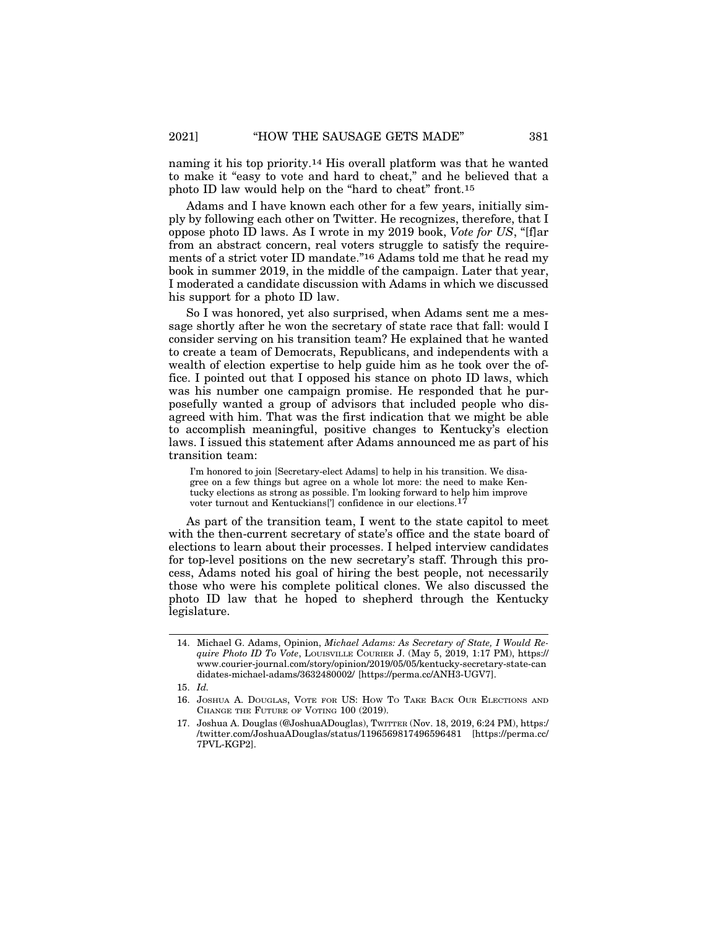naming it his top priority.14 His overall platform was that he wanted to make it "easy to vote and hard to cheat," and he believed that a photo ID law would help on the "hard to cheat" front.15

Adams and I have known each other for a few years, initially simply by following each other on Twitter. He recognizes, therefore, that I oppose photo ID laws. As I wrote in my 2019 book, *Vote for US*, "[f]ar from an abstract concern, real voters struggle to satisfy the requirements of a strict voter ID mandate."16 Adams told me that he read my book in summer 2019, in the middle of the campaign. Later that year, I moderated a candidate discussion with Adams in which we discussed his support for a photo ID law.

So I was honored, yet also surprised, when Adams sent me a message shortly after he won the secretary of state race that fall: would I consider serving on his transition team? He explained that he wanted to create a team of Democrats, Republicans, and independents with a wealth of election expertise to help guide him as he took over the office. I pointed out that I opposed his stance on photo ID laws, which was his number one campaign promise. He responded that he purposefully wanted a group of advisors that included people who disagreed with him. That was the first indication that we might be able to accomplish meaningful, positive changes to Kentucky's election laws. I issued this statement after Adams announced me as part of his transition team:

I'm honored to join [Secretary-elect Adams] to help in his transition. We disagree on a few things but agree on a whole lot more: the need to make Kentucky elections as strong as possible. I'm looking forward to help him improve voter turnout and Kentuckians['] confidence in our elections.17

As part of the transition team, I went to the state capitol to meet with the then-current secretary of state's office and the state board of elections to learn about their processes. I helped interview candidates for top-level positions on the new secretary's staff. Through this process, Adams noted his goal of hiring the best people, not necessarily those who were his complete political clones. We also discussed the photo ID law that he hoped to shepherd through the Kentucky legislature.

<sup>14.</sup> Michael G. Adams, Opinion, *Michael Adams: As Secretary of State, I Would Require Photo ID To Vote*, LOUISVILLE COURIER J. (May 5, 2019, 1:17 PM), https:// www.courier-journal.com/story/opinion/2019/05/05/kentucky-secretary-state-can didates-michael-adams/3632480002/ [https://perma.cc/ANH3-UGV7].

<sup>15.</sup> *Id.*

<sup>16.</sup> JOSHUA A. DOUGLAS, VOTE FOR US: HOW TO TAKE BACK OUR ELECTIONS AND CHANGE THE FUTURE OF VOTING 100 (2019).

<sup>17.</sup> Joshua A. Douglas (@JoshuaADouglas), TWITTER (Nov. 18, 2019, 6:24 PM), https:/ /twitter.com/JoshuaADouglas/status/1196569817496596481 [https://perma.cc/ 7PVL-KGP2].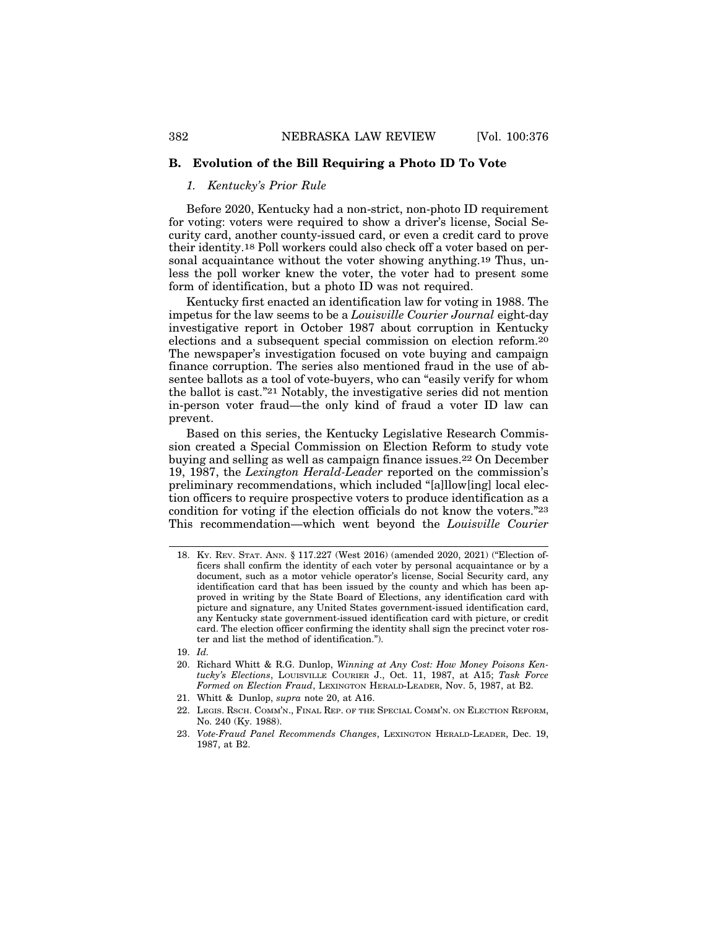#### **B. Evolution of the Bill Requiring a Photo ID To Vote**

#### *1. Kentucky's Prior Rule*

Before 2020, Kentucky had a non-strict, non-photo ID requirement for voting: voters were required to show a driver's license, Social Security card, another county-issued card, or even a credit card to prove their identity.18 Poll workers could also check off a voter based on personal acquaintance without the voter showing anything.19 Thus, unless the poll worker knew the voter, the voter had to present some form of identification, but a photo ID was not required.

Kentucky first enacted an identification law for voting in 1988. The impetus for the law seems to be a *Louisville Courier Journal* eight-day investigative report in October 1987 about corruption in Kentucky elections and a subsequent special commission on election reform.20 The newspaper's investigation focused on vote buying and campaign finance corruption. The series also mentioned fraud in the use of absentee ballots as a tool of vote-buyers, who can "easily verify for whom the ballot is cast."21 Notably, the investigative series did not mention in-person voter fraud—the only kind of fraud a voter ID law can prevent.

Based on this series, the Kentucky Legislative Research Commission created a Special Commission on Election Reform to study vote buying and selling as well as campaign finance issues.22 On December 19, 1987, the *Lexington Herald-Leader* reported on the commission's preliminary recommendations, which included "[a]llow[ing] local election officers to require prospective voters to produce identification as a condition for voting if the election officials do not know the voters."23 This recommendation—which went beyond the *Louisville Courier*

- 20. Richard Whitt & R.G. Dunlop, *Winning at Any Cost: How Money Poisons Kentucky's Elections*, LOUISVILLE COURIER J., Oct. 11, 1987, at A15; *Task Force Formed on Election Fraud*, LEXINGTON HERALD-LEADER, Nov. 5, 1987, at B2.
- 21. Whitt & Dunlop, *supra* note 20, at A16.
- 22. LEGIS. RSCH. COMM'N., FINAL REP. OF THE SPECIAL COMM'N. ON ELECTION REFORM, No. 240 (Ky. 1988).
- 23. *Vote-Fraud Panel Recommends Changes*, LEXINGTON HERALD-LEADER, Dec. 19, 1987, at B2.

<sup>18.</sup> KY. REV. STAT. ANN. § 117.227 (West 2016) (amended 2020, 2021) ("Election officers shall confirm the identity of each voter by personal acquaintance or by a document, such as a motor vehicle operator's license, Social Security card, any identification card that has been issued by the county and which has been approved in writing by the State Board of Elections, any identification card with picture and signature, any United States government-issued identification card, any Kentucky state government-issued identification card with picture, or credit card. The election officer confirming the identity shall sign the precinct voter roster and list the method of identification.").

<sup>19.</sup> *Id.*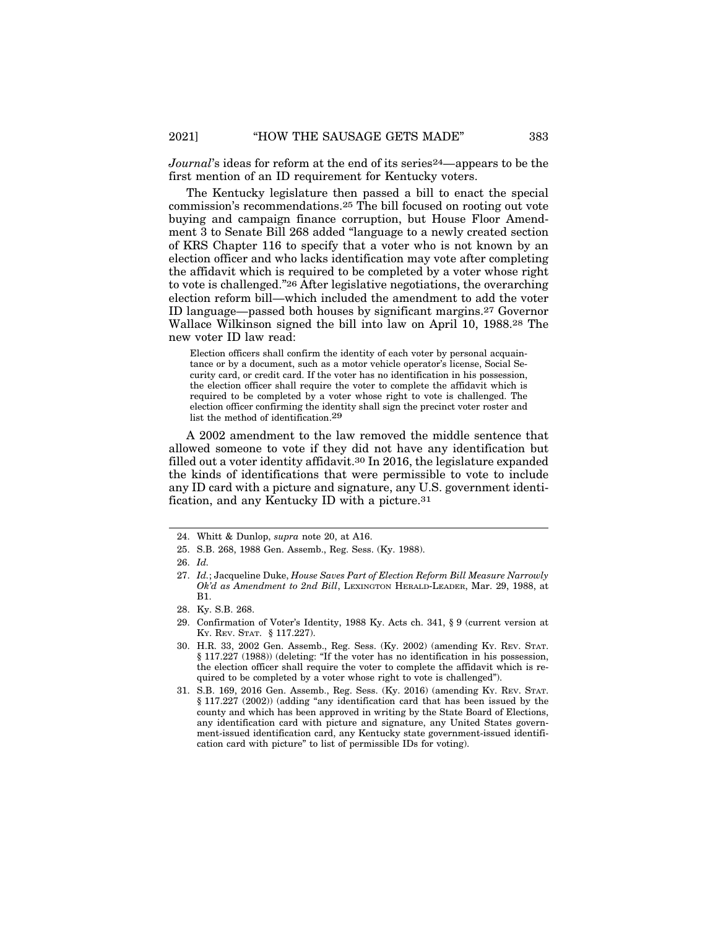*Journal*'s ideas for reform at the end of its series<sup>24</sup>—appears to be the first mention of an ID requirement for Kentucky voters.

The Kentucky legislature then passed a bill to enact the special commission's recommendations.25 The bill focused on rooting out vote buying and campaign finance corruption, but House Floor Amendment 3 to Senate Bill 268 added "language to a newly created section of KRS Chapter 116 to specify that a voter who is not known by an election officer and who lacks identification may vote after completing the affidavit which is required to be completed by a voter whose right to vote is challenged."26 After legislative negotiations, the overarching election reform bill—which included the amendment to add the voter ID language—passed both houses by significant margins.27 Governor Wallace Wilkinson signed the bill into law on April 10, 1988.28 The new voter ID law read:

Election officers shall confirm the identity of each voter by personal acquaintance or by a document, such as a motor vehicle operator's license, Social Security card, or credit card. If the voter has no identification in his possession, the election officer shall require the voter to complete the affidavit which is required to be completed by a voter whose right to vote is challenged. The election officer confirming the identity shall sign the precinct voter roster and list the method of identification.29

A 2002 amendment to the law removed the middle sentence that allowed someone to vote if they did not have any identification but filled out a voter identity affidavit.30 In 2016, the legislature expanded the kinds of identifications that were permissible to vote to include any ID card with a picture and signature, any U.S. government identification, and any Kentucky ID with a picture.31

28. Ky. S.B. 268.

<sup>24.</sup> Whitt & Dunlop, *supra* note 20, at A16.

<sup>25.</sup> S.B. 268, 1988 Gen. Assemb., Reg. Sess. (Ky. 1988).

<sup>26.</sup> *Id.*

<sup>27.</sup> *Id.*; Jacqueline Duke, *House Saves Part of Election Reform Bill Measure Narrowly Ok'd as Amendment to 2nd Bill*, LEXINGTON HERALD-LEADER, Mar. 29, 1988, at B1.

<sup>29.</sup> Confirmation of Voter's Identity, 1988 Ky. Acts ch. 341, § 9 (current version at KY. REV. STAT. § 117.227).

<sup>30.</sup> H.R. 33, 2002 Gen. Assemb., Reg. Sess. (Ky. 2002) (amending KY. REV. STAT. § 117.227 (1988)) (deleting: "If the voter has no identification in his possession, the election officer shall require the voter to complete the affidavit which is required to be completed by a voter whose right to vote is challenged").

<sup>31.</sup> S.B. 169, 2016 Gen. Assemb., Reg. Sess. (Ky. 2016) (amending KY. REV. STAT. § 117.227 (2002)) (adding "any identification card that has been issued by the county and which has been approved in writing by the State Board of Elections, any identification card with picture and signature, any United States government-issued identification card, any Kentucky state government-issued identification card with picture" to list of permissible IDs for voting).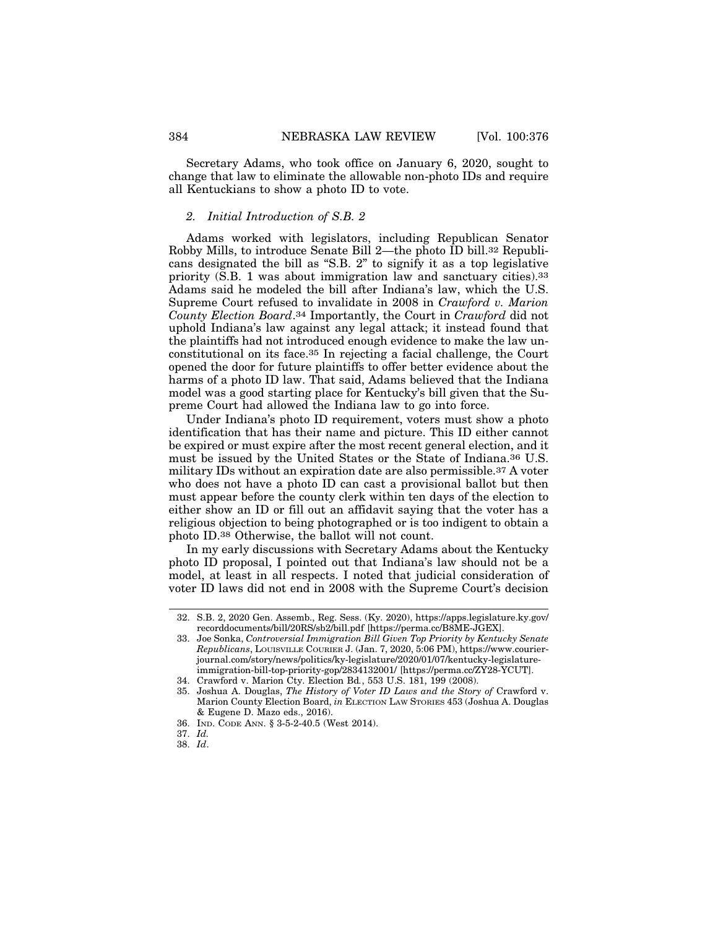Secretary Adams, who took office on January 6, 2020, sought to change that law to eliminate the allowable non-photo IDs and require all Kentuckians to show a photo ID to vote.

#### *2. Initial Introduction of S.B. 2*

Adams worked with legislators, including Republican Senator Robby Mills, to introduce Senate Bill 2—the photo ID bill.32 Republicans designated the bill as "S.B. 2" to signify it as a top legislative priority (S.B. 1 was about immigration law and sanctuary cities).33 Adams said he modeled the bill after Indiana's law, which the U.S. Supreme Court refused to invalidate in 2008 in *Crawford v. Marion County Election Board*.34 Importantly, the Court in *Crawford* did not uphold Indiana's law against any legal attack; it instead found that the plaintiffs had not introduced enough evidence to make the law unconstitutional on its face.35 In rejecting a facial challenge, the Court opened the door for future plaintiffs to offer better evidence about the harms of a photo ID law. That said, Adams believed that the Indiana model was a good starting place for Kentucky's bill given that the Supreme Court had allowed the Indiana law to go into force.

Under Indiana's photo ID requirement, voters must show a photo identification that has their name and picture. This ID either cannot be expired or must expire after the most recent general election, and it must be issued by the United States or the State of Indiana.36 U.S. military IDs without an expiration date are also permissible.37 A voter who does not have a photo ID can cast a provisional ballot but then must appear before the county clerk within ten days of the election to either show an ID or fill out an affidavit saying that the voter has a religious objection to being photographed or is too indigent to obtain a photo ID.38 Otherwise, the ballot will not count.

In my early discussions with Secretary Adams about the Kentucky photo ID proposal, I pointed out that Indiana's law should not be a model, at least in all respects. I noted that judicial consideration of voter ID laws did not end in 2008 with the Supreme Court's decision

37. *Id.*

<sup>32.</sup> S.B. 2, 2020 Gen. Assemb., Reg. Sess. (Ky. 2020), https://apps.legislature.ky.gov/ recorddocuments/bill/20RS/sb2/bill.pdf [https://perma.cc/B8ME-JGEX].

<sup>33.</sup> Joe Sonka, *Controversial Immigration Bill Given Top Priority by Kentucky Senate Republicans*, LOUISVILLE COURIER J. (Jan. 7, 2020, 5:06 PM), https://www.courierjournal.com/story/news/politics/ky-legislature/2020/01/07/kentucky-legislatureimmigration-bill-top-priority-gop/2834132001/ [https://perma.cc/ZY28-YCUT].

<sup>34.</sup> Crawford v. Marion Cty. Election Bd*.*, 553 U.S. 181, 199 (2008).

<sup>35.</sup> Joshua A. Douglas, *The History of Voter ID Laws and the Story of* Crawford v. Marion County Election Board, *in* ELECTION LAW STORIES 453 (Joshua A. Douglas & Eugene D. Mazo eds., 2016).

<sup>36.</sup> IND. CODE ANN. § 3-5-2-40.5 (West 2014).

<sup>38.</sup> *Id*.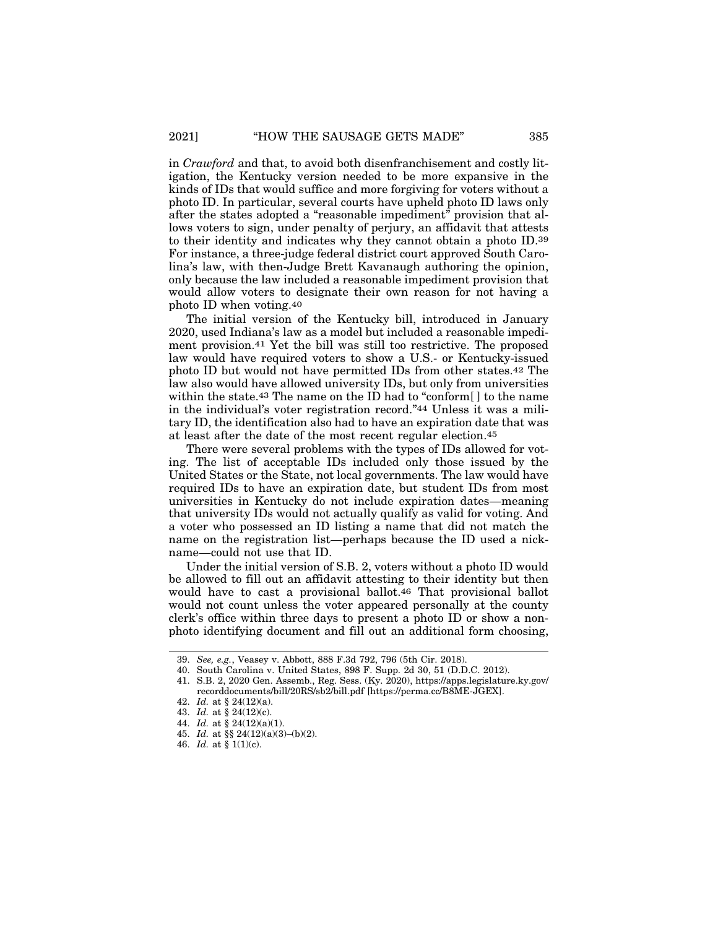in *Crawford* and that, to avoid both disenfranchisement and costly litigation, the Kentucky version needed to be more expansive in the kinds of IDs that would suffice and more forgiving for voters without a photo ID. In particular, several courts have upheld photo ID laws only after the states adopted a "reasonable impediment" provision that allows voters to sign, under penalty of perjury, an affidavit that attests to their identity and indicates why they cannot obtain a photo ID.39 For instance, a three-judge federal district court approved South Carolina's law, with then-Judge Brett Kavanaugh authoring the opinion, only because the law included a reasonable impediment provision that would allow voters to designate their own reason for not having a photo ID when voting.40

The initial version of the Kentucky bill, introduced in January 2020, used Indiana's law as a model but included a reasonable impediment provision.41 Yet the bill was still too restrictive. The proposed law would have required voters to show a U.S.- or Kentucky-issued photo ID but would not have permitted IDs from other states.42 The law also would have allowed university IDs, but only from universities within the state.43 The name on the ID had to "conform[ ] to the name in the individual's voter registration record."44 Unless it was a military ID, the identification also had to have an expiration date that was at least after the date of the most recent regular election.45

There were several problems with the types of IDs allowed for voting. The list of acceptable IDs included only those issued by the United States or the State, not local governments. The law would have required IDs to have an expiration date, but student IDs from most universities in Kentucky do not include expiration dates—meaning that university IDs would not actually qualify as valid for voting. And a voter who possessed an ID listing a name that did not match the name on the registration list—perhaps because the ID used a nickname—could not use that ID.

Under the initial version of S.B. 2, voters without a photo ID would be allowed to fill out an affidavit attesting to their identity but then would have to cast a provisional ballot.<sup>46</sup> That provisional ballot would not count unless the voter appeared personally at the county clerk's office within three days to present a photo ID or show a nonphoto identifying document and fill out an additional form choosing,

<sup>39.</sup> *See, e.g.*, Veasey v. Abbott, 888 F.3d 792, 796 (5th Cir. 2018).

<sup>40.</sup> South Carolina v. United States, 898 F. Supp. 2d 30, 51 (D.D.C. 2012).

<sup>41.</sup> S.B. 2, 2020 Gen. Assemb., Reg. Sess. (Ky. 2020), https://apps.legislature.ky.gov/ recorddocuments/bill/20RS/sb2/bill.pdf [https://perma.cc/B8ME-JGEX].

<sup>42.</sup> *Id.* at § 24(12)(a).

<sup>43.</sup> *Id.* at § 24(12)(c).

<sup>44.</sup> *Id.* at § 24(12)(a)(1).

<sup>45.</sup> *Id.* at §§ 24(12)(a)(3)–(b)(2).

<sup>46.</sup> *Id.* at § 1(1)(c).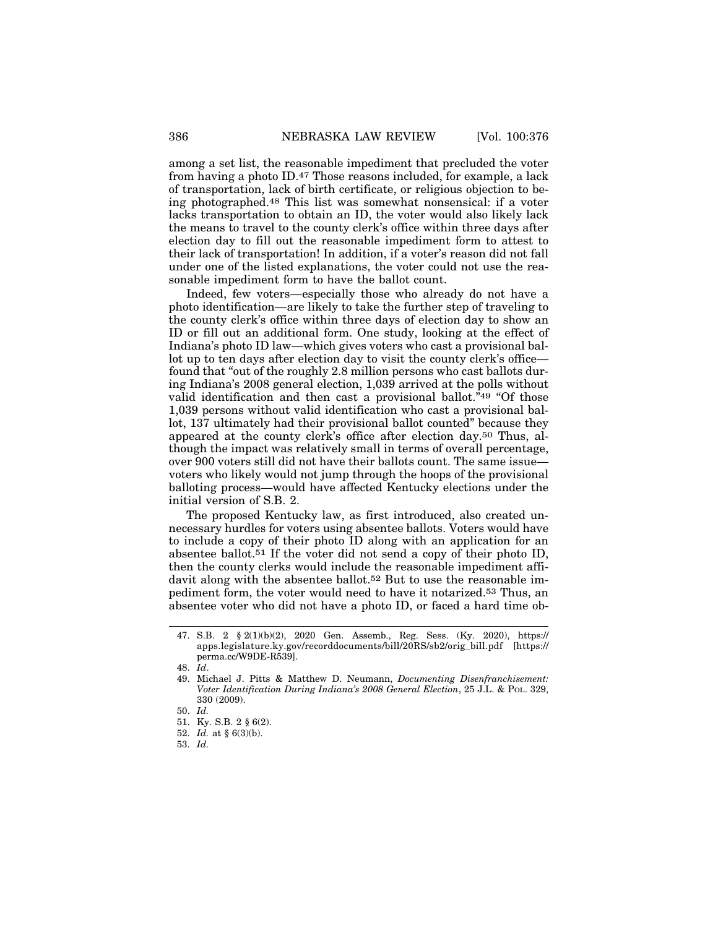among a set list, the reasonable impediment that precluded the voter from having a photo ID.47 Those reasons included, for example, a lack of transportation, lack of birth certificate, or religious objection to being photographed.48 This list was somewhat nonsensical: if a voter lacks transportation to obtain an ID, the voter would also likely lack the means to travel to the county clerk's office within three days after election day to fill out the reasonable impediment form to attest to their lack of transportation! In addition, if a voter's reason did not fall under one of the listed explanations, the voter could not use the reasonable impediment form to have the ballot count.

Indeed, few voters—especially those who already do not have a photo identification—are likely to take the further step of traveling to the county clerk's office within three days of election day to show an ID or fill out an additional form. One study, looking at the effect of Indiana's photo ID law—which gives voters who cast a provisional ballot up to ten days after election day to visit the county clerk's office found that "out of the roughly 2.8 million persons who cast ballots during Indiana's 2008 general election, 1,039 arrived at the polls without valid identification and then cast a provisional ballot.<sup> $\bar{v}_4$ 9 "Of those</sup> 1,039 persons without valid identification who cast a provisional ballot, 137 ultimately had their provisional ballot counted" because they appeared at the county clerk's office after election day.50 Thus, although the impact was relatively small in terms of overall percentage, over 900 voters still did not have their ballots count. The same issue voters who likely would not jump through the hoops of the provisional balloting process—would have affected Kentucky elections under the initial version of S.B. 2.

The proposed Kentucky law, as first introduced, also created unnecessary hurdles for voters using absentee ballots. Voters would have to include a copy of their photo ID along with an application for an absentee ballot.51 If the voter did not send a copy of their photo ID, then the county clerks would include the reasonable impediment affidavit along with the absentee ballot.<sup>52</sup> But to use the reasonable impediment form, the voter would need to have it notarized.53 Thus, an absentee voter who did not have a photo ID, or faced a hard time ob-

<sup>47.</sup> S.B. 2 § 2(1)(b)(2), 2020 Gen. Assemb., Reg. Sess. (Ky. 2020), https:// apps.legislature.ky.gov/recorddocuments/bill/20RS/sb2/orig\_bill.pdf [https:// perma.cc/W9DE-R539].

<sup>48.</sup> *Id*.

<sup>49.</sup> Michael J. Pitts & Matthew D. Neumann, *Documenting Disenfranchisement: Voter Identification During Indiana's 2008 General Election*, 25 J.L. & POL. 329, 330 (2009).

<sup>50.</sup> *Id.*

<sup>51.</sup> Ky. S.B. 2 § 6(2).

<sup>52.</sup> *Id.* at § 6(3)(b).

<sup>53.</sup> *Id.*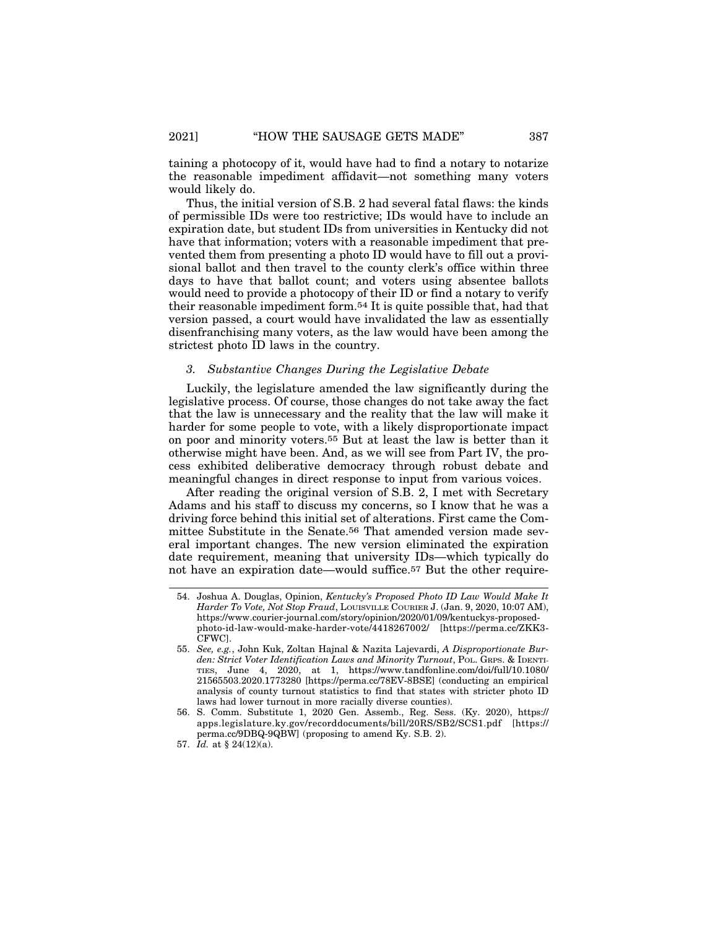taining a photocopy of it, would have had to find a notary to notarize the reasonable impediment affidavit—not something many voters would likely do.

Thus, the initial version of S.B. 2 had several fatal flaws: the kinds of permissible IDs were too restrictive; IDs would have to include an expiration date, but student IDs from universities in Kentucky did not have that information; voters with a reasonable impediment that prevented them from presenting a photo ID would have to fill out a provisional ballot and then travel to the county clerk's office within three days to have that ballot count; and voters using absentee ballots would need to provide a photocopy of their ID or find a notary to verify their reasonable impediment form.54 It is quite possible that, had that version passed, a court would have invalidated the law as essentially disenfranchising many voters, as the law would have been among the strictest photo ID laws in the country.

#### *3. Substantive Changes During the Legislative Debate*

Luckily, the legislature amended the law significantly during the legislative process. Of course, those changes do not take away the fact that the law is unnecessary and the reality that the law will make it harder for some people to vote, with a likely disproportionate impact on poor and minority voters.55 But at least the law is better than it otherwise might have been. And, as we will see from Part IV, the process exhibited deliberative democracy through robust debate and meaningful changes in direct response to input from various voices.

After reading the original version of S.B. 2, I met with Secretary Adams and his staff to discuss my concerns, so I know that he was a driving force behind this initial set of alterations. First came the Committee Substitute in the Senate.56 That amended version made several important changes. The new version eliminated the expiration date requirement, meaning that university IDs—which typically do not have an expiration date—would suffice.57 But the other require-

<sup>54.</sup> Joshua A. Douglas, Opinion, *Kentucky's Proposed Photo ID Law Would Make It Harder To Vote, Not Stop Fraud*, LOUISVILLE COURIER J. (Jan. 9, 2020, 10:07 AM), https://www.courier-journal.com/story/opinion/2020/01/09/kentuckys-proposedphoto-id-law-would-make-harder-vote/4418267002/ [https://perma.cc/ZKK3- CFWC].

<sup>55.</sup> *See, e.g.*, John Kuk, Zoltan Hajnal & Nazita Lajevardi, *A Disproportionate Burden: Strict Voter Identification Laws and Minority Turnout*, Pol. GRPS. & IDENTI-TIES, June 4, 2020, at 1, https://www.tandfonline.com/doi/full/10.1080/ 21565503.2020.1773280 [https://perma.cc/78EV-8BSE] (conducting an empirical analysis of county turnout statistics to find that states with stricter photo ID laws had lower turnout in more racially diverse counties).

<sup>56.</sup> S. Comm. Substitute 1, 2020 Gen. Assemb., Reg. Sess. (Ky. 2020), https:// apps.legislature.ky.gov/recorddocuments/bill/20RS/SB2/SCS1.pdf [https:// perma.cc/9DBQ-9QBW] (proposing to amend Ky. S.B. 2).

<sup>57.</sup> *Id.* at § 24(12)(a).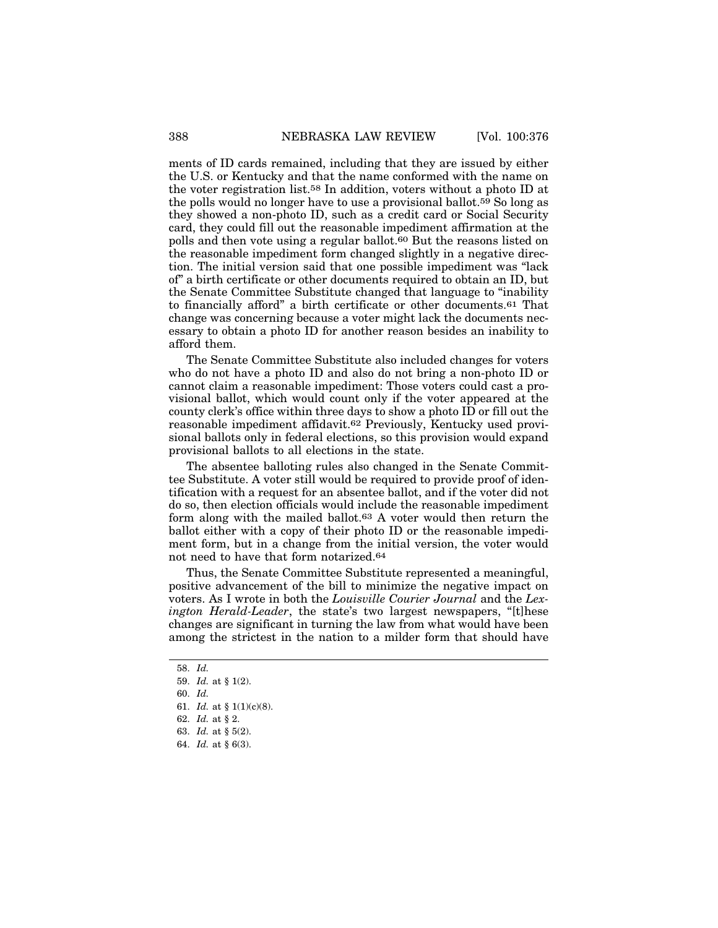ments of ID cards remained, including that they are issued by either the U.S. or Kentucky and that the name conformed with the name on the voter registration list.58 In addition, voters without a photo ID at the polls would no longer have to use a provisional ballot.59 So long as they showed a non-photo ID, such as a credit card or Social Security card, they could fill out the reasonable impediment affirmation at the polls and then vote using a regular ballot.60 But the reasons listed on the reasonable impediment form changed slightly in a negative direction. The initial version said that one possible impediment was "lack of" a birth certificate or other documents required to obtain an ID, but the Senate Committee Substitute changed that language to "inability to financially afford" a birth certificate or other documents.61 That change was concerning because a voter might lack the documents necessary to obtain a photo ID for another reason besides an inability to afford them.

The Senate Committee Substitute also included changes for voters who do not have a photo ID and also do not bring a non-photo ID or cannot claim a reasonable impediment: Those voters could cast a provisional ballot, which would count only if the voter appeared at the county clerk's office within three days to show a photo ID or fill out the reasonable impediment affidavit.62 Previously, Kentucky used provisional ballots only in federal elections, so this provision would expand provisional ballots to all elections in the state.

The absentee balloting rules also changed in the Senate Committee Substitute. A voter still would be required to provide proof of identification with a request for an absentee ballot, and if the voter did not do so, then election officials would include the reasonable impediment form along with the mailed ballot.63 A voter would then return the ballot either with a copy of their photo ID or the reasonable impediment form, but in a change from the initial version, the voter would not need to have that form notarized.64

Thus, the Senate Committee Substitute represented a meaningful, positive advancement of the bill to minimize the negative impact on voters. As I wrote in both the *Louisville Courier Journal* and the *Lexington Herald-Leader*, the state's two largest newspapers, "[t]hese changes are significant in turning the law from what would have been among the strictest in the nation to a milder form that should have

<sup>58.</sup> *Id.*

<sup>59.</sup> *Id.* at § 1(2).

<sup>60.</sup> *Id.*

<sup>61.</sup> *Id.* at § 1(1)(c)(8).

<sup>62.</sup> *Id.* at § 2.

<sup>63.</sup> *Id.* at § 5(2).

<sup>64.</sup> *Id.* at § 6(3).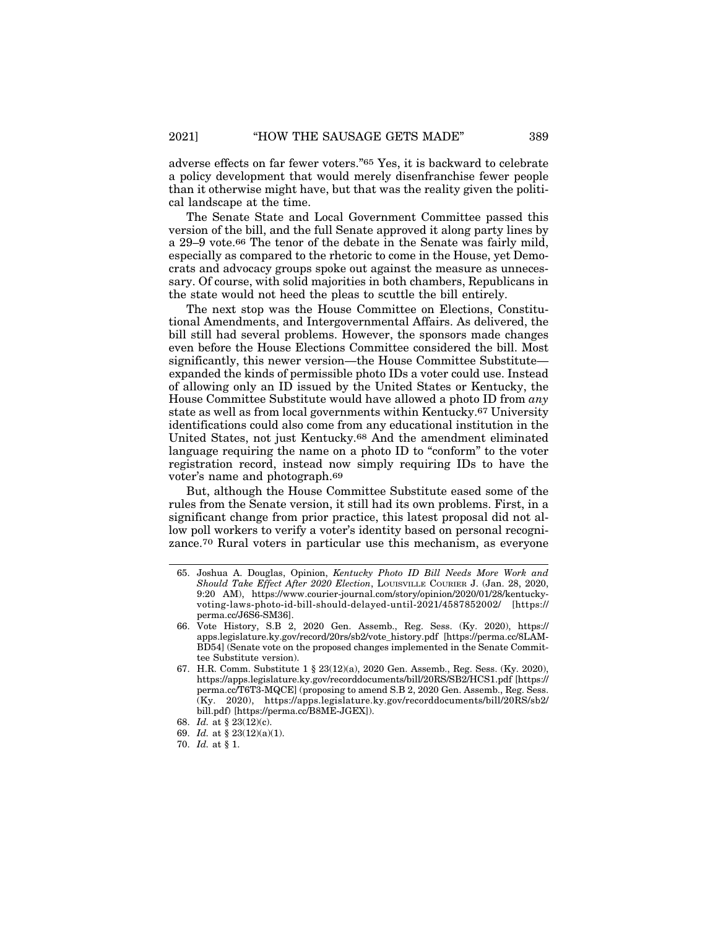adverse effects on far fewer voters."65 Yes, it is backward to celebrate a policy development that would merely disenfranchise fewer people than it otherwise might have, but that was the reality given the political landscape at the time.

The Senate State and Local Government Committee passed this version of the bill, and the full Senate approved it along party lines by a 29–9 vote.66 The tenor of the debate in the Senate was fairly mild, especially as compared to the rhetoric to come in the House, yet Democrats and advocacy groups spoke out against the measure as unnecessary. Of course, with solid majorities in both chambers, Republicans in the state would not heed the pleas to scuttle the bill entirely.

The next stop was the House Committee on Elections, Constitutional Amendments, and Intergovernmental Affairs. As delivered, the bill still had several problems. However, the sponsors made changes even before the House Elections Committee considered the bill. Most significantly, this newer version—the House Committee Substitute expanded the kinds of permissible photo IDs a voter could use. Instead of allowing only an ID issued by the United States or Kentucky, the House Committee Substitute would have allowed a photo ID from *any* state as well as from local governments within Kentucky.67 University identifications could also come from any educational institution in the United States, not just Kentucky.68 And the amendment eliminated language requiring the name on a photo ID to "conform" to the voter registration record, instead now simply requiring IDs to have the voter's name and photograph.69

But, although the House Committee Substitute eased some of the rules from the Senate version, it still had its own problems. First, in a significant change from prior practice, this latest proposal did not allow poll workers to verify a voter's identity based on personal recognizance.70 Rural voters in particular use this mechanism, as everyone

<sup>65.</sup> Joshua A. Douglas, Opinion, *Kentucky Photo ID Bill Needs More Work and Should Take Effect After 2020 Election*, LOUISVILLE COURIER J. (Jan. 28, 2020, 9:20 AM), https://www.courier-journal.com/story/opinion/2020/01/28/kentuckyvoting-laws-photo-id-bill-should-delayed-until-2021/4587852002/ [https:// perma.cc/J6S6-SM36].

<sup>66.</sup> Vote History, S.B 2, 2020 Gen. Assemb., Reg. Sess. (Ky. 2020), https:// apps.legislature.ky.gov/record/20rs/sb2/vote\_history.pdf [https://perma.cc/8LAM-BD54] (Senate vote on the proposed changes implemented in the Senate Committee Substitute version).

<sup>67.</sup> H.R. Comm. Substitute 1 § 23(12)(a), 2020 Gen. Assemb., Reg. Sess. (Ky. 2020), https://apps.legislature.ky.gov/recorddocuments/bill/20RS/SB2/HCS1.pdf [https:// perma.cc/T6T3-MQCE] (proposing to amend S.B 2, 2020 Gen. Assemb., Reg. Sess. (Ky. 2020), https://apps.legislature.ky.gov/recorddocuments/bill/20RS/sb2/ bill.pdf) [https://perma.cc/B8ME-JGEX]).

<sup>68.</sup> *Id.* at § 23(12)(c).

<sup>69.</sup> *Id.* at § 23(12)(a)(1).

<sup>70.</sup> *Id.* at § 1.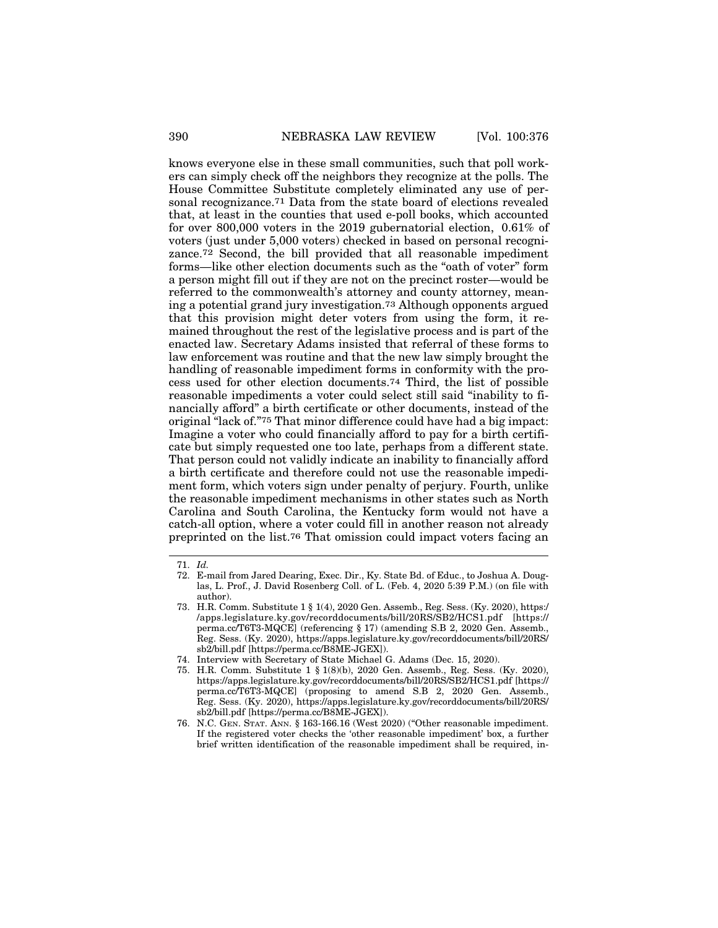knows everyone else in these small communities, such that poll workers can simply check off the neighbors they recognize at the polls. The House Committee Substitute completely eliminated any use of personal recognizance.71 Data from the state board of elections revealed that, at least in the counties that used e-poll books, which accounted for over 800,000 voters in the 2019 gubernatorial election, 0.61% of voters (just under 5,000 voters) checked in based on personal recognizance.72 Second, the bill provided that all reasonable impediment forms—like other election documents such as the "oath of voter" form a person might fill out if they are not on the precinct roster—would be referred to the commonwealth's attorney and county attorney, meaning a potential grand jury investigation.73 Although opponents argued that this provision might deter voters from using the form, it remained throughout the rest of the legislative process and is part of the enacted law. Secretary Adams insisted that referral of these forms to law enforcement was routine and that the new law simply brought the handling of reasonable impediment forms in conformity with the process used for other election documents.74 Third, the list of possible reasonable impediments a voter could select still said "inability to financially afford" a birth certificate or other documents, instead of the original "lack of."75 That minor difference could have had a big impact: Imagine a voter who could financially afford to pay for a birth certificate but simply requested one too late, perhaps from a different state. That person could not validly indicate an inability to financially afford a birth certificate and therefore could not use the reasonable impediment form, which voters sign under penalty of perjury. Fourth, unlike the reasonable impediment mechanisms in other states such as North Carolina and South Carolina, the Kentucky form would not have a catch-all option, where a voter could fill in another reason not already preprinted on the list.76 That omission could impact voters facing an

<sup>71.</sup> *Id.*

<sup>72.</sup> E-mail from Jared Dearing, Exec. Dir., Ky. State Bd. of Educ., to Joshua A. Douglas, L. Prof., J. David Rosenberg Coll. of L. (Feb. 4, 2020 5:39 P.M.) (on file with author).

<sup>73.</sup> H.R. Comm. Substitute 1 § 1(4), 2020 Gen. Assemb., Reg. Sess. (Ky. 2020), https:/ /apps.legislature.ky.gov/recorddocuments/bill/20RS/SB2/HCS1.pdf [https:// perma.cc/T6T3-MQCE] (referencing § 17) (amending S.B 2, 2020 Gen. Assemb., Reg. Sess. (Ky. 2020), https://apps.legislature.ky.gov/recorddocuments/bill/20RS/ sb2/bill.pdf [https://perma.cc/B8ME-JGEX]).

<sup>74.</sup> Interview with Secretary of State Michael G. Adams (Dec. 15, 2020).

<sup>75.</sup> H.R. Comm. Substitute 1 § 1(8)(b), 2020 Gen. Assemb., Reg. Sess. (Ky. 2020), https://apps.legislature.ky.gov/recorddocuments/bill/20RS/SB2/HCS1.pdf [https:// perma.cc/T6T3-MQCE] (proposing to amend S.B 2, 2020 Gen. Assemb., Reg. Sess. (Ky. 2020), https://apps.legislature.ky.gov/recorddocuments/bill/20RS/ sb2/bill.pdf [https://perma.cc/B8ME-JGEX]).

<sup>76.</sup> N.C. GEN. STAT. ANN. § 163-166.16 (West 2020) ("Other reasonable impediment. If the registered voter checks the 'other reasonable impediment' box, a further brief written identification of the reasonable impediment shall be required, in-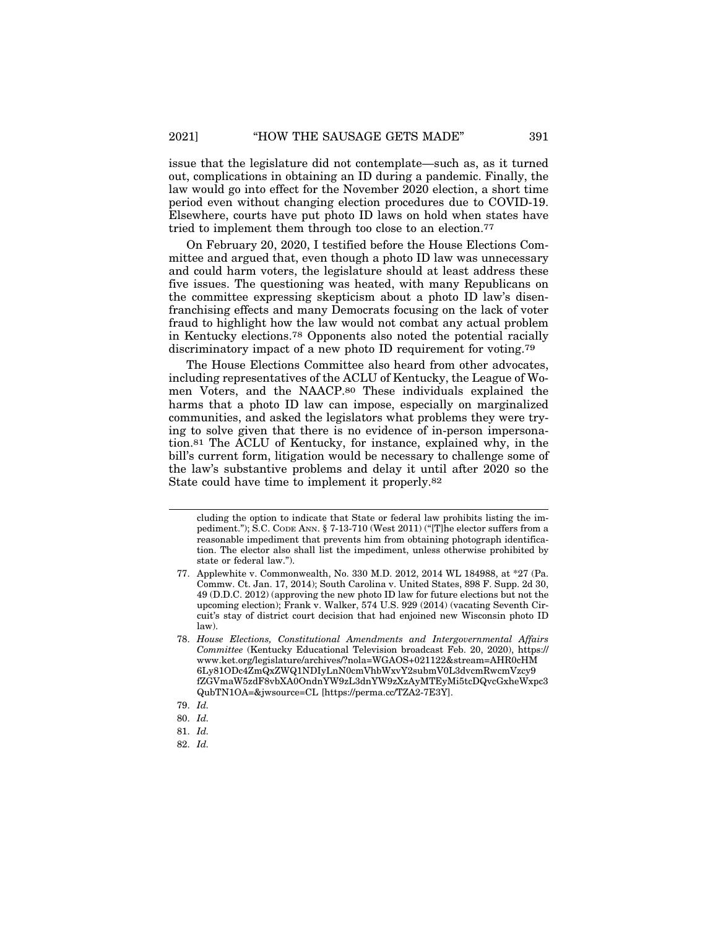issue that the legislature did not contemplate—such as, as it turned out, complications in obtaining an ID during a pandemic. Finally, the law would go into effect for the November 2020 election, a short time period even without changing election procedures due to COVID-19. Elsewhere, courts have put photo ID laws on hold when states have tried to implement them through too close to an election.77

On February 20, 2020, I testified before the House Elections Committee and argued that, even though a photo ID law was unnecessary and could harm voters, the legislature should at least address these five issues. The questioning was heated, with many Republicans on the committee expressing skepticism about a photo ID law's disenfranchising effects and many Democrats focusing on the lack of voter fraud to highlight how the law would not combat any actual problem in Kentucky elections.78 Opponents also noted the potential racially discriminatory impact of a new photo ID requirement for voting.79

The House Elections Committee also heard from other advocates, including representatives of the ACLU of Kentucky, the League of Women Voters, and the NAACP.80 These individuals explained the harms that a photo ID law can impose, especially on marginalized communities, and asked the legislators what problems they were trying to solve given that there is no evidence of in-person impersonation.81 The ACLU of Kentucky, for instance, explained why, in the bill's current form, litigation would be necessary to challenge some of the law's substantive problems and delay it until after 2020 so the State could have time to implement it properly.82

cluding the option to indicate that State or federal law prohibits listing the impediment."); S.C. CODE ANN. § 7-13-710 (West 2011) ("[T]he elector suffers from a reasonable impediment that prevents him from obtaining photograph identification. The elector also shall list the impediment, unless otherwise prohibited by state or federal law.").

<sup>77.</sup> Applewhite v. Commonwealth, No. 330 M.D. 2012, 2014 WL 184988, at \*27 (Pa. Commw. Ct. Jan. 17, 2014); South Carolina v. United States, 898 F. Supp. 2d 30, 49 (D.D.C. 2012) (approving the new photo ID law for future elections but not the upcoming election); Frank v. Walker, 574 U.S. 929 (2014) (vacating Seventh Circuit's stay of district court decision that had enjoined new Wisconsin photo ID law).

<sup>78.</sup> *House Elections, Constitutional Amendments and Intergovernmental Affairs Committee* (Kentucky Educational Television broadcast Feb. 20, 2020), https:// www.ket.org/legislature/archives/?nola=WGAOS+021122&stream=AHR0cHM 6Ly81ODc4ZmQxZWQ1NDIyLnN0cmVhbWxvY2submV0L3dvcmRwcmVzcy9 fZGVmaW5zdF8vbXA0OndnYW9zL3dnYW9zXzAyMTEyMi5tcDQvcGxheWxpc3 QubTN1OA=&jwsource=CL [https://perma.cc/TZA2-7E3Y].

<sup>79.</sup> *Id.*

<sup>80.</sup> *Id.*

<sup>81.</sup> *Id.*

<sup>82.</sup> *Id.*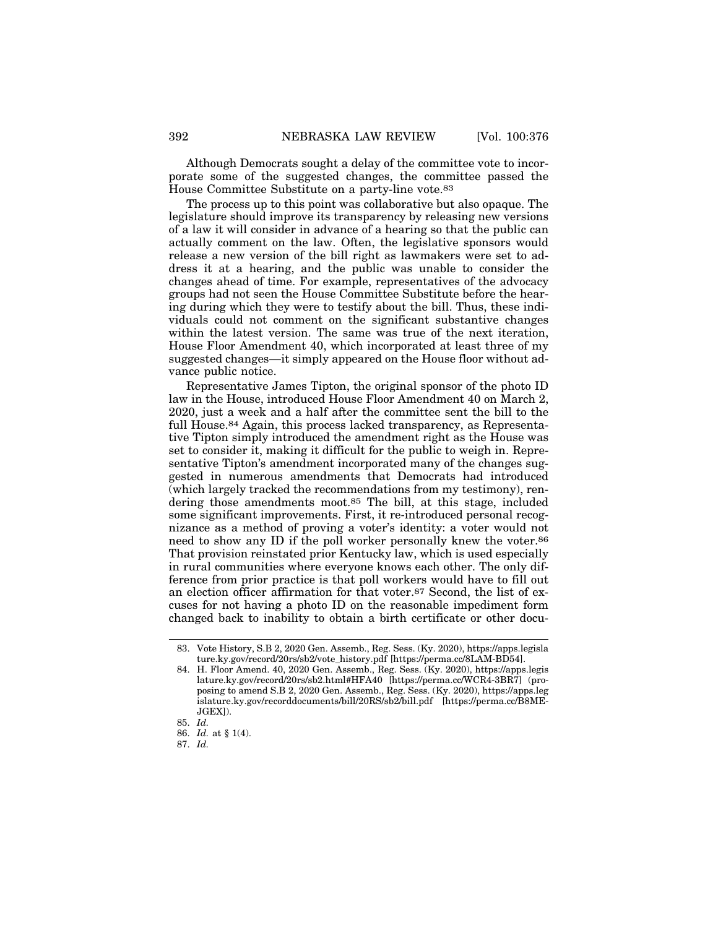Although Democrats sought a delay of the committee vote to incorporate some of the suggested changes, the committee passed the House Committee Substitute on a party-line vote.83

The process up to this point was collaborative but also opaque. The legislature should improve its transparency by releasing new versions of a law it will consider in advance of a hearing so that the public can actually comment on the law. Often, the legislative sponsors would release a new version of the bill right as lawmakers were set to address it at a hearing, and the public was unable to consider the changes ahead of time. For example, representatives of the advocacy groups had not seen the House Committee Substitute before the hearing during which they were to testify about the bill. Thus, these individuals could not comment on the significant substantive changes within the latest version. The same was true of the next iteration, House Floor Amendment 40, which incorporated at least three of my suggested changes—it simply appeared on the House floor without advance public notice.

Representative James Tipton, the original sponsor of the photo ID law in the House, introduced House Floor Amendment 40 on March 2, 2020, just a week and a half after the committee sent the bill to the full House.84 Again, this process lacked transparency, as Representative Tipton simply introduced the amendment right as the House was set to consider it, making it difficult for the public to weigh in. Representative Tipton's amendment incorporated many of the changes suggested in numerous amendments that Democrats had introduced (which largely tracked the recommendations from my testimony), rendering those amendments moot.85 The bill, at this stage, included some significant improvements. First, it re-introduced personal recognizance as a method of proving a voter's identity: a voter would not need to show any ID if the poll worker personally knew the voter.86 That provision reinstated prior Kentucky law, which is used especially in rural communities where everyone knows each other. The only difference from prior practice is that poll workers would have to fill out an election officer affirmation for that voter.87 Second, the list of excuses for not having a photo ID on the reasonable impediment form changed back to inability to obtain a birth certificate or other docu-

<sup>83.</sup> Vote History, S.B 2, 2020 Gen. Assemb., Reg. Sess. (Ky. 2020), https://apps.legisla ture.ky.gov/record/20rs/sb2/vote\_history.pdf [https://perma.cc/8LAM-BD54].

<sup>84.</sup> H. Floor Amend. 40, 2020 Gen. Assemb., Reg. Sess. (Ky. 2020), https://apps.legis lature.ky.gov/record/20rs/sb2.html#HFA40 [https://perma.cc/WCR4-3BR7] (proposing to amend S.B 2, 2020 Gen. Assemb., Reg. Sess. (Ky. 2020), https://apps.leg islature.ky.gov/recorddocuments/bill/20RS/sb2/bill.pdf [https://perma.cc/B8ME-JGEX]).

<sup>85.</sup> *Id.*

<sup>86.</sup> *Id.* at § 1(4).

<sup>87.</sup> *Id.*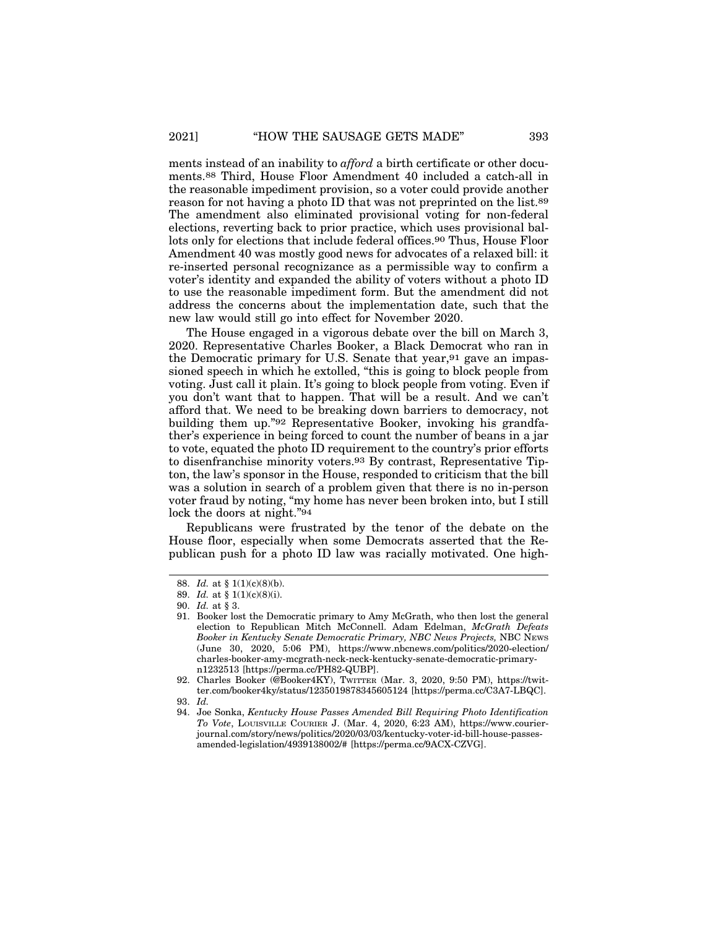ments instead of an inability to *afford* a birth certificate or other documents.88 Third, House Floor Amendment 40 included a catch-all in the reasonable impediment provision, so a voter could provide another reason for not having a photo ID that was not preprinted on the list.89 The amendment also eliminated provisional voting for non-federal elections, reverting back to prior practice, which uses provisional ballots only for elections that include federal offices.90 Thus, House Floor Amendment 40 was mostly good news for advocates of a relaxed bill: it re-inserted personal recognizance as a permissible way to confirm a voter's identity and expanded the ability of voters without a photo ID to use the reasonable impediment form. But the amendment did not address the concerns about the implementation date, such that the new law would still go into effect for November 2020.

The House engaged in a vigorous debate over the bill on March 3, 2020. Representative Charles Booker, a Black Democrat who ran in the Democratic primary for U.S. Senate that year,91 gave an impassioned speech in which he extolled, "this is going to block people from voting. Just call it plain. It's going to block people from voting. Even if you don't want that to happen. That will be a result. And we can't afford that. We need to be breaking down barriers to democracy, not building them up."92 Representative Booker, invoking his grandfather's experience in being forced to count the number of beans in a jar to vote, equated the photo ID requirement to the country's prior efforts to disenfranchise minority voters.93 By contrast, Representative Tipton, the law's sponsor in the House, responded to criticism that the bill was a solution in search of a problem given that there is no in-person voter fraud by noting, "my home has never been broken into, but I still lock the doors at night."94

Republicans were frustrated by the tenor of the debate on the House floor, especially when some Democrats asserted that the Republican push for a photo ID law was racially motivated. One high-

<sup>88.</sup> *Id.* at § 1(1)(c)(8)(b).

<sup>89.</sup> *Id.* at § 1(1)(c)(8)(i).

<sup>90.</sup> *Id.* at § 3.

<sup>91.</sup> Booker lost the Democratic primary to Amy McGrath, who then lost the general election to Republican Mitch McConnell. Adam Edelman, *McGrath Defeats Booker in Kentucky Senate Democratic Primary, NBC News Projects,* NBC NEWS (June 30, 2020, 5:06 PM), https://www.nbcnews.com/politics/2020-election/ charles-booker-amy-mcgrath-neck-neck-kentucky-senate-democratic-primaryn1232513 [https://perma.cc/PH82-QUBP].

<sup>92.</sup> Charles Booker (@Booker4KY), TWITTER (Mar. 3, 2020, 9:50 PM), https://twitter.com/booker4ky/status/1235019878345605124 [https://perma.cc/C3A7-LBQC].

<sup>93.</sup> *Id.*

<sup>94.</sup> Joe Sonka, *Kentucky House Passes Amended Bill Requiring Photo Identification To Vote*, LOUISVILLE COURIER J. (Mar. 4, 2020, 6:23 AM), https://www.courierjournal.com/story/news/politics/2020/03/03/kentucky-voter-id-bill-house-passesamended-legislation/4939138002/# [https://perma.cc/9ACX-CZVG].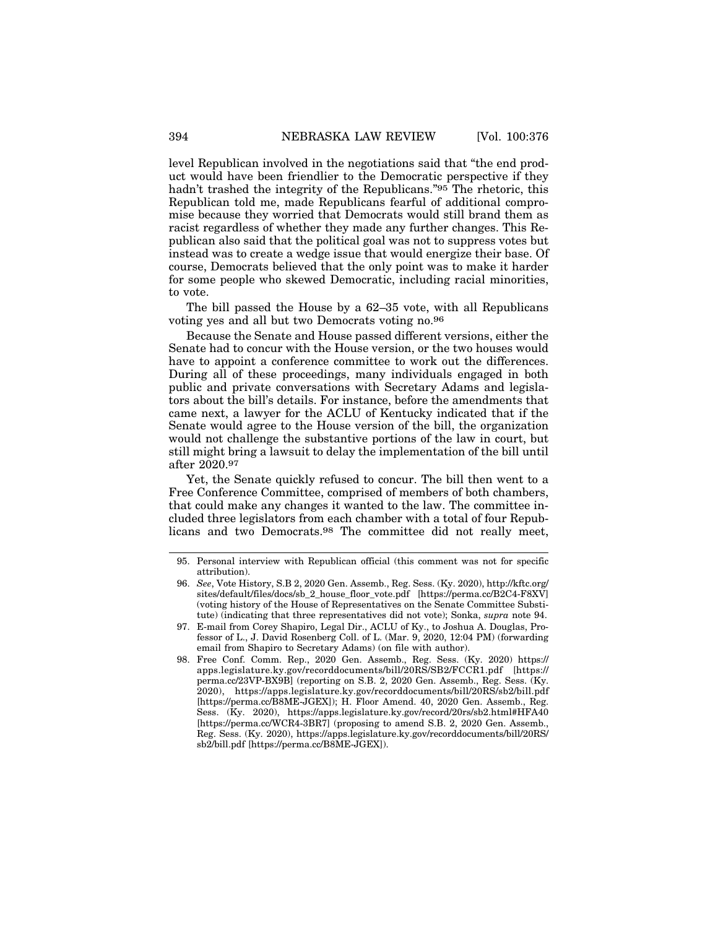level Republican involved in the negotiations said that "the end product would have been friendlier to the Democratic perspective if they hadn't trashed the integrity of the Republicans."95 The rhetoric, this Republican told me, made Republicans fearful of additional compromise because they worried that Democrats would still brand them as racist regardless of whether they made any further changes. This Republican also said that the political goal was not to suppress votes but instead was to create a wedge issue that would energize their base. Of course, Democrats believed that the only point was to make it harder for some people who skewed Democratic, including racial minorities, to vote.

The bill passed the House by a 62–35 vote, with all Republicans voting yes and all but two Democrats voting no.96

Because the Senate and House passed different versions, either the Senate had to concur with the House version, or the two houses would have to appoint a conference committee to work out the differences. During all of these proceedings, many individuals engaged in both public and private conversations with Secretary Adams and legislators about the bill's details. For instance, before the amendments that came next, a lawyer for the ACLU of Kentucky indicated that if the Senate would agree to the House version of the bill, the organization would not challenge the substantive portions of the law in court, but still might bring a lawsuit to delay the implementation of the bill until after 2020.97

Yet, the Senate quickly refused to concur. The bill then went to a Free Conference Committee, comprised of members of both chambers, that could make any changes it wanted to the law. The committee included three legislators from each chamber with a total of four Republicans and two Democrats.98 The committee did not really meet,

<sup>95.</sup> Personal interview with Republican official (this comment was not for specific attribution).

<sup>96.</sup> *See*, Vote History, S.B 2, 2020 Gen. Assemb., Reg. Sess. (Ky. 2020), http://kftc.org/ sites/default/files/docs/sb\_2\_house\_floor\_vote.pdf [https://perma.cc/B2C4-F8XV] (voting history of the House of Representatives on the Senate Committee Substitute) (indicating that three representatives did not vote); Sonka, *supra* note 94.

<sup>97.</sup> E-mail from Corey Shapiro, Legal Dir., ACLU of Ky., to Joshua A. Douglas, Professor of L., J. David Rosenberg Coll. of L. (Mar. 9, 2020, 12:04 PM) (forwarding email from Shapiro to Secretary Adams) (on file with author).

<sup>98.</sup> Free Conf. Comm. Rep., 2020 Gen. Assemb., Reg. Sess. (Ky. 2020) https:// apps.legislature.ky.gov/recorddocuments/bill/20RS/SB2/FCCR1.pdf [https:// perma.cc/23VP-BX9B] (reporting on S.B. 2, 2020 Gen. Assemb., Reg. Sess. (Ky. 2020), https://apps.legislature.ky.gov/recorddocuments/bill/20RS/sb2/bill.pdf [https://perma.cc/B8ME-JGEX]); H. Floor Amend. 40, 2020 Gen. Assemb., Reg. Sess. (Ky. 2020), https://apps.legislature.ky.gov/record/20rs/sb2.html#HFA40 [https://perma.cc/WCR4-3BR7] (proposing to amend S.B. 2, 2020 Gen. Assemb., Reg. Sess. (Ky. 2020), https://apps.legislature.ky.gov/recorddocuments/bill/20RS/ sb2/bill.pdf [https://perma.cc/B8ME-JGEX]).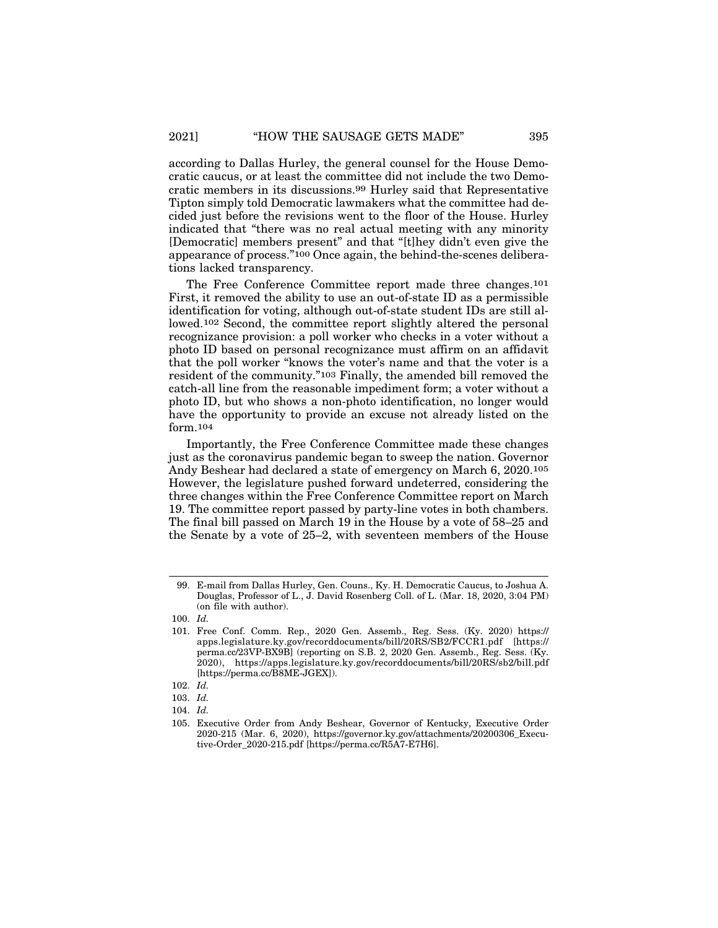according to Dallas Hurley, the general counsel for the House Democratic caucus, or at least the committee did not include the two Democratic members in its discussions.99 Hurley said that Representative Tipton simply told Democratic lawmakers what the committee had decided just before the revisions went to the floor of the House. Hurley indicated that "there was no real actual meeting with any minority [Democratic] members present" and that "[t]hey didn't even give the appearance of process."100 Once again, the behind-the-scenes deliberations lacked transparency.

The Free Conference Committee report made three changes.101 First, it removed the ability to use an out-of-state ID as a permissible identification for voting, although out-of-state student IDs are still allowed.102 Second, the committee report slightly altered the personal recognizance provision: a poll worker who checks in a voter without a photo ID based on personal recognizance must affirm on an affidavit that the poll worker "knows the voter's name and that the voter is a resident of the community."103 Finally, the amended bill removed the catch-all line from the reasonable impediment form; a voter without a photo ID, but who shows a non-photo identification, no longer would have the opportunity to provide an excuse not already listed on the form.104

Importantly, the Free Conference Committee made these changes just as the coronavirus pandemic began to sweep the nation. Governor Andy Beshear had declared a state of emergency on March 6, 2020.105 However, the legislature pushed forward undeterred, considering the three changes within the Free Conference Committee report on March 19. The committee report passed by party-line votes in both chambers. The final bill passed on March 19 in the House by a vote of 58–25 and the Senate by a vote of 25–2, with seventeen members of the House

<sup>99.</sup> E-mail from Dallas Hurley, Gen. Couns., Ky. H. Democratic Caucus, to Joshua A. Douglas, Professor of L., J. David Rosenberg Coll. of L. (Mar. 18, 2020, 3:04 PM) (on file with author).

<sup>100.</sup> *Id.*

<sup>101.</sup> Free Conf. Comm. Rep., 2020 Gen. Assemb., Reg. Sess. (Ky. 2020) https:// apps.legislature.ky.gov/recorddocuments/bill/20RS/SB2/FCCR1.pdf [https:// perma.cc/23VP-BX9B] (reporting on S.B. 2, 2020 Gen. Assemb., Reg. Sess. (Ky. 2020), https://apps.legislature.ky.gov/recorddocuments/bill/20RS/sb2/bill.pdf [https://perma.cc/B8ME-JGEX]).

<sup>102.</sup> *Id.*

<sup>103.</sup> *Id.*

<sup>104.</sup> *Id.*

<sup>105.</sup> Executive Order from Andy Beshear, Governor of Kentucky, Executive Order 2020-215 (Mar. 6, 2020), https://governor.ky.gov/attachments/20200306\_Executive-Order\_2020-215.pdf [https://perma.cc/R5A7-E7H6].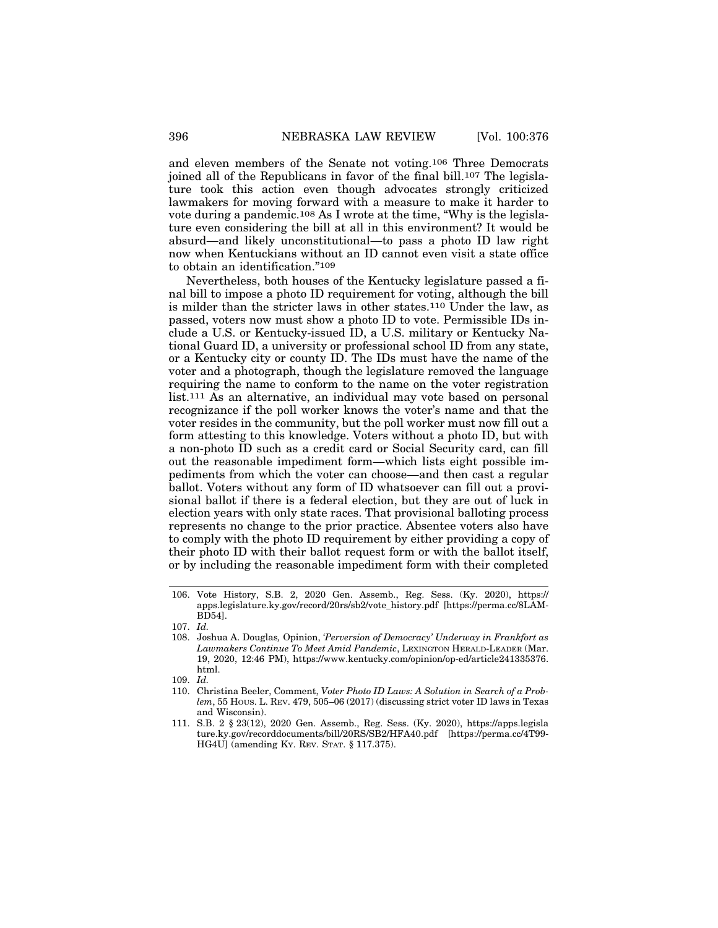and eleven members of the Senate not voting.106 Three Democrats joined all of the Republicans in favor of the final bill.107 The legislature took this action even though advocates strongly criticized lawmakers for moving forward with a measure to make it harder to vote during a pandemic.108 As I wrote at the time, "Why is the legislature even considering the bill at all in this environment? It would be absurd—and likely unconstitutional—to pass a photo ID law right now when Kentuckians without an ID cannot even visit a state office to obtain an identification."109

Nevertheless, both houses of the Kentucky legislature passed a final bill to impose a photo ID requirement for voting, although the bill is milder than the stricter laws in other states.110 Under the law, as passed, voters now must show a photo ID to vote. Permissible IDs include a U.S. or Kentucky-issued ID, a U.S. military or Kentucky National Guard ID, a university or professional school ID from any state, or a Kentucky city or county ID. The IDs must have the name of the voter and a photograph, though the legislature removed the language requiring the name to conform to the name on the voter registration list.111 As an alternative, an individual may vote based on personal recognizance if the poll worker knows the voter's name and that the voter resides in the community, but the poll worker must now fill out a form attesting to this knowledge. Voters without a photo ID, but with a non-photo ID such as a credit card or Social Security card, can fill out the reasonable impediment form—which lists eight possible impediments from which the voter can choose—and then cast a regular ballot. Voters without any form of ID whatsoever can fill out a provisional ballot if there is a federal election, but they are out of luck in election years with only state races. That provisional balloting process represents no change to the prior practice. Absentee voters also have to comply with the photo ID requirement by either providing a copy of their photo ID with their ballot request form or with the ballot itself, or by including the reasonable impediment form with their completed

<sup>106.</sup> Vote History, S.B. 2, 2020 Gen. Assemb., Reg. Sess. (Ky. 2020), https:// apps.legislature.ky.gov/record/20rs/sb2/vote\_history.pdf [https://perma.cc/8LAM-BD54].

<sup>107.</sup> *Id.*

<sup>108.</sup> Joshua A. Douglas*,* Opinion, *'Perversion of Democracy' Underway in Frankfort as Lawmakers Continue To Meet Amid Pandemic*, LEXINGTON HERALD-LEADER (Mar. 19, 2020, 12:46 PM), https://www.kentucky.com/opinion/op-ed/article241335376. html.

<sup>109.</sup> *Id.*

<sup>110.</sup> Christina Beeler, Comment, *Voter Photo ID Laws: A Solution in Search of a Problem*, 55 HOUS. L. REV. 479, 505–06 (2017) (discussing strict voter ID laws in Texas and Wisconsin).

<sup>111.</sup> S.B. 2 § 23(12), 2020 Gen. Assemb., Reg. Sess. (Ky. 2020), https://apps.legisla ture.ky.gov/recorddocuments/bill/20RS/SB2/HFA40.pdf [https://perma.cc/4T99- HG4U] (amending KY. REV. STAT. § 117.375).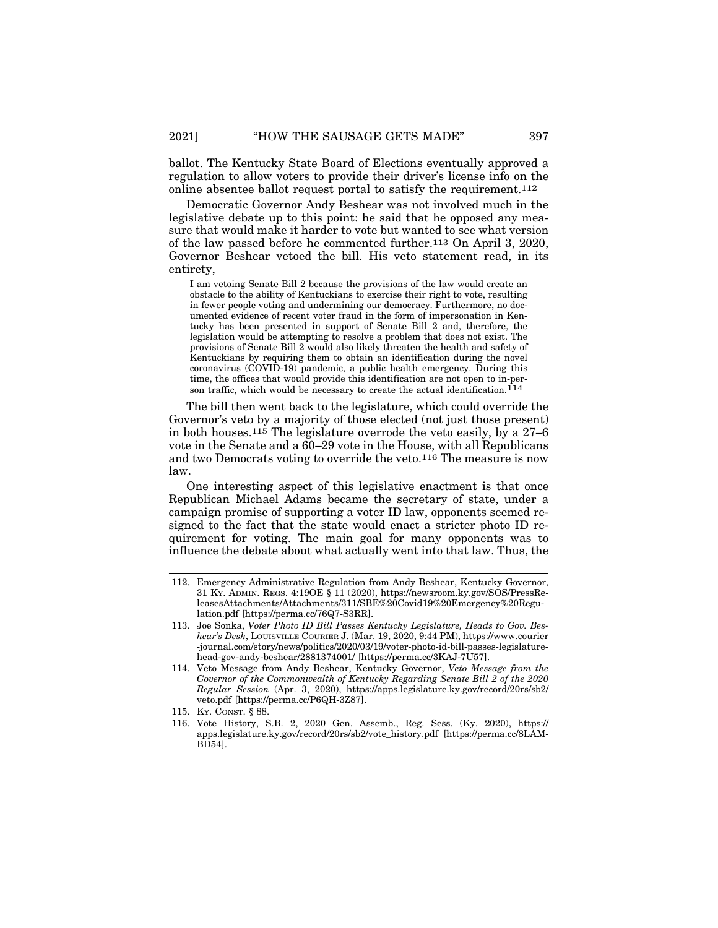ballot. The Kentucky State Board of Elections eventually approved a regulation to allow voters to provide their driver's license info on the online absentee ballot request portal to satisfy the requirement.112

Democratic Governor Andy Beshear was not involved much in the legislative debate up to this point: he said that he opposed any measure that would make it harder to vote but wanted to see what version of the law passed before he commented further.113 On April 3, 2020, Governor Beshear vetoed the bill. His veto statement read, in its entirety,

I am vetoing Senate Bill 2 because the provisions of the law would create an obstacle to the ability of Kentuckians to exercise their right to vote, resulting in fewer people voting and undermining our democracy. Furthermore, no documented evidence of recent voter fraud in the form of impersonation in Kentucky has been presented in support of Senate Bill 2 and, therefore, the legislation would be attempting to resolve a problem that does not exist. The provisions of Senate Bill 2 would also likely threaten the health and safety of Kentuckians by requiring them to obtain an identification during the novel coronavirus (COVID-19) pandemic, a public health emergency. During this time, the offices that would provide this identification are not open to in-person traffic, which would be necessary to create the actual identification.  $\overline{114}$ 

The bill then went back to the legislature, which could override the Governor's veto by a majority of those elected (not just those present) in both houses.<sup>115</sup> The legislature overrode the veto easily, by a  $27-6$ vote in the Senate and a  $60-29$  vote in the House, with all Republicans and two Democrats voting to override the veto.116 The measure is now law.

One interesting aspect of this legislative enactment is that once Republican Michael Adams became the secretary of state, under a campaign promise of supporting a voter ID law, opponents seemed resigned to the fact that the state would enact a stricter photo ID requirement for voting. The main goal for many opponents was to influence the debate about what actually went into that law. Thus, the

<sup>112.</sup> Emergency Administrative Regulation from Andy Beshear, Kentucky Governor, 31 KY. ADMIN. REGS. 4:19OE § 11 (2020), https://newsroom.ky.gov/SOS/PressReleasesAttachments/Attachments/311/SBE%20Covid19%20Emergency%20Regulation.pdf [https://perma.cc/76Q7-S3RR].

<sup>113.</sup> Joe Sonka, *Voter Photo ID Bill Passes Kentucky Legislature, Heads to Gov. Beshear's Desk*, LOUISVILLE COURIER J. (Mar. 19, 2020, 9:44 PM), https://www.courier -journal.com/story/news/politics/2020/03/19/voter-photo-id-bill-passes-legislaturehead-gov-andy-beshear/2881374001/ [https://perma.cc/3KAJ-7U57].

<sup>114.</sup> Veto Message from Andy Beshear, Kentucky Governor, *Veto Message from the Governor of the Commonwealth of Kentucky Regarding Senate Bill 2 of the 2020 Regular Session* (Apr. 3, 2020), https://apps.legislature.ky.gov/record/20rs/sb2/ veto.pdf [https://perma.cc/P6QH-3Z87].

<sup>115.</sup> KY. CONST. § 88.

<sup>116.</sup> Vote History, S.B. 2, 2020 Gen. Assemb., Reg. Sess. (Ky. 2020), https:// apps.legislature.ky.gov/record/20rs/sb2/vote\_history.pdf [https://perma.cc/8LAM-BD54].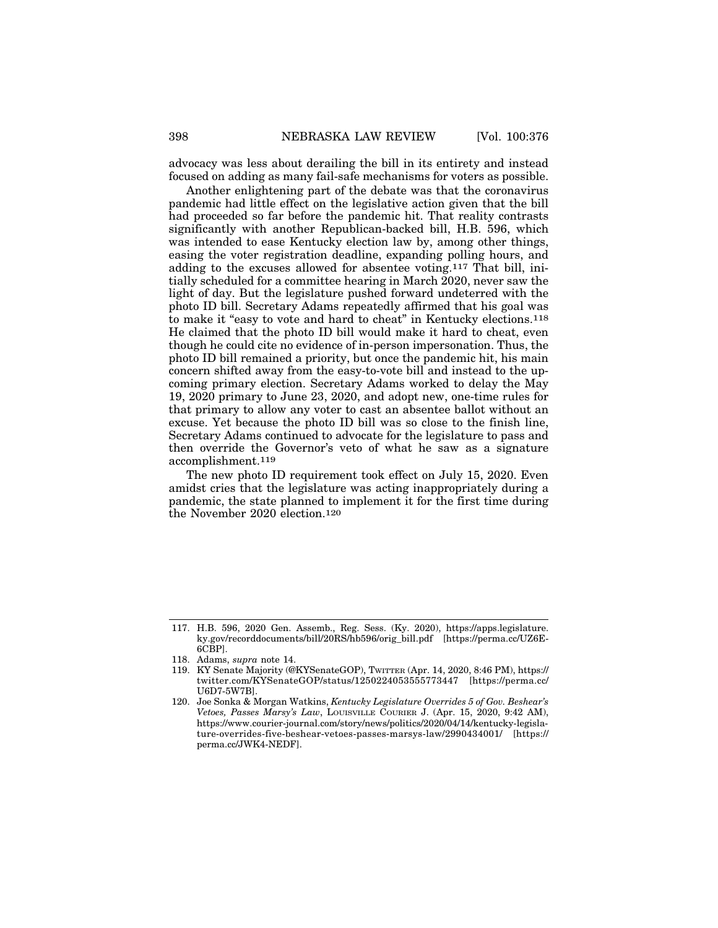advocacy was less about derailing the bill in its entirety and instead focused on adding as many fail-safe mechanisms for voters as possible.

Another enlightening part of the debate was that the coronavirus pandemic had little effect on the legislative action given that the bill had proceeded so far before the pandemic hit. That reality contrasts significantly with another Republican-backed bill, H.B. 596, which was intended to ease Kentucky election law by, among other things, easing the voter registration deadline, expanding polling hours, and adding to the excuses allowed for absentee voting.117 That bill, initially scheduled for a committee hearing in March 2020, never saw the light of day. But the legislature pushed forward undeterred with the photo ID bill. Secretary Adams repeatedly affirmed that his goal was to make it "easy to vote and hard to cheat" in Kentucky elections.118 He claimed that the photo ID bill would make it hard to cheat, even though he could cite no evidence of in-person impersonation. Thus, the photo ID bill remained a priority, but once the pandemic hit, his main concern shifted away from the easy-to-vote bill and instead to the upcoming primary election. Secretary Adams worked to delay the May 19, 2020 primary to June 23, 2020, and adopt new, one-time rules for that primary to allow any voter to cast an absentee ballot without an excuse. Yet because the photo ID bill was so close to the finish line, Secretary Adams continued to advocate for the legislature to pass and then override the Governor's veto of what he saw as a signature accomplishment.119

The new photo ID requirement took effect on July 15, 2020. Even amidst cries that the legislature was acting inappropriately during a pandemic, the state planned to implement it for the first time during the November 2020 election.120

<sup>117.</sup> H.B. 596, 2020 Gen. Assemb., Reg. Sess. (Ky. 2020), https://apps.legislature. ky.gov/recorddocuments/bill/20RS/hb596/orig\_bill.pdf [https://perma.cc/UZ6E-6CBP].

<sup>118.</sup> Adams, *supra* note 14.

<sup>119.</sup> KY Senate Majority (@KYSenateGOP), TWITTER (Apr. 14, 2020, 8:46 PM), https:// twitter.com/KYSenateGOP/status/1250224053555773447 [https://perma.cc/ U6D7-5W7B].

<sup>120.</sup> Joe Sonka & Morgan Watkins, *Kentucky Legislature Overrides 5 of Gov. Beshear's Vetoes, Passes Marsy's Law*, LOUISVILLE COURIER J. (Apr. 15, 2020, 9:42 AM), https://www.courier-journal.com/story/news/politics/2020/04/14/kentucky-legislature-overrides-five-beshear-vetoes-passes-marsys-law/2990434001/ [https:// perma.cc/JWK4-NEDF].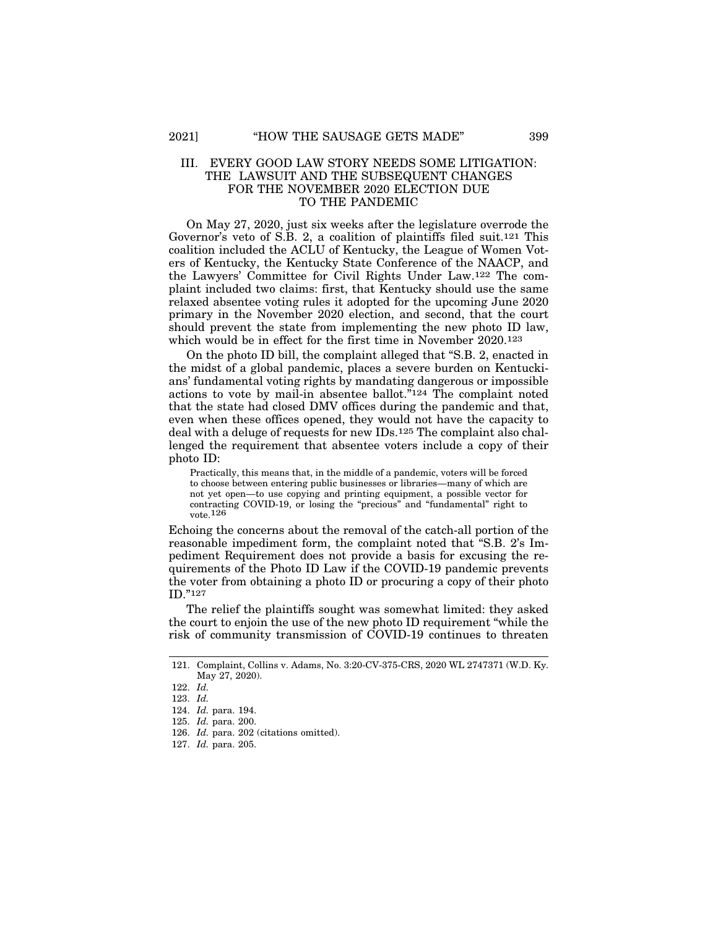#### III. EVERY GOOD LAW STORY NEEDS SOME LITIGATION: THE LAWSUIT AND THE SUBSEQUENT CHANGES FOR THE NOVEMBER 2020 ELECTION DUE TO THE PANDEMIC

On May 27, 2020, just six weeks after the legislature overrode the Governor's veto of S.B. 2, a coalition of plaintiffs filed suit.121 This coalition included the ACLU of Kentucky, the League of Women Voters of Kentucky, the Kentucky State Conference of the NAACP, and the Lawyers' Committee for Civil Rights Under Law.122 The complaint included two claims: first, that Kentucky should use the same relaxed absentee voting rules it adopted for the upcoming June 2020 primary in the November 2020 election, and second, that the court should prevent the state from implementing the new photo ID law, which would be in effect for the first time in November 2020.123

On the photo ID bill, the complaint alleged that "S.B. 2, enacted in the midst of a global pandemic, places a severe burden on Kentuckians' fundamental voting rights by mandating dangerous or impossible actions to vote by mail-in absentee ballot."124 The complaint noted that the state had closed DMV offices during the pandemic and that, even when these offices opened, they would not have the capacity to deal with a deluge of requests for new IDs.125 The complaint also challenged the requirement that absentee voters include a copy of their photo ID:

Practically, this means that, in the middle of a pandemic, voters will be forced to choose between entering public businesses or libraries—many of which are not yet open—to use copying and printing equipment, a possible vector for contracting COVID-19, or losing the "precious" and "fundamental" right to vote.126

Echoing the concerns about the removal of the catch-all portion of the reasonable impediment form, the complaint noted that "S.B. 2's Impediment Requirement does not provide a basis for excusing the requirements of the Photo ID Law if the COVID-19 pandemic prevents the voter from obtaining a photo ID or procuring a copy of their photo ID."127

The relief the plaintiffs sought was somewhat limited: they asked the court to enjoin the use of the new photo ID requirement "while the risk of community transmission of COVID-19 continues to threaten

<sup>121.</sup> Complaint, Collins v. Adams, No. 3:20-CV-375-CRS, 2020 WL 2747371 (W.D. Ky. May 27, 2020).

<sup>122.</sup> *Id.*

<sup>123.</sup> *Id.*

<sup>124.</sup> *Id.* para. 194.

<sup>125.</sup> *Id.* para. 200.

<sup>126.</sup> *Id.* para. 202 (citations omitted).

<sup>127.</sup> *Id.* para. 205.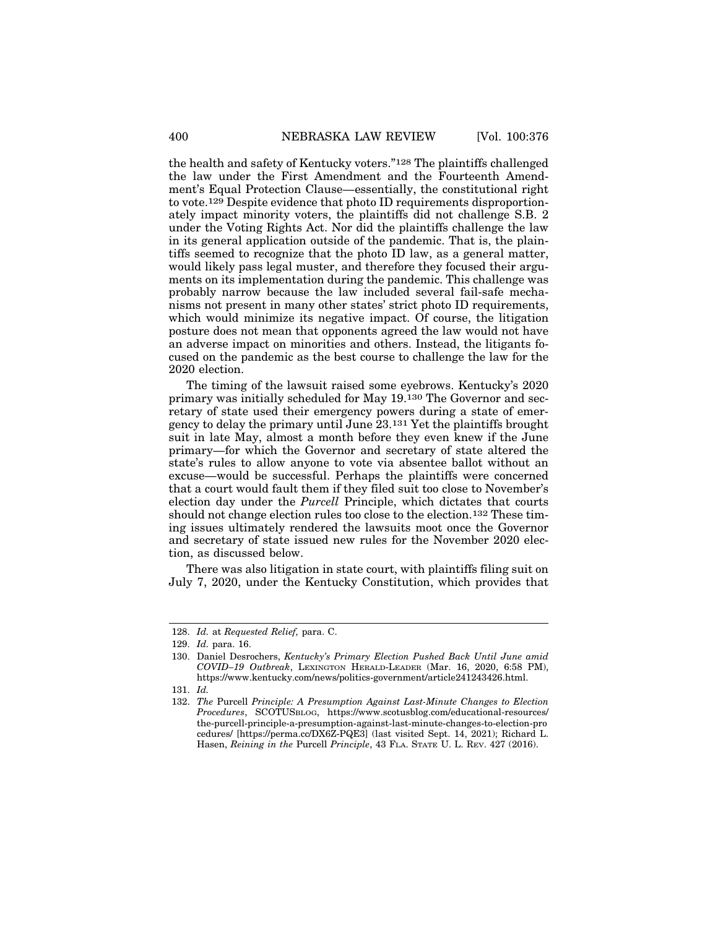the health and safety of Kentucky voters."128 The plaintiffs challenged the law under the First Amendment and the Fourteenth Amendment's Equal Protection Clause—essentially, the constitutional right to vote.129 Despite evidence that photo ID requirements disproportionately impact minority voters, the plaintiffs did not challenge S.B. 2 under the Voting Rights Act. Nor did the plaintiffs challenge the law in its general application outside of the pandemic. That is, the plaintiffs seemed to recognize that the photo ID law, as a general matter, would likely pass legal muster, and therefore they focused their arguments on its implementation during the pandemic. This challenge was probably narrow because the law included several fail-safe mechanisms not present in many other states' strict photo ID requirements, which would minimize its negative impact. Of course, the litigation posture does not mean that opponents agreed the law would not have an adverse impact on minorities and others. Instead, the litigants focused on the pandemic as the best course to challenge the law for the 2020 election.

The timing of the lawsuit raised some eyebrows. Kentucky's 2020 primary was initially scheduled for May 19.130 The Governor and secretary of state used their emergency powers during a state of emergency to delay the primary until June 23.131 Yet the plaintiffs brought suit in late May, almost a month before they even knew if the June primary—for which the Governor and secretary of state altered the state's rules to allow anyone to vote via absentee ballot without an excuse—would be successful. Perhaps the plaintiffs were concerned that a court would fault them if they filed suit too close to November's election day under the *Purcell* Principle, which dictates that courts should not change election rules too close to the election.132 These timing issues ultimately rendered the lawsuits moot once the Governor and secretary of state issued new rules for the November 2020 election, as discussed below.

There was also litigation in state court, with plaintiffs filing suit on July 7, 2020, under the Kentucky Constitution, which provides that

<sup>128.</sup> *Id.* at *Requested Relief,* para. C.

<sup>129.</sup> *Id.* para. 16.

<sup>130.</sup> Daniel Desrochers, *Kentucky's Primary Election Pushed Back Until June amid COVID–19 Outbreak*, LEXINGTON HERALD-LEADER (Mar. 16, 2020, 6:58 PM), https://www.kentucky.com/news/politics-government/article241243426.html.

<sup>131.</sup> *Id.*

<sup>132.</sup> *The* Purcell *Principle: A Presumption Against Last-Minute Changes to Election Procedures*, SCOTUSBLOG, https://www.scotusblog.com/educational-resources/ the-purcell-principle-a-presumption-against-last-minute-changes-to-election-pro cedures/ [https://perma.cc/DX6Z-PQE3] (last visited Sept. 14, 2021); Richard L. Hasen, *Reining in the* Purcell *Principle*, 43 FLA. STATE U. L. REV. 427 (2016).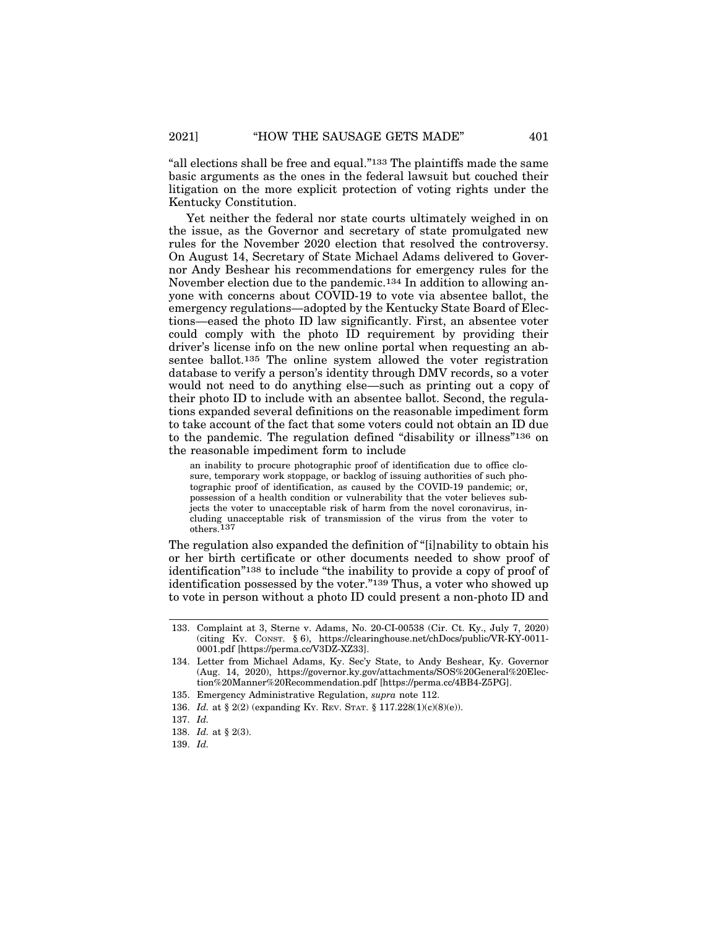"all elections shall be free and equal."133 The plaintiffs made the same basic arguments as the ones in the federal lawsuit but couched their litigation on the more explicit protection of voting rights under the Kentucky Constitution.

Yet neither the federal nor state courts ultimately weighed in on the issue, as the Governor and secretary of state promulgated new rules for the November 2020 election that resolved the controversy. On August 14, Secretary of State Michael Adams delivered to Governor Andy Beshear his recommendations for emergency rules for the November election due to the pandemic.134 In addition to allowing anyone with concerns about COVID-19 to vote via absentee ballot, the emergency regulations—adopted by the Kentucky State Board of Elections—eased the photo ID law significantly. First, an absentee voter could comply with the photo ID requirement by providing their driver's license info on the new online portal when requesting an absentee ballot.135 The online system allowed the voter registration database to verify a person's identity through DMV records, so a voter would not need to do anything else—such as printing out a copy of their photo ID to include with an absentee ballot. Second, the regulations expanded several definitions on the reasonable impediment form to take account of the fact that some voters could not obtain an ID due to the pandemic. The regulation defined "disability or illness"136 on the reasonable impediment form to include

an inability to procure photographic proof of identification due to office closure, temporary work stoppage, or backlog of issuing authorities of such photographic proof of identification, as caused by the COVID-19 pandemic; or, possession of a health condition or vulnerability that the voter believes subjects the voter to unacceptable risk of harm from the novel coronavirus, including unacceptable risk of transmission of the virus from the voter to others.137

The regulation also expanded the definition of "[i]nability to obtain his or her birth certificate or other documents needed to show proof of identification"138 to include "the inability to provide a copy of proof of identification possessed by the voter."139 Thus, a voter who showed up to vote in person without a photo ID could present a non-photo ID and

<sup>133.</sup> Complaint at 3, Sterne v. Adams, No. 20-CI-00538 (Cir. Ct. Ky., July 7, 2020) (citing KY. CONST. § 6), https://clearinghouse.net/chDocs/public/VR-KY-0011- 0001.pdf [https://perma.cc/V3DZ-XZ33].

<sup>134.</sup> Letter from Michael Adams, Ky. Sec'y State, to Andy Beshear, Ky. Governor (Aug. 14, 2020), https://governor.ky.gov/attachments/SOS%20General%20Election%20Manner%20Recommendation.pdf [https://perma.cc/4BB4-Z5PG].

<sup>135.</sup> Emergency Administrative Regulation, *supra* note 112.

<sup>136.</sup> *Id.* at § 2(2) (expanding KY. REV. STAT. § 117.228(1)(c)(8)(e)).

<sup>137.</sup> *Id.*

<sup>138.</sup> *Id.* at § 2(3).

<sup>139.</sup> *Id.*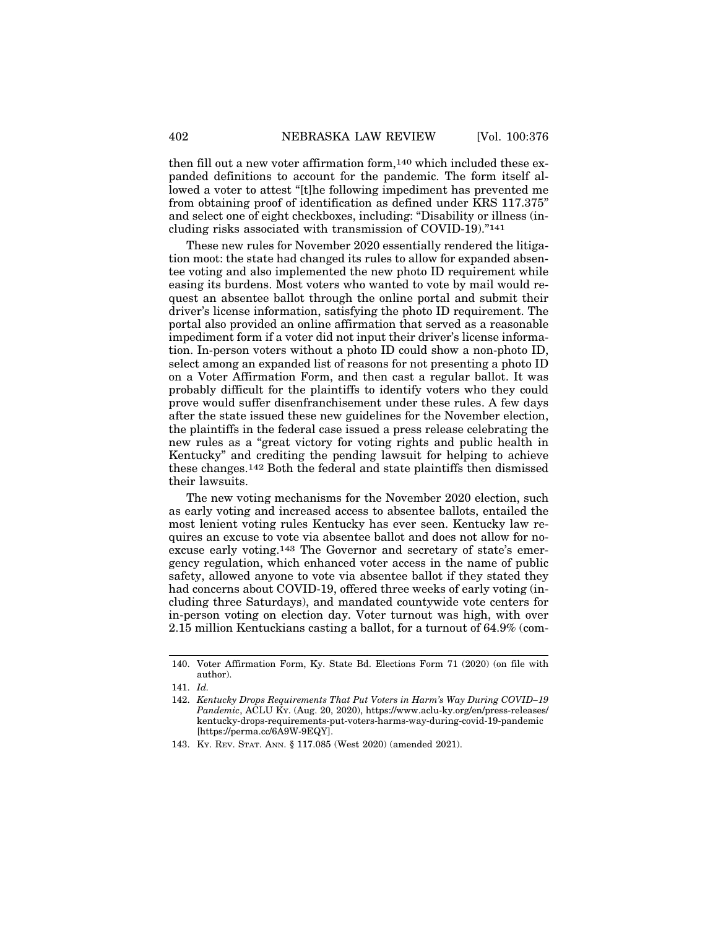then fill out a new voter affirmation form,140 which included these expanded definitions to account for the pandemic. The form itself allowed a voter to attest "[t]he following impediment has prevented me from obtaining proof of identification as defined under KRS 117.375" and select one of eight checkboxes, including: "Disability or illness (including risks associated with transmission of COVID-19)."141

These new rules for November 2020 essentially rendered the litigation moot: the state had changed its rules to allow for expanded absentee voting and also implemented the new photo ID requirement while easing its burdens. Most voters who wanted to vote by mail would request an absentee ballot through the online portal and submit their driver's license information, satisfying the photo ID requirement. The portal also provided an online affirmation that served as a reasonable impediment form if a voter did not input their driver's license information. In-person voters without a photo ID could show a non-photo ID, select among an expanded list of reasons for not presenting a photo ID on a Voter Affirmation Form, and then cast a regular ballot. It was probably difficult for the plaintiffs to identify voters who they could prove would suffer disenfranchisement under these rules. A few days after the state issued these new guidelines for the November election, the plaintiffs in the federal case issued a press release celebrating the new rules as a "great victory for voting rights and public health in Kentucky" and crediting the pending lawsuit for helping to achieve these changes.142 Both the federal and state plaintiffs then dismissed their lawsuits.

The new voting mechanisms for the November 2020 election, such as early voting and increased access to absentee ballots, entailed the most lenient voting rules Kentucky has ever seen. Kentucky law requires an excuse to vote via absentee ballot and does not allow for noexcuse early voting.143 The Governor and secretary of state's emergency regulation, which enhanced voter access in the name of public safety, allowed anyone to vote via absentee ballot if they stated they had concerns about COVID-19, offered three weeks of early voting (including three Saturdays), and mandated countywide vote centers for in-person voting on election day. Voter turnout was high, with over 2.15 million Kentuckians casting a ballot, for a turnout of 64.9% (com-

<sup>140.</sup> Voter Affirmation Form, Ky. State Bd. Elections Form 71 (2020) (on file with author).

<sup>141.</sup> *Id.*

<sup>142.</sup> *Kentucky Drops Requirements That Put Voters in Harm's Way During COVID–19 Pandemic*, ACLU KY. (Aug. 20, 2020), https://www.aclu-ky.org/en/press-releases/ kentucky-drops-requirements-put-voters-harms-way-during-covid-19-pandemic [https://perma.cc/6A9W-9EQY].

<sup>143.</sup> KY. REV. STAT. ANN. § 117.085 (West 2020) (amended 2021).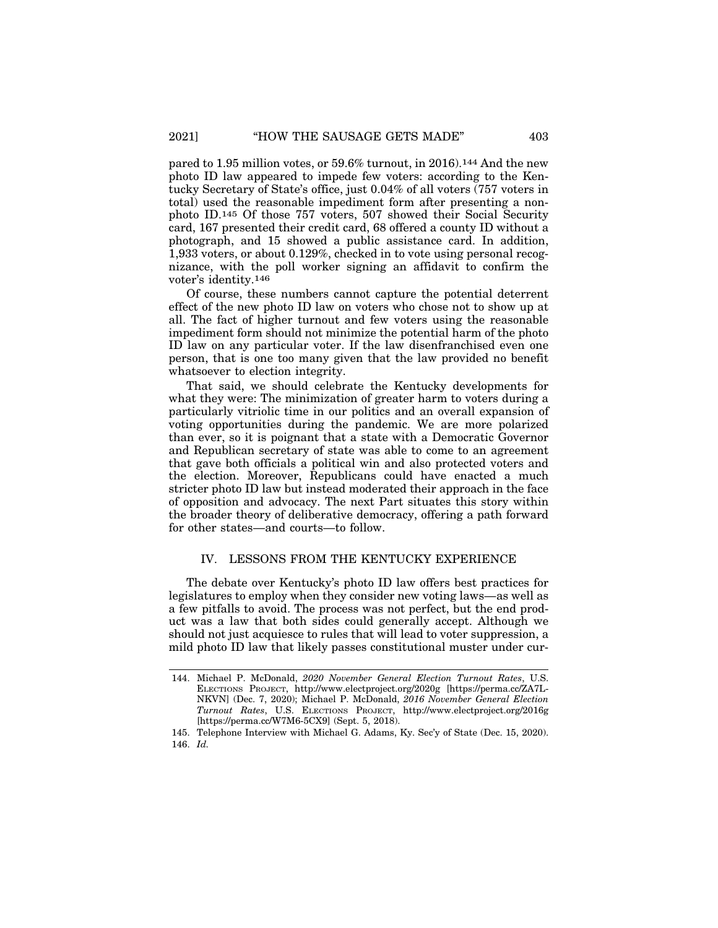pared to 1.95 million votes, or 59.6% turnout, in 2016).144 And the new photo ID law appeared to impede few voters: according to the Kentucky Secretary of State's office, just 0.04% of all voters (757 voters in total) used the reasonable impediment form after presenting a nonphoto ID.145 Of those 757 voters, 507 showed their Social Security card, 167 presented their credit card, 68 offered a county ID without a photograph, and 15 showed a public assistance card. In addition, 1,933 voters, or about 0.129%, checked in to vote using personal recognizance, with the poll worker signing an affidavit to confirm the voter's identity.146

Of course, these numbers cannot capture the potential deterrent effect of the new photo ID law on voters who chose not to show up at all. The fact of higher turnout and few voters using the reasonable impediment form should not minimize the potential harm of the photo ID law on any particular voter. If the law disenfranchised even one person, that is one too many given that the law provided no benefit whatsoever to election integrity.

That said, we should celebrate the Kentucky developments for what they were: The minimization of greater harm to voters during a particularly vitriolic time in our politics and an overall expansion of voting opportunities during the pandemic. We are more polarized than ever, so it is poignant that a state with a Democratic Governor and Republican secretary of state was able to come to an agreement that gave both officials a political win and also protected voters and the election. Moreover, Republicans could have enacted a much stricter photo ID law but instead moderated their approach in the face of opposition and advocacy. The next Part situates this story within the broader theory of deliberative democracy, offering a path forward for other states—and courts—to follow.

#### IV. LESSONS FROM THE KENTUCKY EXPERIENCE

The debate over Kentucky's photo ID law offers best practices for legislatures to employ when they consider new voting laws—as well as a few pitfalls to avoid. The process was not perfect, but the end product was a law that both sides could generally accept. Although we should not just acquiesce to rules that will lead to voter suppression, a mild photo ID law that likely passes constitutional muster under cur-

<sup>144.</sup> Michael P. McDonald, *2020 November General Election Turnout Rates*, U.S. ELECTIONS PROJECT, http://www.electproject.org/2020g [https://perma.cc/ZA7L-NKVN] (Dec. 7, 2020); Michael P. McDonald, *2016 November General Election Turnout Rates*, U.S. ELECTIONS PROJECT, http://www.electproject.org/2016g [https://perma.cc/W7M6-5CX9] (Sept. 5, 2018).

<sup>145.</sup> Telephone Interview with Michael G. Adams, Ky. Sec'y of State (Dec. 15, 2020). 146. *Id.*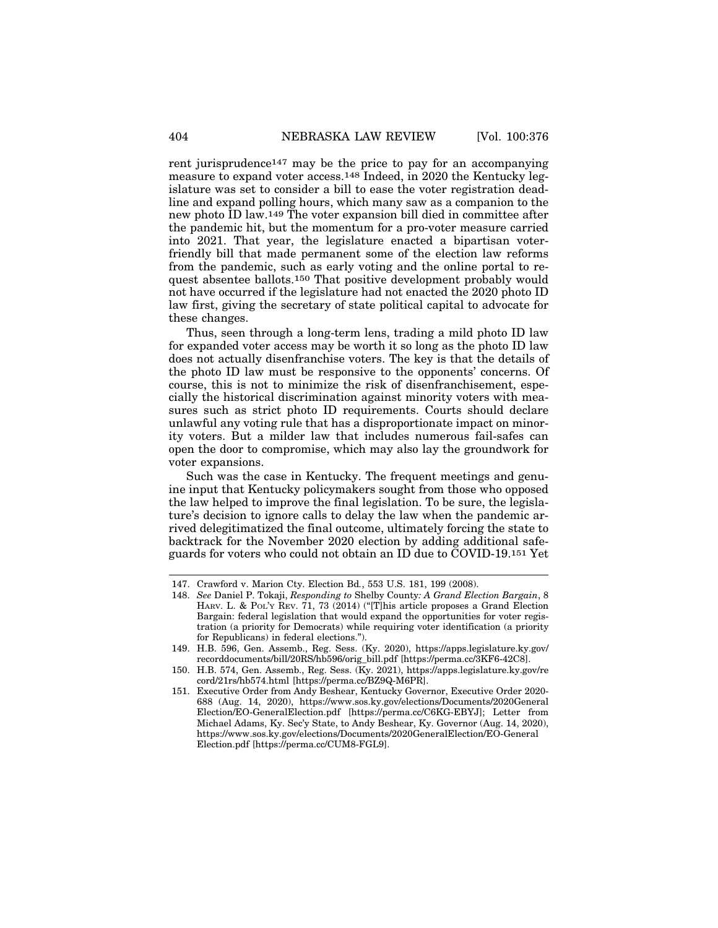rent jurisprudence147 may be the price to pay for an accompanying measure to expand voter access.148 Indeed, in 2020 the Kentucky legislature was set to consider a bill to ease the voter registration deadline and expand polling hours, which many saw as a companion to the new photo ID law.149 The voter expansion bill died in committee after the pandemic hit, but the momentum for a pro-voter measure carried into 2021. That year, the legislature enacted a bipartisan voterfriendly bill that made permanent some of the election law reforms from the pandemic, such as early voting and the online portal to request absentee ballots.150 That positive development probably would not have occurred if the legislature had not enacted the 2020 photo ID law first, giving the secretary of state political capital to advocate for these changes.

Thus, seen through a long-term lens, trading a mild photo ID law for expanded voter access may be worth it so long as the photo ID law does not actually disenfranchise voters. The key is that the details of the photo ID law must be responsive to the opponents' concerns. Of course, this is not to minimize the risk of disenfranchisement, especially the historical discrimination against minority voters with measures such as strict photo ID requirements. Courts should declare unlawful any voting rule that has a disproportionate impact on minority voters. But a milder law that includes numerous fail-safes can open the door to compromise, which may also lay the groundwork for voter expansions.

Such was the case in Kentucky. The frequent meetings and genuine input that Kentucky policymakers sought from those who opposed the law helped to improve the final legislation. To be sure, the legislature's decision to ignore calls to delay the law when the pandemic arrived delegitimatized the final outcome, ultimately forcing the state to backtrack for the November 2020 election by adding additional safeguards for voters who could not obtain an ID due to COVID-19.151 Yet

<sup>147.</sup> Crawford v. Marion Cty. Election Bd*.*, 553 U.S. 181, 199 (2008).

<sup>148.</sup> *See* Daniel P. Tokaji, *Responding to* Shelby County*: A Grand Election Bargain*, 8 HARV. L. & POL'Y REV. 71, 73 (2014) ("[T]his article proposes a Grand Election Bargain: federal legislation that would expand the opportunities for voter registration (a priority for Democrats) while requiring voter identification (a priority for Republicans) in federal elections.").

<sup>149.</sup> H.B. 596, Gen. Assemb., Reg. Sess. (Ky. 2020), https://apps.legislature.ky.gov/ recorddocuments/bill/20RS/hb596/orig\_bill.pdf [https://perma.cc/3KF6-42C8].

<sup>150.</sup> H.B. 574, Gen. Assemb., Reg. Sess. (Ky. 2021), https://apps.legislature.ky.gov/re cord/21rs/hb574.html [https://perma.cc/BZ9Q-M6PR].

<sup>151.</sup> Executive Order from Andy Beshear, Kentucky Governor, Executive Order 2020- 688 (Aug. 14, 2020), https://www.sos.ky.gov/elections/Documents/2020General Election/EO-GeneralElection.pdf [https://perma.cc/C6KG-EBYJ]; Letter from Michael Adams, Ky. Sec'y State, to Andy Beshear, Ky. Governor (Aug. 14, 2020), https://www.sos.ky.gov/elections/Documents/2020GeneralElection/EO-General Election.pdf [https://perma.cc/CUM8-FGL9].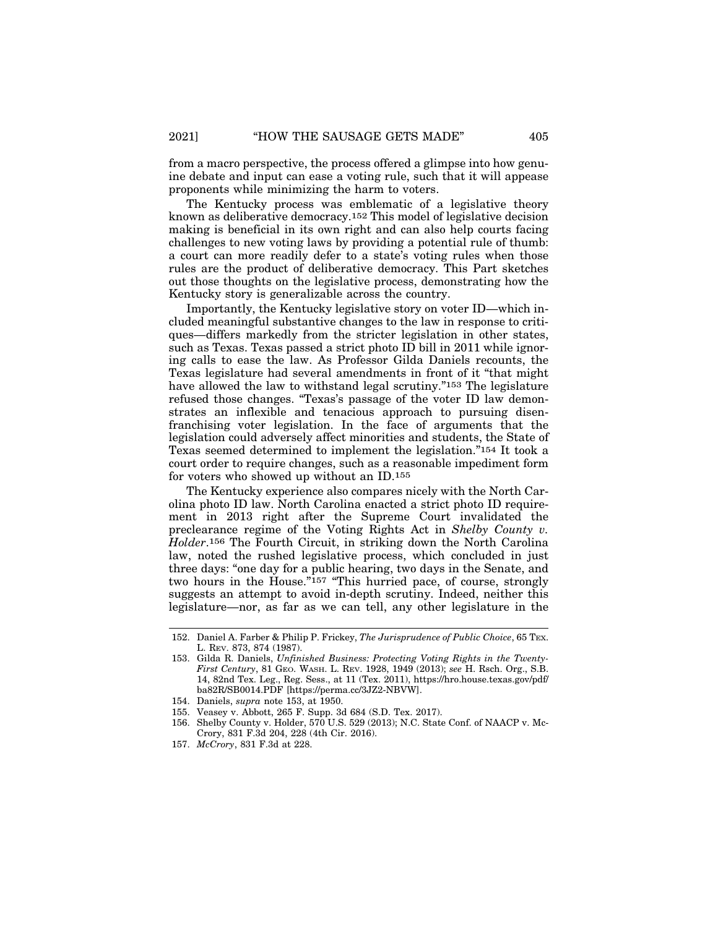from a macro perspective, the process offered a glimpse into how genuine debate and input can ease a voting rule, such that it will appease proponents while minimizing the harm to voters.

The Kentucky process was emblematic of a legislative theory known as deliberative democracy.152 This model of legislative decision making is beneficial in its own right and can also help courts facing challenges to new voting laws by providing a potential rule of thumb: a court can more readily defer to a state's voting rules when those rules are the product of deliberative democracy. This Part sketches out those thoughts on the legislative process, demonstrating how the Kentucky story is generalizable across the country.

Importantly, the Kentucky legislative story on voter ID—which included meaningful substantive changes to the law in response to critiques—differs markedly from the stricter legislation in other states, such as Texas. Texas passed a strict photo ID bill in 2011 while ignoring calls to ease the law. As Professor Gilda Daniels recounts, the Texas legislature had several amendments in front of it "that might have allowed the law to withstand legal scrutiny."153 The legislature refused those changes. "Texas's passage of the voter ID law demonstrates an inflexible and tenacious approach to pursuing disenfranchising voter legislation. In the face of arguments that the legislation could adversely affect minorities and students, the State of Texas seemed determined to implement the legislation."154 It took a court order to require changes, such as a reasonable impediment form for voters who showed up without an ID.155

The Kentucky experience also compares nicely with the North Carolina photo ID law. North Carolina enacted a strict photo ID requirement in 2013 right after the Supreme Court invalidated the preclearance regime of the Voting Rights Act in *Shelby County v. Holder*.156 The Fourth Circuit, in striking down the North Carolina law, noted the rushed legislative process, which concluded in just three days: "one day for a public hearing, two days in the Senate, and two hours in the House."157 "This hurried pace, of course, strongly suggests an attempt to avoid in-depth scrutiny. Indeed, neither this legislature—nor, as far as we can tell, any other legislature in the

<sup>152.</sup> Daniel A. Farber & Philip P. Frickey, *The Jurisprudence of Public Choice*, 65 TEX. L. REV. 873, 874 (1987).

<sup>153.</sup> Gilda R. Daniels, *Unfinished Business: Protecting Voting Rights in the Twenty-First Century*, 81 GEO. WASH. L. REV. 1928, 1949 (2013); *see* H. Rsch. Org., S.B. 14, 82nd Tex. Leg., Reg. Sess., at 11 (Tex. 2011), https://hro.house.texas.gov/pdf/ ba82R/SB0014.PDF [https://perma.cc/3JZ2-NBVW].

<sup>154.</sup> Daniels, *supra* note 153, at 1950.

<sup>155.</sup> Veasey v. Abbott, 265 F. Supp. 3d 684 (S.D. Tex. 2017).

<sup>156.</sup> Shelby County v. Holder, 570 U.S. 529 (2013); N.C. State Conf. of NAACP v. Mc-Crory, 831 F.3d 204, 228 (4th Cir. 2016).

<sup>157.</sup> *McCrory*, 831 F.3d at 228.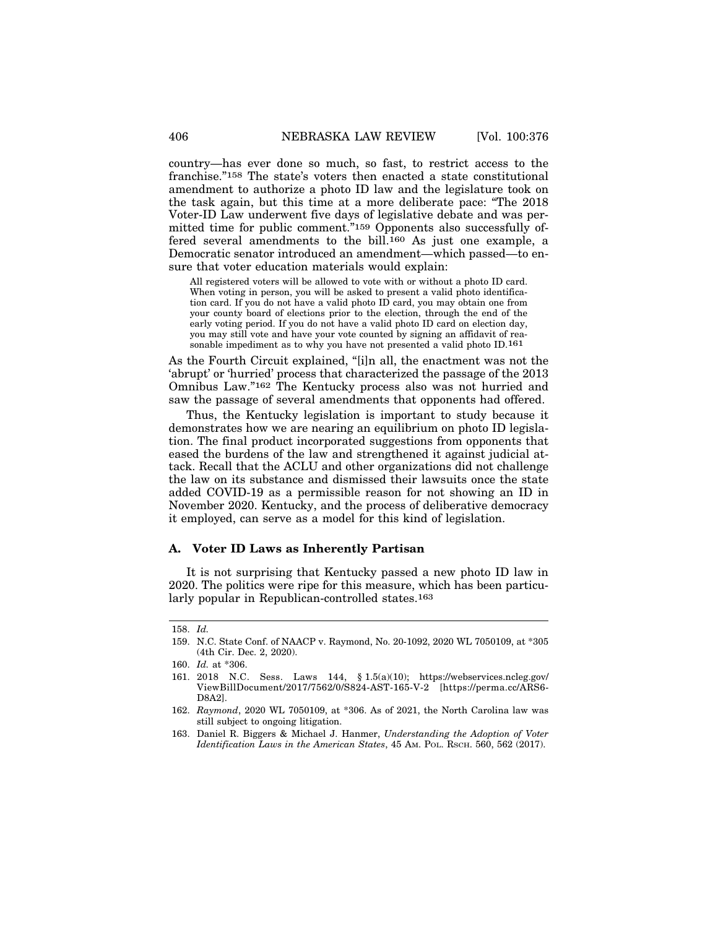country—has ever done so much, so fast, to restrict access to the franchise."158 The state's voters then enacted a state constitutional amendment to authorize a photo ID law and the legislature took on the task again, but this time at a more deliberate pace: "The 2018 Voter-ID Law underwent five days of legislative debate and was permitted time for public comment."159 Opponents also successfully offered several amendments to the bill.<sup>160</sup> As just one example, a Democratic senator introduced an amendment—which passed—to ensure that voter education materials would explain:

All registered voters will be allowed to vote with or without a photo ID card. When voting in person, you will be asked to present a valid photo identification card. If you do not have a valid photo ID card, you may obtain one from your county board of elections prior to the election, through the end of the early voting period. If you do not have a valid photo ID card on election day, you may still vote and have your vote counted by signing an affidavit of reasonable impediment as to why you have not presented a valid photo ID.161

As the Fourth Circuit explained, "[i]n all, the enactment was not the 'abrupt' or 'hurried' process that characterized the passage of the 2013 Omnibus Law."162 The Kentucky process also was not hurried and saw the passage of several amendments that opponents had offered.

Thus, the Kentucky legislation is important to study because it demonstrates how we are nearing an equilibrium on photo ID legislation. The final product incorporated suggestions from opponents that eased the burdens of the law and strengthened it against judicial attack. Recall that the ACLU and other organizations did not challenge the law on its substance and dismissed their lawsuits once the state added COVID-19 as a permissible reason for not showing an ID in November 2020. Kentucky, and the process of deliberative democracy it employed, can serve as a model for this kind of legislation.

#### **A. Voter ID Laws as Inherently Partisan**

It is not surprising that Kentucky passed a new photo ID law in 2020. The politics were ripe for this measure, which has been particularly popular in Republican-controlled states.163

<sup>158.</sup> *Id.*

<sup>159.</sup> N.C. State Conf. of NAACP v. Raymond, No. 20-1092, 2020 WL 7050109, at \*305 (4th Cir. Dec. 2, 2020).

<sup>160.</sup> *Id.* at \*306.

<sup>161.</sup> 2018 N.C. Sess. Laws 144, § 1.5(a)(10); https://webservices.ncleg.gov/ ViewBillDocument/2017/7562/0/S824-AST-165-V-2 [https://perma.cc/ARS6- D8A2].

<sup>162.</sup> *Raymond*, 2020 WL 7050109, at \*306. As of 2021, the North Carolina law was still subject to ongoing litigation.

<sup>163.</sup> Daniel R. Biggers & Michael J. Hanmer, *Understanding the Adoption of Voter Identification Laws in the American States*, 45 AM. POL. RSCH. 560, 562 (2017).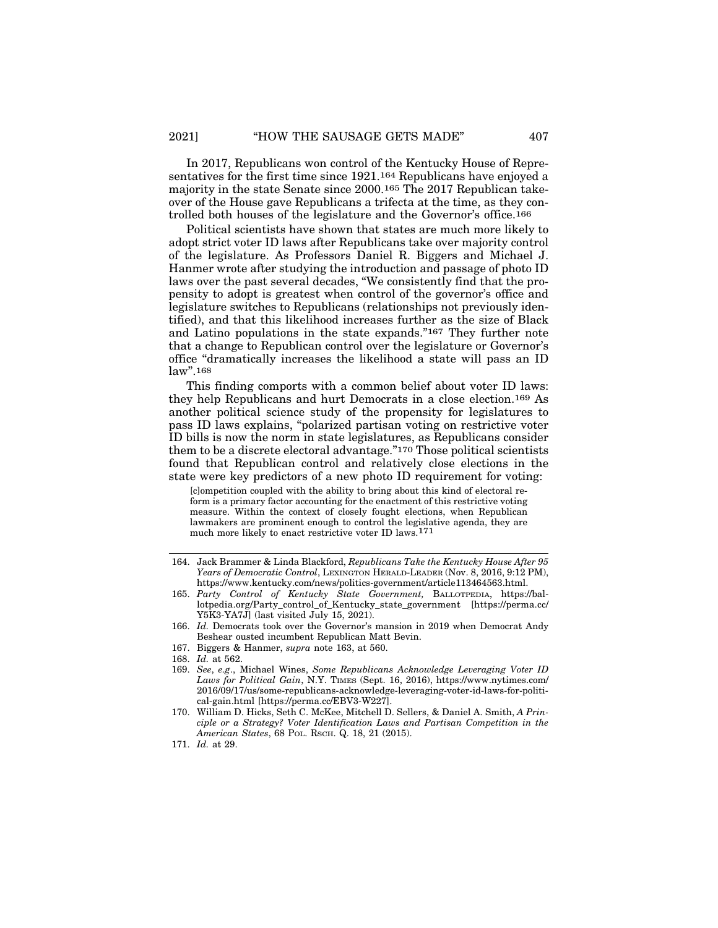In 2017, Republicans won control of the Kentucky House of Representatives for the first time since 1921.164 Republicans have enjoyed a majority in the state Senate since 2000.165 The 2017 Republican takeover of the House gave Republicans a trifecta at the time, as they controlled both houses of the legislature and the Governor's office.166

Political scientists have shown that states are much more likely to adopt strict voter ID laws after Republicans take over majority control of the legislature. As Professors Daniel R. Biggers and Michael J. Hanmer wrote after studying the introduction and passage of photo ID laws over the past several decades, "We consistently find that the propensity to adopt is greatest when control of the governor's office and legislature switches to Republicans (relationships not previously identified), and that this likelihood increases further as the size of Black and Latino populations in the state expands."167 They further note that a change to Republican control over the legislature or Governor's office "dramatically increases the likelihood a state will pass an ID law".168

This finding comports with a common belief about voter ID laws: they help Republicans and hurt Democrats in a close election.169 As another political science study of the propensity for legislatures to pass ID laws explains, "polarized partisan voting on restrictive voter ID bills is now the norm in state legislatures, as Republicans consider them to be a discrete electoral advantage."170 Those political scientists found that Republican control and relatively close elections in the state were key predictors of a new photo ID requirement for voting:

[c]ompetition coupled with the ability to bring about this kind of electoral reform is a primary factor accounting for the enactment of this restrictive voting measure. Within the context of closely fought elections, when Republican lawmakers are prominent enough to control the legislative agenda, they are much more likely to enact restrictive voter ID laws.171

<sup>164.</sup> Jack Brammer & Linda Blackford, *Republicans Take the Kentucky House After 95 Years of Democratic Control*, LEXINGTON HERALD-LEADER (Nov. 8, 2016, 9:12 PM), https://www.kentucky.com/news/politics-government/article113464563.html.

<sup>165.</sup> *Party Control of Kentucky State Government,* BALLOTPEDIA, https://ballotpedia.org/Party\_control\_of\_Kentucky\_state\_government [https://perma.cc/ Y5K3-YA7J] (last visited July 15, 2021).

<sup>166.</sup> *Id.* Democrats took over the Governor's mansion in 2019 when Democrat Andy Beshear ousted incumbent Republican Matt Bevin.

<sup>167.</sup> Biggers & Hanmer, *supra* note 163, at 560.

<sup>168.</sup> *Id.* at 562.

<sup>169.</sup> *See*, *e.g*., Michael Wines, *Some Republicans Acknowledge Leveraging Voter ID Laws for Political Gain*, N.Y. TIMES (Sept. 16, 2016), https://www.nytimes.com/ 2016/09/17/us/some-republicans-acknowledge-leveraging-voter-id-laws-for-political-gain.html [https://perma.cc/EBV3-W227].

<sup>170.</sup> William D. Hicks, Seth C. McKee, Mitchell D. Sellers, & Daniel A. Smith, *A Principle or a Strategy? Voter Identification Laws and Partisan Competition in the American States*, 68 POL. RSCH. Q. 18, 21 (2015).

<sup>171.</sup> *Id.* at 29.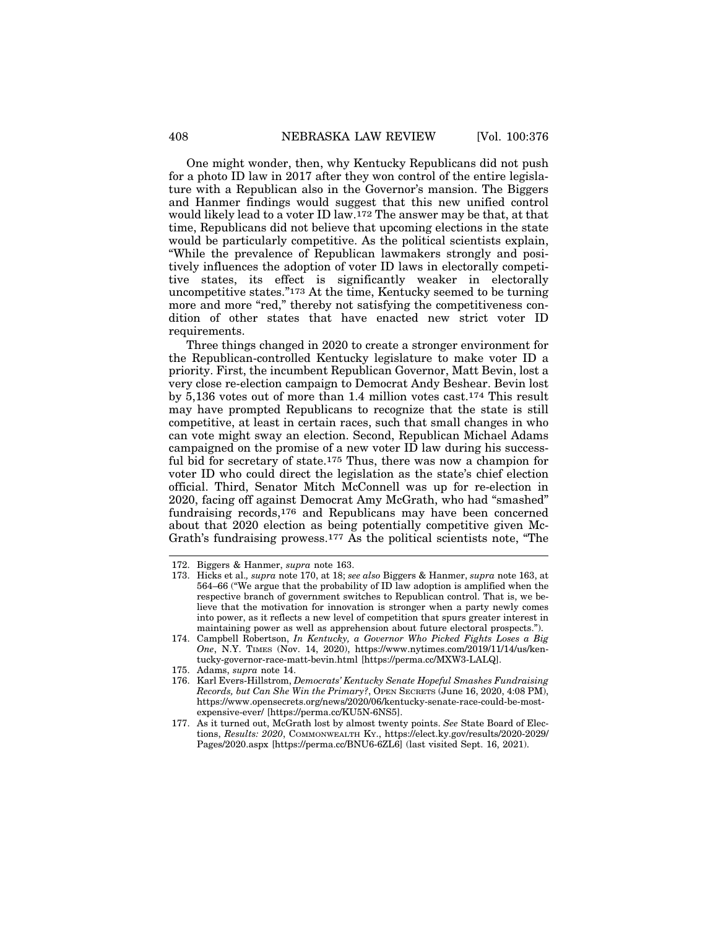One might wonder, then, why Kentucky Republicans did not push for a photo ID law in 2017 after they won control of the entire legislature with a Republican also in the Governor's mansion. The Biggers and Hanmer findings would suggest that this new unified control would likely lead to a voter ID law.172 The answer may be that, at that time, Republicans did not believe that upcoming elections in the state would be particularly competitive. As the political scientists explain, "While the prevalence of Republican lawmakers strongly and positively influences the adoption of voter ID laws in electorally competitive states, its effect is significantly weaker in electorally uncompetitive states."173 At the time, Kentucky seemed to be turning more and more "red," thereby not satisfying the competitiveness condition of other states that have enacted new strict voter ID requirements.

Three things changed in 2020 to create a stronger environment for the Republican-controlled Kentucky legislature to make voter ID a priority. First, the incumbent Republican Governor, Matt Bevin, lost a very close re-election campaign to Democrat Andy Beshear. Bevin lost by 5,136 votes out of more than 1.4 million votes cast.174 This result may have prompted Republicans to recognize that the state is still competitive, at least in certain races, such that small changes in who can vote might sway an election. Second, Republican Michael Adams campaigned on the promise of a new voter ID law during his successful bid for secretary of state.175 Thus, there was now a champion for voter ID who could direct the legislation as the state's chief election official. Third, Senator Mitch McConnell was up for re-election in 2020, facing off against Democrat Amy McGrath, who had "smashed" fundraising records,176 and Republicans may have been concerned about that 2020 election as being potentially competitive given Mc-Grath's fundraising prowess.177 As the political scientists note, "The

<sup>172.</sup> Biggers & Hanmer, *supra* note 163.

<sup>173.</sup> Hicks et al.*, supra* note 170, at 18; *see also* Biggers & Hanmer, *supra* note 163, at 564–66 ("We argue that the probability of ID law adoption is amplified when the respective branch of government switches to Republican control. That is, we believe that the motivation for innovation is stronger when a party newly comes into power, as it reflects a new level of competition that spurs greater interest in maintaining power as well as apprehension about future electoral prospects.").

<sup>174.</sup> Campbell Robertson, *In Kentucky, a Governor Who Picked Fights Loses a Big One*, N.Y. TIMES (Nov. 14, 2020), https://www.nytimes.com/2019/11/14/us/kentucky-governor-race-matt-bevin.html [https://perma.cc/MXW3-LALQ].

<sup>175.</sup> Adams, *supra* note 14.

<sup>176.</sup> Karl Evers-Hillstrom, *Democrats' Kentucky Senate Hopeful Smashes Fundraising Records, but Can She Win the Primary?*, OPEN SECRETS (June 16, 2020, 4:08 PM), https://www.opensecrets.org/news/2020/06/kentucky-senate-race-could-be-mostexpensive-ever/ [https://perma.cc/KU5N-6NS5].

<sup>177.</sup> As it turned out, McGrath lost by almost twenty points. *See* State Board of Elections, *Results: 2020*, COMMONWEALTH KY., https://elect.ky.gov/results/2020-2029/ Pages/2020.aspx [https://perma.cc/BNU6-6ZL6] (last visited Sept. 16, 2021).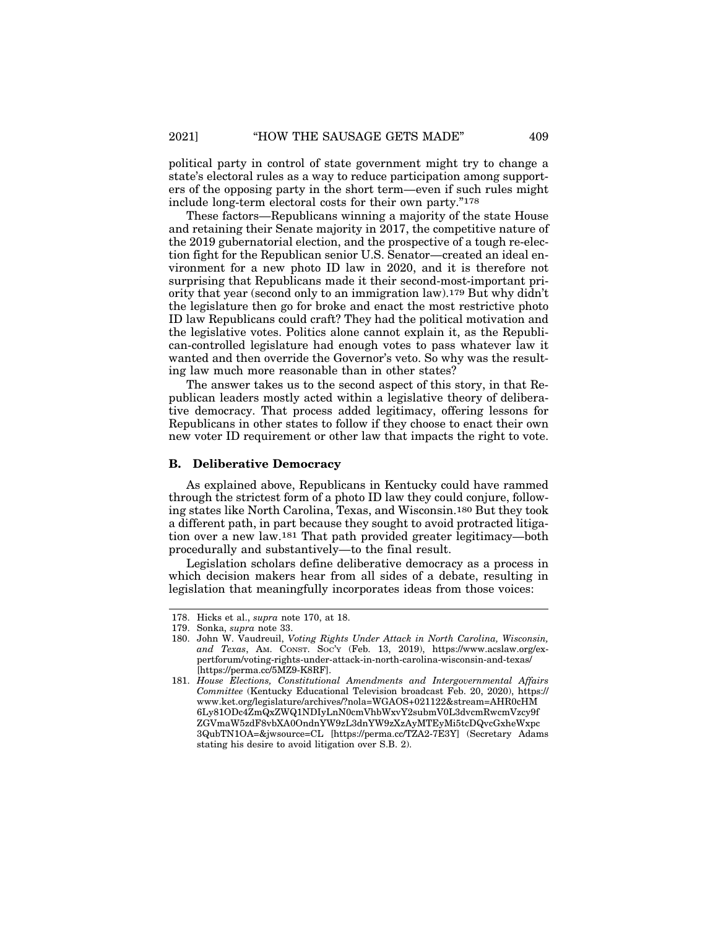political party in control of state government might try to change a state's electoral rules as a way to reduce participation among supporters of the opposing party in the short term—even if such rules might include long-term electoral costs for their own party."178

These factors—Republicans winning a majority of the state House and retaining their Senate majority in 2017, the competitive nature of the 2019 gubernatorial election, and the prospective of a tough re-election fight for the Republican senior U.S. Senator—created an ideal environment for a new photo ID law in 2020, and it is therefore not surprising that Republicans made it their second-most-important priority that year (second only to an immigration law).179 But why didn't the legislature then go for broke and enact the most restrictive photo ID law Republicans could craft? They had the political motivation and the legislative votes. Politics alone cannot explain it, as the Republican-controlled legislature had enough votes to pass whatever law it wanted and then override the Governor's veto. So why was the resulting law much more reasonable than in other states?

The answer takes us to the second aspect of this story, in that Republican leaders mostly acted within a legislative theory of deliberative democracy. That process added legitimacy, offering lessons for Republicans in other states to follow if they choose to enact their own new voter ID requirement or other law that impacts the right to vote.

#### **B. Deliberative Democracy**

As explained above, Republicans in Kentucky could have rammed through the strictest form of a photo ID law they could conjure, following states like North Carolina, Texas, and Wisconsin.180 But they took a different path, in part because they sought to avoid protracted litigation over a new law.181 That path provided greater legitimacy—both procedurally and substantively—to the final result.

Legislation scholars define deliberative democracy as a process in which decision makers hear from all sides of a debate, resulting in legislation that meaningfully incorporates ideas from those voices:

<sup>178.</sup> Hicks et al., *supra* note 170, at 18.

<sup>179.</sup> Sonka, *supra* note 33.

<sup>180.</sup> John W. Vaudreuil, *Voting Rights Under Attack in North Carolina, Wisconsin, and Texas*, AM. CONST. SOC'Y (Feb. 13, 2019), https://www.acslaw.org/expertforum/voting-rights-under-attack-in-north-carolina-wisconsin-and-texas/ [https://perma.cc/5MZ9-K8RF].

<sup>181.</sup> *House Elections, Constitutional Amendments and Intergovernmental Affairs Committee* (Kentucky Educational Television broadcast Feb. 20, 2020), https:// www.ket.org/legislature/archives/?nola=WGAOS+021122&stream=AHR0cHM 6Ly81ODc4ZmQxZWQ1NDIyLnN0cmVhbWxvY2submV0L3dvcmRwcmVzcy9f ZGVmaW5zdF8vbXA0OndnYW9zL3dnYW9zXzAyMTEyMi5tcDQvcGxheWxpc 3QubTN1OA=&jwsource=CL [https://perma.cc/TZA2-7E3Y] (Secretary Adams stating his desire to avoid litigation over S.B. 2).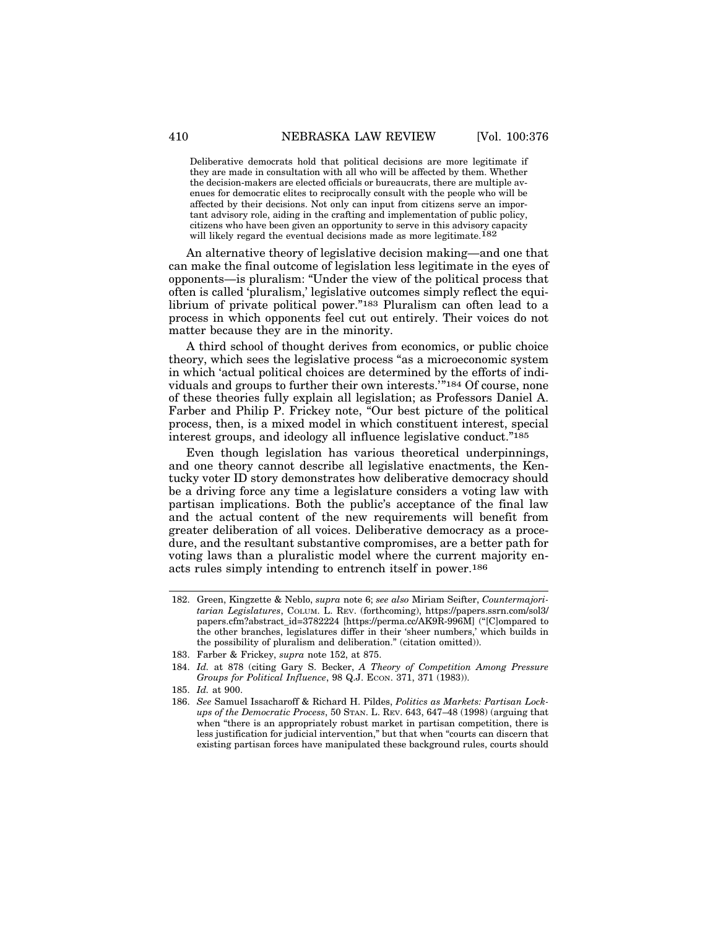Deliberative democrats hold that political decisions are more legitimate if they are made in consultation with all who will be affected by them. Whether the decision-makers are elected officials or bureaucrats, there are multiple avenues for democratic elites to reciprocally consult with the people who will be affected by their decisions. Not only can input from citizens serve an important advisory role, aiding in the crafting and implementation of public policy, citizens who have been given an opportunity to serve in this advisory capacity will likely regard the eventual decisions made as more legitimate.<sup>182</sup>

An alternative theory of legislative decision making—and one that can make the final outcome of legislation less legitimate in the eyes of opponents—is pluralism: "Under the view of the political process that often is called 'pluralism,' legislative outcomes simply reflect the equilibrium of private political power."183 Pluralism can often lead to a process in which opponents feel cut out entirely. Their voices do not matter because they are in the minority.

A third school of thought derives from economics, or public choice theory, which sees the legislative process "as a microeconomic system in which 'actual political choices are determined by the efforts of individuals and groups to further their own interests.'"184 Of course, none of these theories fully explain all legislation; as Professors Daniel A. Farber and Philip P. Frickey note, "Our best picture of the political process, then, is a mixed model in which constituent interest, special interest groups, and ideology all influence legislative conduct."185

Even though legislation has various theoretical underpinnings, and one theory cannot describe all legislative enactments, the Kentucky voter ID story demonstrates how deliberative democracy should be a driving force any time a legislature considers a voting law with partisan implications. Both the public's acceptance of the final law and the actual content of the new requirements will benefit from greater deliberation of all voices. Deliberative democracy as a procedure, and the resultant substantive compromises, are a better path for voting laws than a pluralistic model where the current majority enacts rules simply intending to entrench itself in power.186

<sup>182.</sup> Green, Kingzette & Neblo, *supra* note 6; *see also* Miriam Seifter, *Countermajoritarian Legislatures*, COLUM. L. REV. (forthcoming), https://papers.ssrn.com/sol3/ papers.cfm?abstract\_id=3782224 [https://perma.cc/AK9R-996M] ("[C]ompared to the other branches, legislatures differ in their 'sheer numbers,' which builds in the possibility of pluralism and deliberation." (citation omitted)).

<sup>183.</sup> Farber & Frickey, *supra* note 152, at 875.

<sup>184.</sup> *Id.* at 878 (citing Gary S. Becker, *A Theory of Competition Among Pressure Groups for Political Influence*, 98 Q.J. ECON. 371, 371 (1983)).

<sup>185.</sup> *Id.* at 900.

<sup>186.</sup> *See* Samuel Issacharoff & Richard H. Pildes, *Politics as Markets: Partisan Lockups of the Democratic Process*, 50 STAN. L. REV. 643, 647–48 (1998) (arguing that when "there is an appropriately robust market in partisan competition, there is less justification for judicial intervention," but that when "courts can discern that existing partisan forces have manipulated these background rules, courts should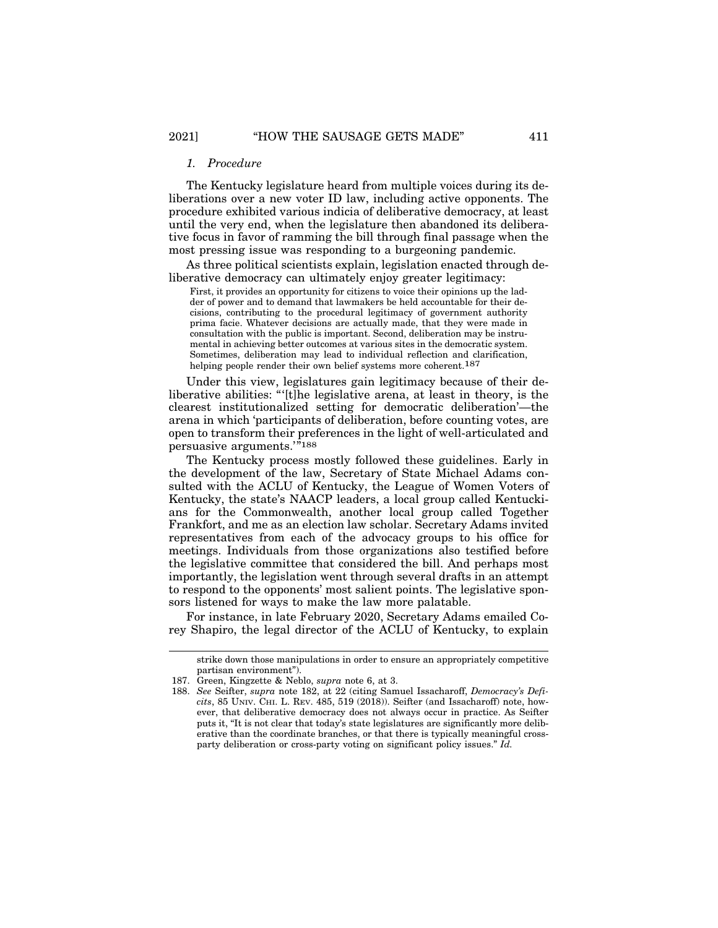### *1. Procedure*

The Kentucky legislature heard from multiple voices during its deliberations over a new voter ID law, including active opponents. The procedure exhibited various indicia of deliberative democracy, at least until the very end, when the legislature then abandoned its deliberative focus in favor of ramming the bill through final passage when the most pressing issue was responding to a burgeoning pandemic.

As three political scientists explain, legislation enacted through deliberative democracy can ultimately enjoy greater legitimacy:

First, it provides an opportunity for citizens to voice their opinions up the ladder of power and to demand that lawmakers be held accountable for their decisions, contributing to the procedural legitimacy of government authority prima facie. Whatever decisions are actually made, that they were made in consultation with the public is important. Second, deliberation may be instrumental in achieving better outcomes at various sites in the democratic system. Sometimes, deliberation may lead to individual reflection and clarification, helping people render their own belief systems more coherent.187

Under this view, legislatures gain legitimacy because of their deliberative abilities: "'[t]he legislative arena, at least in theory, is the clearest institutionalized setting for democratic deliberation'—the arena in which 'participants of deliberation, before counting votes, are open to transform their preferences in the light of well-articulated and persuasive arguments.'"<sup>188</sup>

The Kentucky process mostly followed these guidelines. Early in the development of the law, Secretary of State Michael Adams consulted with the ACLU of Kentucky, the League of Women Voters of Kentucky, the state's NAACP leaders, a local group called Kentuckians for the Commonwealth, another local group called Together Frankfort, and me as an election law scholar. Secretary Adams invited representatives from each of the advocacy groups to his office for meetings. Individuals from those organizations also testified before the legislative committee that considered the bill. And perhaps most importantly, the legislation went through several drafts in an attempt to respond to the opponents' most salient points. The legislative sponsors listened for ways to make the law more palatable.

For instance, in late February 2020, Secretary Adams emailed Corey Shapiro, the legal director of the ACLU of Kentucky, to explain

strike down those manipulations in order to ensure an appropriately competitive partisan environment").

<sup>187.</sup> Green, Kingzette & Neblo, *supra* note 6, at 3.

<sup>188.</sup> *See* Seifter, *supra* note 182, at 22 (citing Samuel Issacharoff, *Democracy's Deficits*, 85 UNIV. CHI. L. REV. 485, 519 (2018)). Seifter (and Issacharoff) note, however, that deliberative democracy does not always occur in practice. As Seifter puts it, "It is not clear that today's state legislatures are significantly more deliberative than the coordinate branches, or that there is typically meaningful crossparty deliberation or cross-party voting on significant policy issues." *Id.*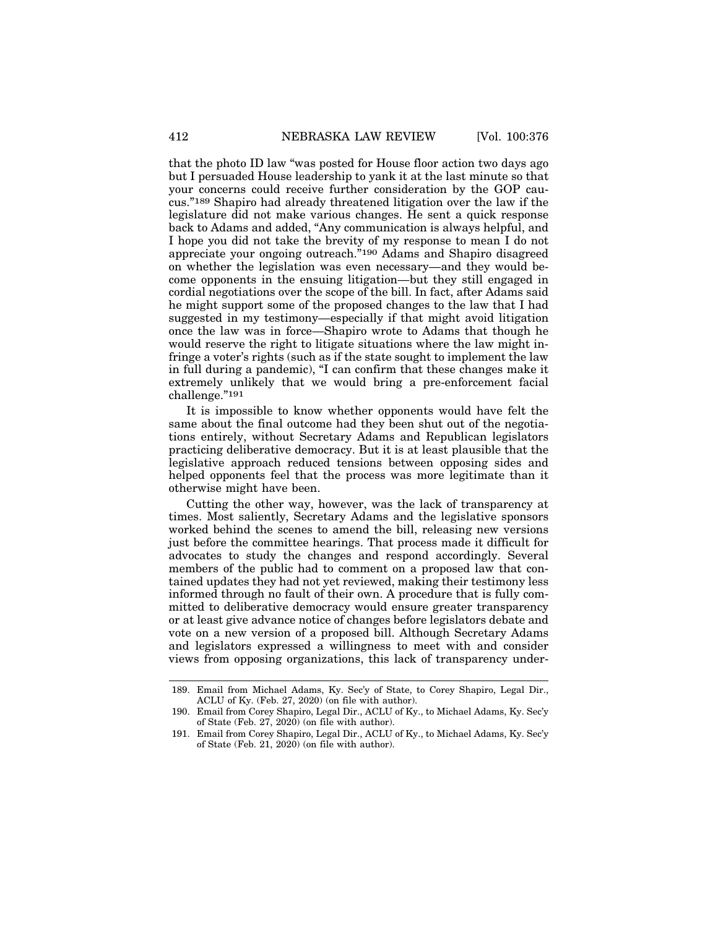that the photo ID law "was posted for House floor action two days ago but I persuaded House leadership to yank it at the last minute so that your concerns could receive further consideration by the GOP caucus."189 Shapiro had already threatened litigation over the law if the legislature did not make various changes. He sent a quick response back to Adams and added, "Any communication is always helpful, and I hope you did not take the brevity of my response to mean I do not appreciate your ongoing outreach."190 Adams and Shapiro disagreed on whether the legislation was even necessary—and they would become opponents in the ensuing litigation—but they still engaged in cordial negotiations over the scope of the bill. In fact, after Adams said he might support some of the proposed changes to the law that I had suggested in my testimony—especially if that might avoid litigation once the law was in force—Shapiro wrote to Adams that though he would reserve the right to litigate situations where the law might infringe a voter's rights (such as if the state sought to implement the law in full during a pandemic), "I can confirm that these changes make it extremely unlikely that we would bring a pre-enforcement facial challenge."191

It is impossible to know whether opponents would have felt the same about the final outcome had they been shut out of the negotiations entirely, without Secretary Adams and Republican legislators practicing deliberative democracy. But it is at least plausible that the legislative approach reduced tensions between opposing sides and helped opponents feel that the process was more legitimate than it otherwise might have been.

Cutting the other way, however, was the lack of transparency at times. Most saliently, Secretary Adams and the legislative sponsors worked behind the scenes to amend the bill, releasing new versions just before the committee hearings. That process made it difficult for advocates to study the changes and respond accordingly. Several members of the public had to comment on a proposed law that contained updates they had not yet reviewed, making their testimony less informed through no fault of their own. A procedure that is fully committed to deliberative democracy would ensure greater transparency or at least give advance notice of changes before legislators debate and vote on a new version of a proposed bill. Although Secretary Adams and legislators expressed a willingness to meet with and consider views from opposing organizations, this lack of transparency under-

<sup>189.</sup> Email from Michael Adams, Ky. Sec'y of State, to Corey Shapiro, Legal Dir., ACLU of Ky. (Feb. 27, 2020) (on file with author).

<sup>190.</sup> Email from Corey Shapiro, Legal Dir., ACLU of Ky., to Michael Adams, Ky. Sec'y of State (Feb. 27, 2020) (on file with author).

<sup>191.</sup> Email from Corey Shapiro, Legal Dir., ACLU of Ky., to Michael Adams, Ky. Sec'y of State (Feb. 21, 2020) (on file with author).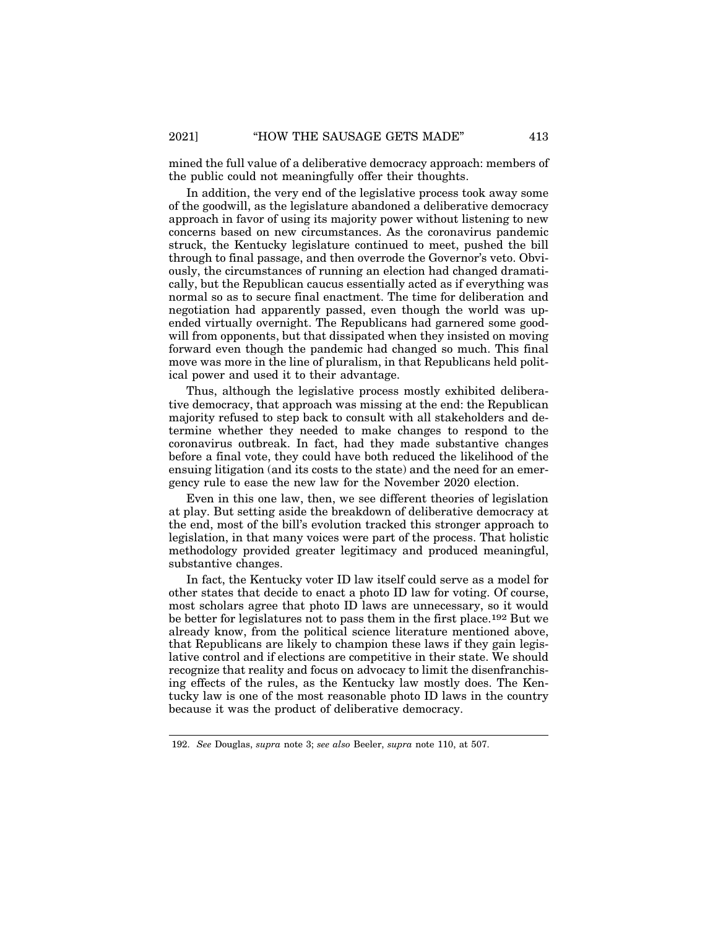mined the full value of a deliberative democracy approach: members of the public could not meaningfully offer their thoughts.

In addition, the very end of the legislative process took away some of the goodwill, as the legislature abandoned a deliberative democracy approach in favor of using its majority power without listening to new concerns based on new circumstances. As the coronavirus pandemic struck, the Kentucky legislature continued to meet, pushed the bill through to final passage, and then overrode the Governor's veto. Obviously, the circumstances of running an election had changed dramatically, but the Republican caucus essentially acted as if everything was normal so as to secure final enactment. The time for deliberation and negotiation had apparently passed, even though the world was upended virtually overnight. The Republicans had garnered some goodwill from opponents, but that dissipated when they insisted on moving forward even though the pandemic had changed so much. This final move was more in the line of pluralism, in that Republicans held political power and used it to their advantage.

Thus, although the legislative process mostly exhibited deliberative democracy, that approach was missing at the end: the Republican majority refused to step back to consult with all stakeholders and determine whether they needed to make changes to respond to the coronavirus outbreak. In fact, had they made substantive changes before a final vote, they could have both reduced the likelihood of the ensuing litigation (and its costs to the state) and the need for an emergency rule to ease the new law for the November 2020 election.

Even in this one law, then, we see different theories of legislation at play. But setting aside the breakdown of deliberative democracy at the end, most of the bill's evolution tracked this stronger approach to legislation, in that many voices were part of the process. That holistic methodology provided greater legitimacy and produced meaningful, substantive changes.

In fact, the Kentucky voter ID law itself could serve as a model for other states that decide to enact a photo ID law for voting. Of course, most scholars agree that photo ID laws are unnecessary, so it would be better for legislatures not to pass them in the first place.192 But we already know, from the political science literature mentioned above, that Republicans are likely to champion these laws if they gain legislative control and if elections are competitive in their state. We should recognize that reality and focus on advocacy to limit the disenfranchising effects of the rules, as the Kentucky law mostly does. The Kentucky law is one of the most reasonable photo ID laws in the country because it was the product of deliberative democracy.

<sup>192.</sup> *See* Douglas, *supra* note 3; *see also* Beeler, *supra* note 110, at 507.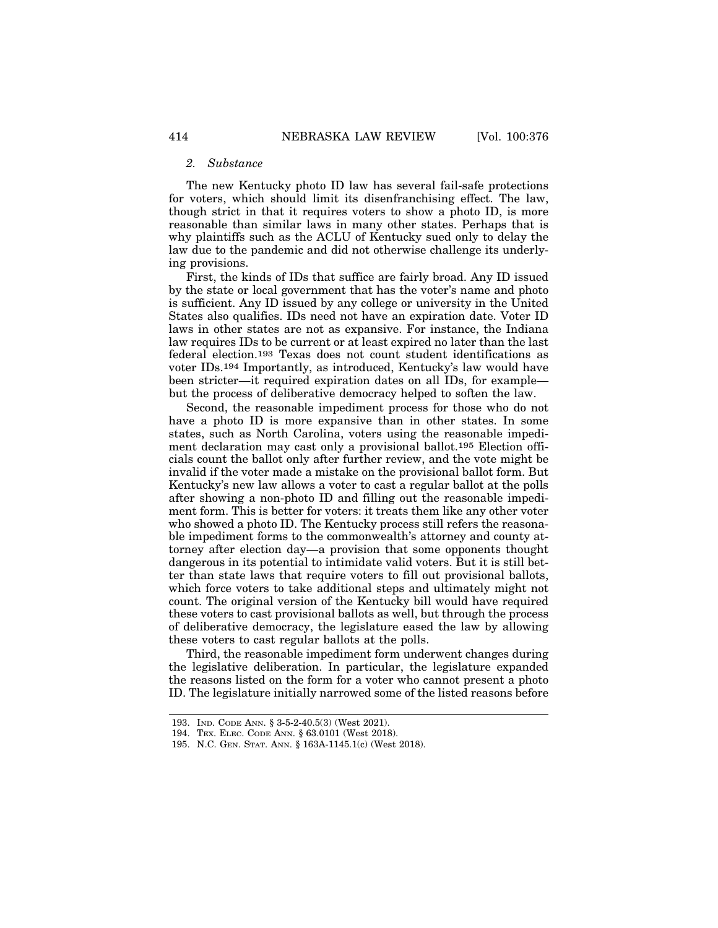#### *2. Substance*

The new Kentucky photo ID law has several fail-safe protections for voters, which should limit its disenfranchising effect. The law, though strict in that it requires voters to show a photo ID, is more reasonable than similar laws in many other states. Perhaps that is why plaintiffs such as the ACLU of Kentucky sued only to delay the law due to the pandemic and did not otherwise challenge its underlying provisions.

First, the kinds of IDs that suffice are fairly broad. Any ID issued by the state or local government that has the voter's name and photo is sufficient. Any ID issued by any college or university in the United States also qualifies. IDs need not have an expiration date. Voter ID laws in other states are not as expansive. For instance, the Indiana law requires IDs to be current or at least expired no later than the last federal election.193 Texas does not count student identifications as voter IDs.194 Importantly, as introduced, Kentucky's law would have been stricter—it required expiration dates on all IDs, for example but the process of deliberative democracy helped to soften the law.

Second, the reasonable impediment process for those who do not have a photo ID is more expansive than in other states. In some states, such as North Carolina, voters using the reasonable impediment declaration may cast only a provisional ballot.195 Election officials count the ballot only after further review, and the vote might be invalid if the voter made a mistake on the provisional ballot form. But Kentucky's new law allows a voter to cast a regular ballot at the polls after showing a non-photo ID and filling out the reasonable impediment form. This is better for voters: it treats them like any other voter who showed a photo ID. The Kentucky process still refers the reasonable impediment forms to the commonwealth's attorney and county attorney after election day—a provision that some opponents thought dangerous in its potential to intimidate valid voters. But it is still better than state laws that require voters to fill out provisional ballots, which force voters to take additional steps and ultimately might not count. The original version of the Kentucky bill would have required these voters to cast provisional ballots as well, but through the process of deliberative democracy, the legislature eased the law by allowing these voters to cast regular ballots at the polls.

Third, the reasonable impediment form underwent changes during the legislative deliberation. In particular, the legislature expanded the reasons listed on the form for a voter who cannot present a photo ID. The legislature initially narrowed some of the listed reasons before

<sup>193.</sup> IND. CODE ANN. § 3-5-2-40.5(3) (West 2021).

<sup>194.</sup> TEX. ELEC. CODE ANN. § 63.0101 (West 2018).

<sup>195.</sup> N.C. GEN. STAT. ANN. § 163A-1145.1(c) (West 2018).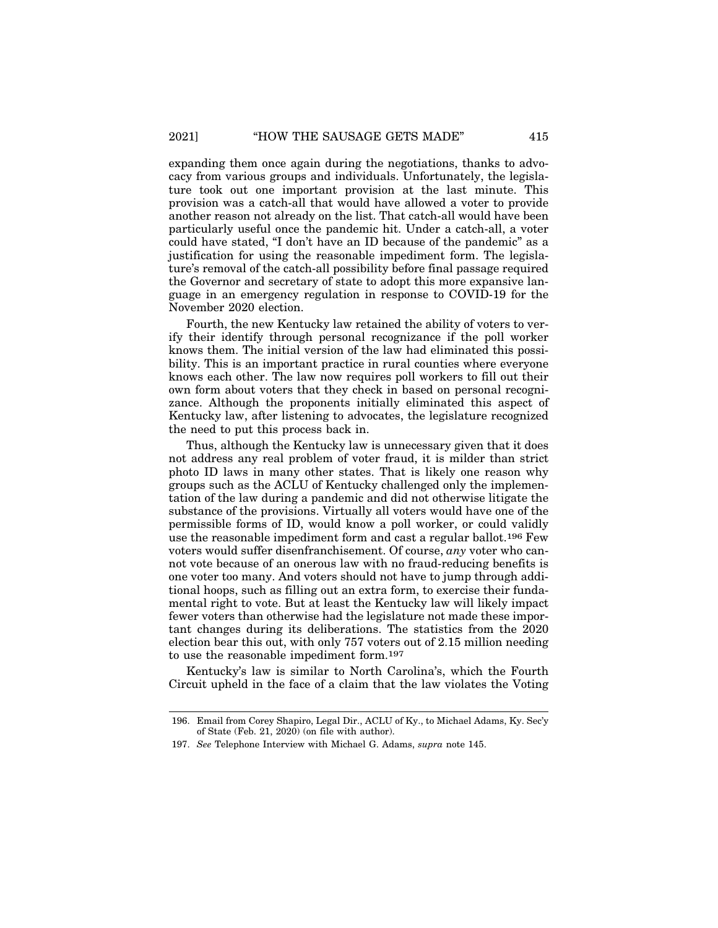expanding them once again during the negotiations, thanks to advocacy from various groups and individuals. Unfortunately, the legislature took out one important provision at the last minute. This provision was a catch-all that would have allowed a voter to provide another reason not already on the list. That catch-all would have been particularly useful once the pandemic hit. Under a catch-all, a voter could have stated, "I don't have an ID because of the pandemic" as a justification for using the reasonable impediment form. The legislature's removal of the catch-all possibility before final passage required the Governor and secretary of state to adopt this more expansive language in an emergency regulation in response to COVID-19 for the November 2020 election.

Fourth, the new Kentucky law retained the ability of voters to verify their identify through personal recognizance if the poll worker knows them. The initial version of the law had eliminated this possibility. This is an important practice in rural counties where everyone knows each other. The law now requires poll workers to fill out their own form about voters that they check in based on personal recognizance. Although the proponents initially eliminated this aspect of Kentucky law, after listening to advocates, the legislature recognized the need to put this process back in.

Thus, although the Kentucky law is unnecessary given that it does not address any real problem of voter fraud, it is milder than strict photo ID laws in many other states. That is likely one reason why groups such as the ACLU of Kentucky challenged only the implementation of the law during a pandemic and did not otherwise litigate the substance of the provisions. Virtually all voters would have one of the permissible forms of ID, would know a poll worker, or could validly use the reasonable impediment form and cast a regular ballot.196 Few voters would suffer disenfranchisement. Of course, *any* voter who cannot vote because of an onerous law with no fraud-reducing benefits is one voter too many. And voters should not have to jump through additional hoops, such as filling out an extra form, to exercise their fundamental right to vote. But at least the Kentucky law will likely impact fewer voters than otherwise had the legislature not made these important changes during its deliberations. The statistics from the 2020 election bear this out, with only 757 voters out of 2.15 million needing to use the reasonable impediment form.197

Kentucky's law is similar to North Carolina's, which the Fourth Circuit upheld in the face of a claim that the law violates the Voting

<sup>196.</sup> Email from Corey Shapiro, Legal Dir., ACLU of Ky., to Michael Adams, Ky. Sec'y of State (Feb. 21, 2020) (on file with author).

<sup>197.</sup> *See* Telephone Interview with Michael G. Adams, *supra* note 145.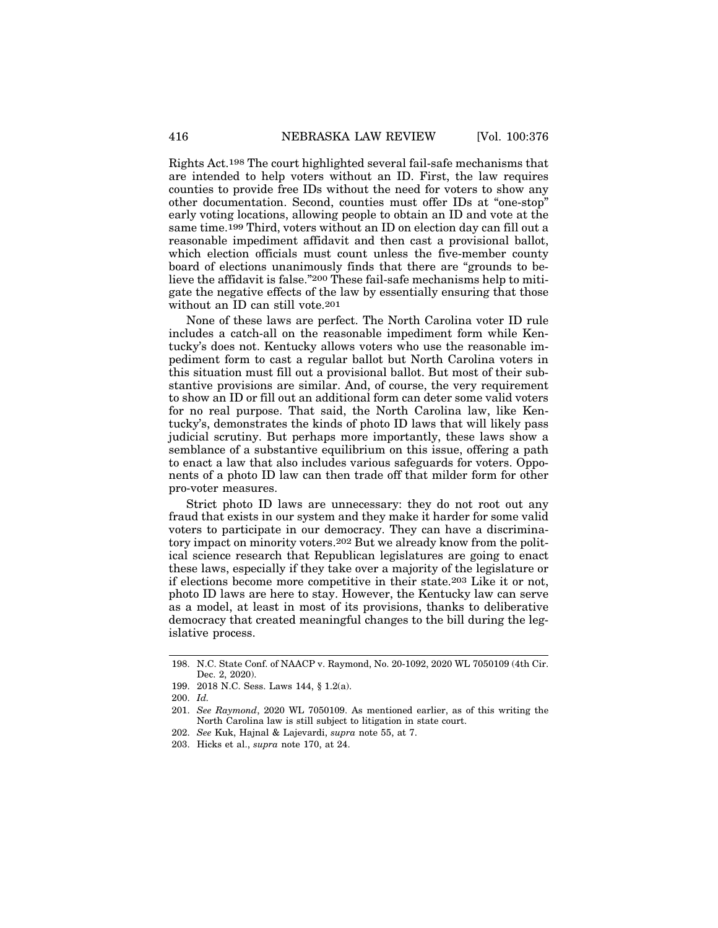Rights Act.198 The court highlighted several fail-safe mechanisms that are intended to help voters without an ID. First, the law requires counties to provide free IDs without the need for voters to show any other documentation. Second, counties must offer IDs at "one-stop" early voting locations, allowing people to obtain an ID and vote at the same time.199 Third, voters without an ID on election day can fill out a reasonable impediment affidavit and then cast a provisional ballot, which election officials must count unless the five-member county board of elections unanimously finds that there are "grounds to believe the affidavit is false."200 These fail-safe mechanisms help to mitigate the negative effects of the law by essentially ensuring that those without an ID can still vote.201

None of these laws are perfect. The North Carolina voter ID rule includes a catch-all on the reasonable impediment form while Kentucky's does not. Kentucky allows voters who use the reasonable impediment form to cast a regular ballot but North Carolina voters in this situation must fill out a provisional ballot. But most of their substantive provisions are similar. And, of course, the very requirement to show an ID or fill out an additional form can deter some valid voters for no real purpose. That said, the North Carolina law, like Kentucky's, demonstrates the kinds of photo ID laws that will likely pass judicial scrutiny. But perhaps more importantly, these laws show a semblance of a substantive equilibrium on this issue, offering a path to enact a law that also includes various safeguards for voters. Opponents of a photo ID law can then trade off that milder form for other pro-voter measures.

Strict photo ID laws are unnecessary: they do not root out any fraud that exists in our system and they make it harder for some valid voters to participate in our democracy. They can have a discriminatory impact on minority voters.202 But we already know from the political science research that Republican legislatures are going to enact these laws, especially if they take over a majority of the legislature or if elections become more competitive in their state.203 Like it or not, photo ID laws are here to stay. However, the Kentucky law can serve as a model, at least in most of its provisions, thanks to deliberative democracy that created meaningful changes to the bill during the legislative process.

<sup>198.</sup> N.C. State Conf. of NAACP v. Raymond, No. 20-1092, 2020 WL 7050109 (4th Cir. Dec. 2, 2020).

<sup>199. 2018</sup> N.C. Sess. Laws 144, § 1.2(a).

<sup>200.</sup> *Id.*

<sup>201.</sup> *See Raymond*, 2020 WL 7050109. As mentioned earlier, as of this writing the North Carolina law is still subject to litigation in state court.

<sup>202.</sup> *See* Kuk, Hajnal & Lajevardi, *supra* note 55, at 7.

<sup>203.</sup> Hicks et al., *supra* note 170, at 24.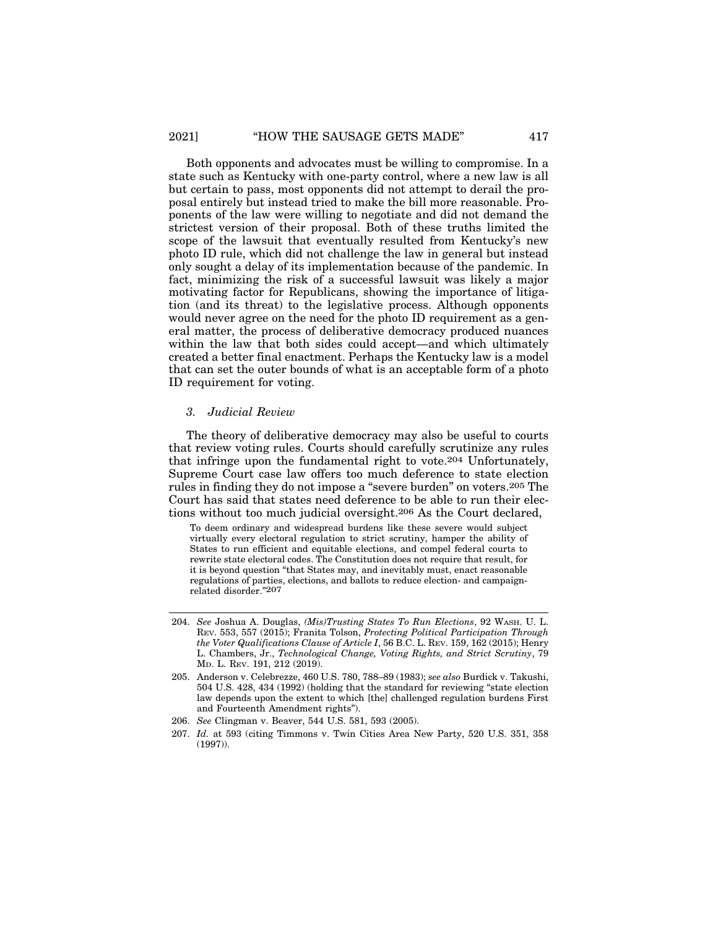Both opponents and advocates must be willing to compromise. In a state such as Kentucky with one-party control, where a new law is all but certain to pass, most opponents did not attempt to derail the proposal entirely but instead tried to make the bill more reasonable. Proponents of the law were willing to negotiate and did not demand the strictest version of their proposal. Both of these truths limited the scope of the lawsuit that eventually resulted from Kentucky's new photo ID rule, which did not challenge the law in general but instead only sought a delay of its implementation because of the pandemic. In fact, minimizing the risk of a successful lawsuit was likely a major motivating factor for Republicans, showing the importance of litigation (and its threat) to the legislative process. Although opponents would never agree on the need for the photo ID requirement as a general matter, the process of deliberative democracy produced nuances within the law that both sides could accept—and which ultimately created a better final enactment. Perhaps the Kentucky law is a model that can set the outer bounds of what is an acceptable form of a photo ID requirement for voting.

#### *3. Judicial Review*

The theory of deliberative democracy may also be useful to courts that review voting rules. Courts should carefully scrutinize any rules that infringe upon the fundamental right to vote.204 Unfortunately, Supreme Court case law offers too much deference to state election rules in finding they do not impose a "severe burden" on voters.205 The Court has said that states need deference to be able to run their elections without too much judicial oversight.206 As the Court declared,

To deem ordinary and widespread burdens like these severe would subject virtually every electoral regulation to strict scrutiny, hamper the ability of States to run efficient and equitable elections, and compel federal courts to rewrite state electoral codes. The Constitution does not require that result, for it is beyond question "that States may, and inevitably must, enact reasonable regulations of parties, elections, and ballots to reduce election- and campaignrelated disorder."207

- 204. *See* Joshua A. Douglas, *(Mis)Trusting States To Run Elections*, 92 WASH. U. L. REV. 553, 557 (2015); Franita Tolson, *Protecting Political Participation Through the Voter Qualifications Clause of Article I*, 56 B.C. L. REV. 159, 162 (2015); Henry L. Chambers, Jr., *Technological Change, Voting Rights, and Strict Scrutiny*, 79 MD. L. REV. 191, 212 (2019).
- 205. Anderson v. Celebrezze, 460 U.S. 780, 788–89 (1983); *see also* Burdick v. Takushi, 504 U.S. 428, 434 (1992) (holding that the standard for reviewing "state election law depends upon the extent to which [the] challenged regulation burdens First and Fourteenth Amendment rights").
- 206. *See* Clingman v. Beaver, 544 U.S. 581, 593 (2005).
- 207. *Id.* at 593 (citing Timmons v. Twin Cities Area New Party, 520 U.S. 351, 358 (1997)).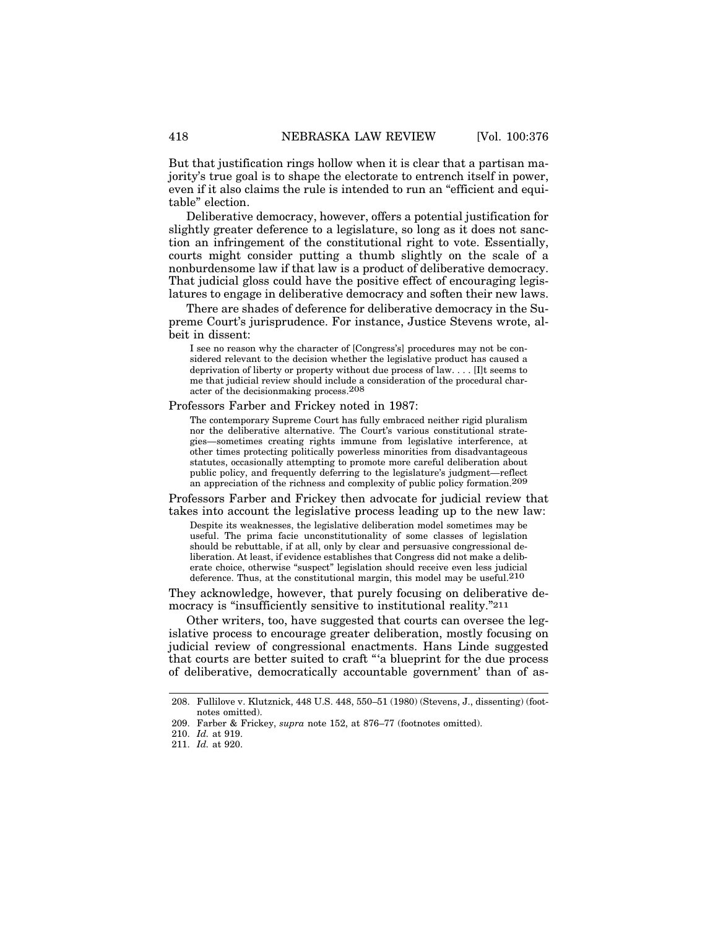But that justification rings hollow when it is clear that a partisan majority's true goal is to shape the electorate to entrench itself in power, even if it also claims the rule is intended to run an "efficient and equitable" election.

Deliberative democracy, however, offers a potential justification for slightly greater deference to a legislature, so long as it does not sanction an infringement of the constitutional right to vote. Essentially, courts might consider putting a thumb slightly on the scale of a nonburdensome law if that law is a product of deliberative democracy. That judicial gloss could have the positive effect of encouraging legislatures to engage in deliberative democracy and soften their new laws.

There are shades of deference for deliberative democracy in the Supreme Court's jurisprudence. For instance, Justice Stevens wrote, albeit in dissent:

I see no reason why the character of [Congress's] procedures may not be considered relevant to the decision whether the legislative product has caused a deprivation of liberty or property without due process of law. . . . [I]t seems to me that judicial review should include a consideration of the procedural character of the decisionmaking process.208

Professors Farber and Frickey noted in 1987:

The contemporary Supreme Court has fully embraced neither rigid pluralism nor the deliberative alternative. The Court's various constitutional strategies—sometimes creating rights immune from legislative interference, at other times protecting politically powerless minorities from disadvantageous statutes, occasionally attempting to promote more careful deliberation about public policy, and frequently deferring to the legislature's judgment—reflect an appreciation of the richness and complexity of public policy formation.209

Professors Farber and Frickey then advocate for judicial review that takes into account the legislative process leading up to the new law:

Despite its weaknesses, the legislative deliberation model sometimes may be useful. The prima facie unconstitutionality of some classes of legislation should be rebuttable, if at all, only by clear and persuasive congressional deliberation. At least, if evidence establishes that Congress did not make a deliberate choice, otherwise "suspect" legislation should receive even less judicial deference. Thus, at the constitutional margin, this model may be useful.210

They acknowledge, however, that purely focusing on deliberative democracy is "insufficiently sensitive to institutional reality."<sup>211</sup>

Other writers, too, have suggested that courts can oversee the legislative process to encourage greater deliberation, mostly focusing on judicial review of congressional enactments. Hans Linde suggested that courts are better suited to craft "'a blueprint for the due process of deliberative, democratically accountable government' than of as-

<sup>208.</sup> Fullilove v. Klutznick, 448 U.S. 448, 550–51 (1980) (Stevens, J., dissenting) (footnotes omitted).

<sup>209.</sup> Farber & Frickey, *supra* note 152, at 876–77 (footnotes omitted).

<sup>210.</sup> *Id.* at 919.

<sup>211.</sup> *Id.* at 920.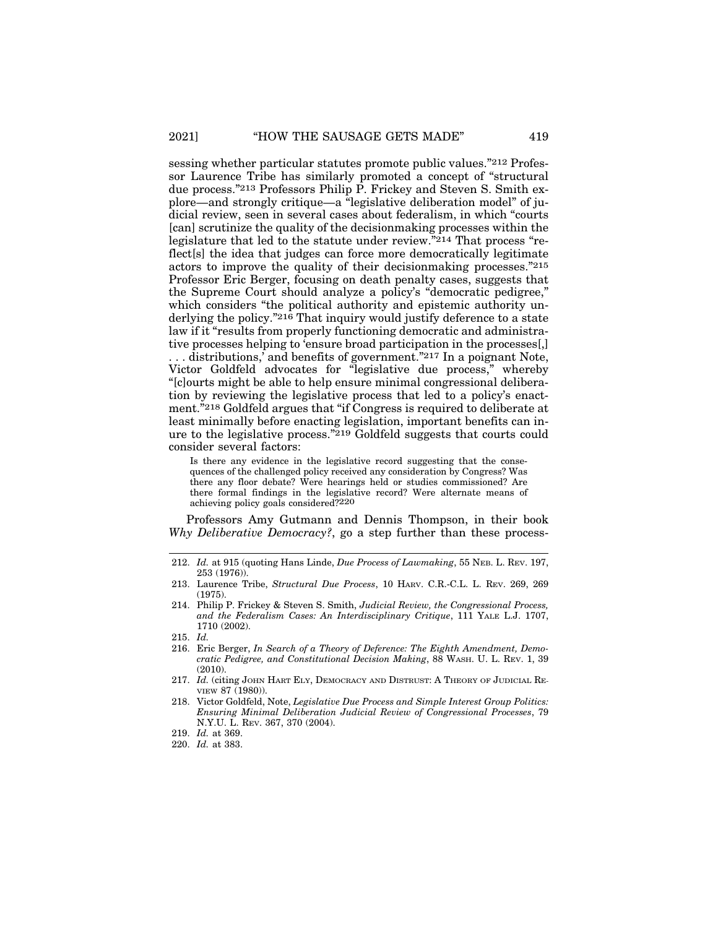sessing whether particular statutes promote public values."212 Professor Laurence Tribe has similarly promoted a concept of "structural due process."213 Professors Philip P. Frickey and Steven S. Smith explore—and strongly critique—a "legislative deliberation model" of judicial review, seen in several cases about federalism, in which "courts [can] scrutinize the quality of the decisionmaking processes within the legislature that led to the statute under review."214 That process "reflect[s] the idea that judges can force more democratically legitimate actors to improve the quality of their decisionmaking processes."215 Professor Eric Berger, focusing on death penalty cases, suggests that the Supreme Court should analyze a policy's "democratic pedigree," which considers "the political authority and epistemic authority underlying the policy."216 That inquiry would justify deference to a state law if it "results from properly functioning democratic and administrative processes helping to 'ensure broad participation in the processes[,] . . . distributions,' and benefits of government."217 In a poignant Note, Victor Goldfeld advocates for "legislative due process," whereby "[c]ourts might be able to help ensure minimal congressional deliberation by reviewing the legislative process that led to a policy's enactment."218 Goldfeld argues that "if Congress is required to deliberate at least minimally before enacting legislation, important benefits can inure to the legislative process."219 Goldfeld suggests that courts could consider several factors:

Is there any evidence in the legislative record suggesting that the consequences of the challenged policy received any consideration by Congress? Was there any floor debate? Were hearings held or studies commissioned? Are there formal findings in the legislative record? Were alternate means of achieving policy goals considered?220

Professors Amy Gutmann and Dennis Thompson, in their book *Why Deliberative Democracy?*, go a step further than these process-

<sup>212.</sup> *Id.* at 915 (quoting Hans Linde, *Due Process of Lawmaking*, 55 NEB. L. REV. 197, 253 (1976)).

<sup>213.</sup> Laurence Tribe, *Structural Due Process*, 10 HARV. C.R.-C.L. L. REV. 269, 269 (1975).

<sup>214.</sup> Philip P. Frickey & Steven S. Smith, *Judicial Review, the Congressional Process, and the Federalism Cases: An Interdisciplinary Critique*, 111 YALE L.J. 1707, 1710 (2002).

<sup>215.</sup> *Id.*

<sup>216.</sup> Eric Berger, *In Search of a Theory of Deference: The Eighth Amendment, Democratic Pedigree, and Constitutional Decision Making*, 88 WASH. U. L. REV. 1, 39  $(2010)$ 

<sup>217.</sup> *Id.* (citing JOHN HART ELY, DEMOCRACY AND DISTRUST: A THEORY OF JUDICIAL RE-VIEW 87 (1980)).

<sup>218.</sup> Victor Goldfeld, Note, *Legislative Due Process and Simple Interest Group Politics: Ensuring Minimal Deliberation Judicial Review of Congressional Processes*, 79 N.Y.U. L. REV. 367, 370 (2004).

<sup>219.</sup> *Id.* at 369.

<sup>220.</sup> *Id.* at 383.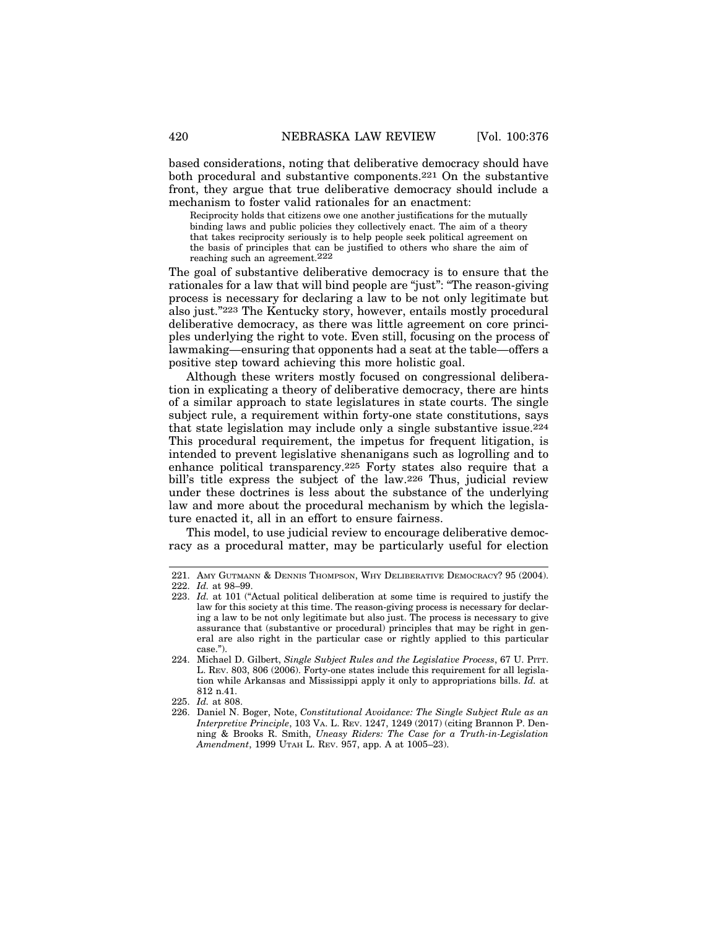based considerations, noting that deliberative democracy should have both procedural and substantive components.221 On the substantive front, they argue that true deliberative democracy should include a mechanism to foster valid rationales for an enactment:

Reciprocity holds that citizens owe one another justifications for the mutually binding laws and public policies they collectively enact. The aim of a theory that takes reciprocity seriously is to help people seek political agreement on the basis of principles that can be justified to others who share the aim of reaching such an agreement.222

The goal of substantive deliberative democracy is to ensure that the rationales for a law that will bind people are "just": "The reason-giving process is necessary for declaring a law to be not only legitimate but also just."223 The Kentucky story, however, entails mostly procedural deliberative democracy, as there was little agreement on core principles underlying the right to vote. Even still, focusing on the process of lawmaking—ensuring that opponents had a seat at the table—offers a positive step toward achieving this more holistic goal.

Although these writers mostly focused on congressional deliberation in explicating a theory of deliberative democracy, there are hints of a similar approach to state legislatures in state courts. The single subject rule, a requirement within forty-one state constitutions, says that state legislation may include only a single substantive issue.224 This procedural requirement, the impetus for frequent litigation, is intended to prevent legislative shenanigans such as logrolling and to enhance political transparency.225 Forty states also require that a bill's title express the subject of the law.226 Thus, judicial review under these doctrines is less about the substance of the underlying law and more about the procedural mechanism by which the legislature enacted it, all in an effort to ensure fairness.

This model, to use judicial review to encourage deliberative democracy as a procedural matter, may be particularly useful for election

<sup>221.</sup> AMY GUTMANN & DENNIS THOMPSON, WHY DELIBERATIVE DEMOCRACY? 95 (2004). 222. *Id.* at 98–99.

<sup>223.</sup> *Id.* at 101 ("Actual political deliberation at some time is required to justify the law for this society at this time. The reason-giving process is necessary for declaring a law to be not only legitimate but also just. The process is necessary to give assurance that (substantive or procedural) principles that may be right in general are also right in the particular case or rightly applied to this particular case.").

<sup>224.</sup> Michael D. Gilbert, *Single Subject Rules and the Legislative Process*, 67 U. PITT. L. REV. 803, 806 (2006). Forty-one states include this requirement for all legislation while Arkansas and Mississippi apply it only to appropriations bills. *Id.* at 812 n.41.

<sup>225.</sup> *Id.* at 808.

<sup>226.</sup> Daniel N. Boger, Note, *Constitutional Avoidance: The Single Subject Rule as an Interpretive Principle*, 103 VA. L. REV. 1247, 1249 (2017) (citing Brannon P. Denning & Brooks R. Smith, *Uneasy Riders: The Case for a Truth-in-Legislation Amendment*, 1999 UTAH L. REV. 957, app. A at 1005–23).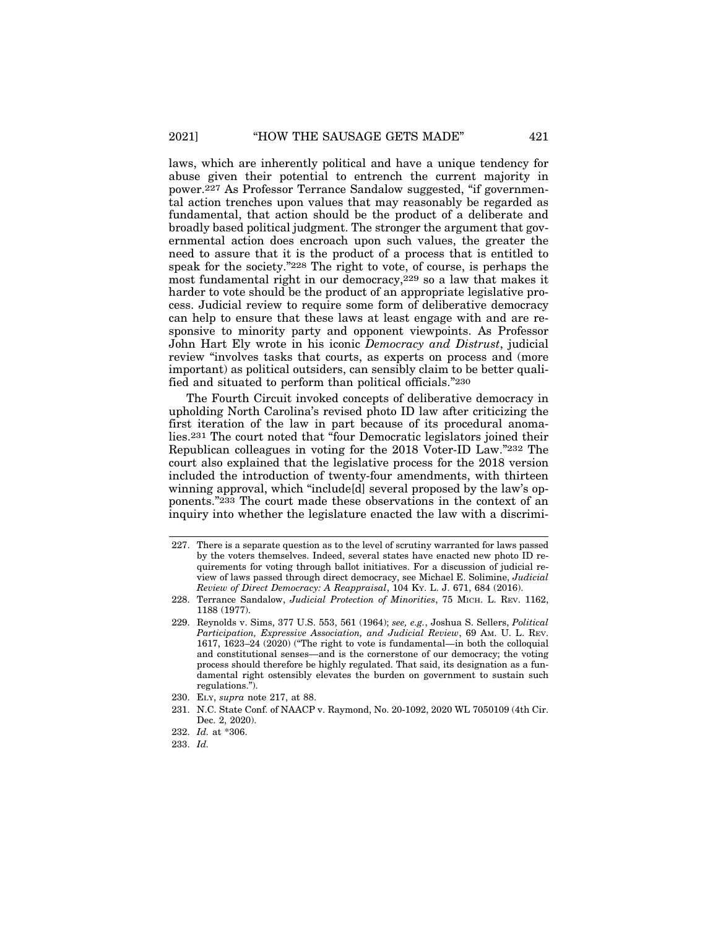laws, which are inherently political and have a unique tendency for abuse given their potential to entrench the current majority in power.227 As Professor Terrance Sandalow suggested, "if governmental action trenches upon values that may reasonably be regarded as fundamental, that action should be the product of a deliberate and broadly based political judgment. The stronger the argument that governmental action does encroach upon such values, the greater the need to assure that it is the product of a process that is entitled to speak for the society."228 The right to vote, of course, is perhaps the most fundamental right in our democracy,229 so a law that makes it harder to vote should be the product of an appropriate legislative process. Judicial review to require some form of deliberative democracy can help to ensure that these laws at least engage with and are responsive to minority party and opponent viewpoints. As Professor John Hart Ely wrote in his iconic *Democracy and Distrust*, judicial review "involves tasks that courts, as experts on process and (more important) as political outsiders, can sensibly claim to be better qualified and situated to perform than political officials."230

The Fourth Circuit invoked concepts of deliberative democracy in upholding North Carolina's revised photo ID law after criticizing the first iteration of the law in part because of its procedural anomalies.231 The court noted that "four Democratic legislators joined their Republican colleagues in voting for the 2018 Voter-ID Law."232 The court also explained that the legislative process for the 2018 version included the introduction of twenty-four amendments, with thirteen winning approval, which "include[d] several proposed by the law's opponents."233 The court made these observations in the context of an inquiry into whether the legislature enacted the law with a discrimi-

<sup>227.</sup> There is a separate question as to the level of scrutiny warranted for laws passed by the voters themselves. Indeed, several states have enacted new photo ID requirements for voting through ballot initiatives. For a discussion of judicial review of laws passed through direct democracy, see Michael E. Solimine, *Judicial Review of Direct Democracy: A Reappraisal*, 104 KY. L. J. 671, 684 (2016).

<sup>228.</sup> Terrance Sandalow, *Judicial Protection of Minorities*, 75 MICH. L. REV. 1162, 1188 (1977).

<sup>229.</sup> Reynolds v. Sims, 377 U.S. 553, 561 (1964); *see, e.g.*, Joshua S. Sellers, *Political Participation, Expressive Association, and Judicial Review*, 69 AM. U. L. REV. 1617, 1623–24 (2020) ("The right to vote is fundamental—in both the colloquial and constitutional senses—and is the cornerstone of our democracy; the voting process should therefore be highly regulated. That said, its designation as a fundamental right ostensibly elevates the burden on government to sustain such regulations.").

<sup>230.</sup> ELY, *supra* note 217, at 88.

<sup>231.</sup> N.C. State Conf. of NAACP v. Raymond, No. 20-1092, 2020 WL 7050109 (4th Cir. Dec. 2, 2020).

<sup>232.</sup> *Id.* at \*306.

<sup>233.</sup> *Id.*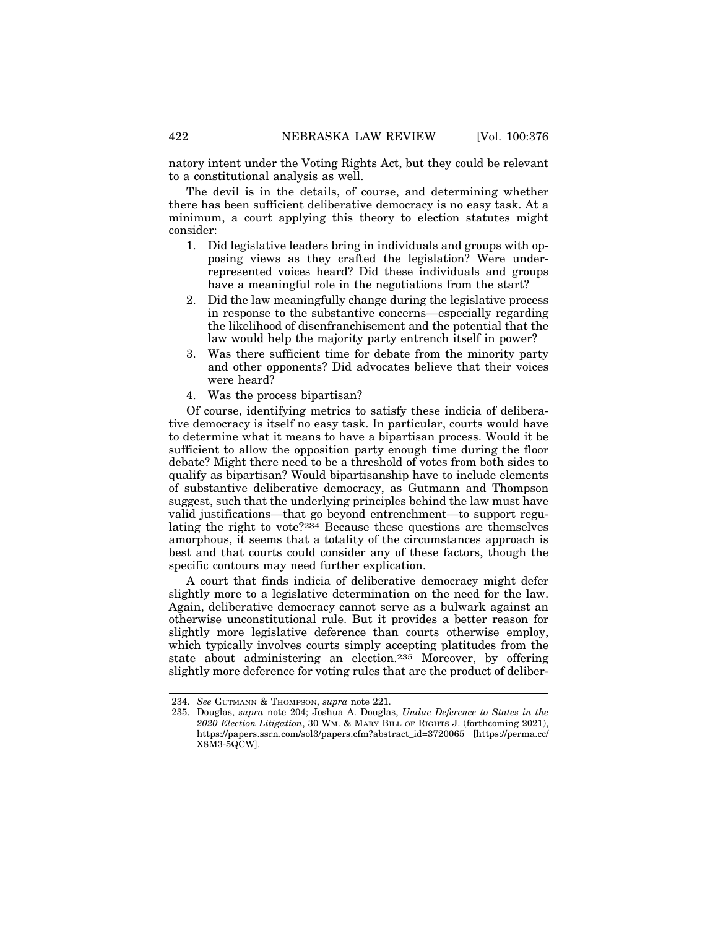The devil is in the details, of course, and determining whether there has been sufficient deliberative democracy is no easy task. At a minimum, a court applying this theory to election statutes might consider:

- 1. Did legislative leaders bring in individuals and groups with opposing views as they crafted the legislation? Were underrepresented voices heard? Did these individuals and groups have a meaningful role in the negotiations from the start?
- 2. Did the law meaningfully change during the legislative process in response to the substantive concerns—especially regarding the likelihood of disenfranchisement and the potential that the law would help the majority party entrench itself in power?
- 3. Was there sufficient time for debate from the minority party and other opponents? Did advocates believe that their voices were heard?
- 4. Was the process bipartisan?

Of course, identifying metrics to satisfy these indicia of deliberative democracy is itself no easy task. In particular, courts would have to determine what it means to have a bipartisan process. Would it be sufficient to allow the opposition party enough time during the floor debate? Might there need to be a threshold of votes from both sides to qualify as bipartisan? Would bipartisanship have to include elements of substantive deliberative democracy, as Gutmann and Thompson suggest, such that the underlying principles behind the law must have valid justifications—that go beyond entrenchment—to support regulating the right to vote?234 Because these questions are themselves amorphous, it seems that a totality of the circumstances approach is best and that courts could consider any of these factors, though the specific contours may need further explication.

A court that finds indicia of deliberative democracy might defer slightly more to a legislative determination on the need for the law. Again, deliberative democracy cannot serve as a bulwark against an otherwise unconstitutional rule. But it provides a better reason for slightly more legislative deference than courts otherwise employ, which typically involves courts simply accepting platitudes from the state about administering an election.235 Moreover, by offering slightly more deference for voting rules that are the product of deliber-

<sup>234.</sup> *See* GUTMANN & THOMPSON, *supra* note 221.

<sup>235.</sup> Douglas, *supra* note 204; Joshua A. Douglas, *Undue Deference to States in the 2020 Election Litigation*, 30 WM. & MARY BILL OF RIGHTS J. (forthcoming 2021), https://papers.ssrn.com/sol3/papers.cfm?abstract\_id=3720065 [https://perma.cc/ X8M3-5QCW].